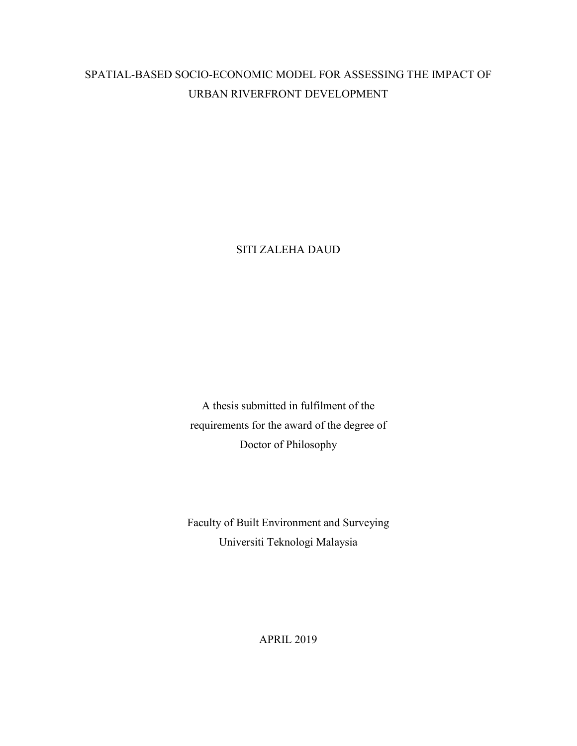# SPATIAL-BASED SOCIO-ECONOMIC MODEL FOR ASSESSING THE IMPACT OF URBAN RIVERFRONT DEVELOPMENT

SITI ZALEHA DAUD

A thesis submitted in fulfilment of the requirements for the award of the degree of Doctor of Philosophy

Faculty of Built Environment and Surveying Universiti Teknologi Malaysia

APRIL 2019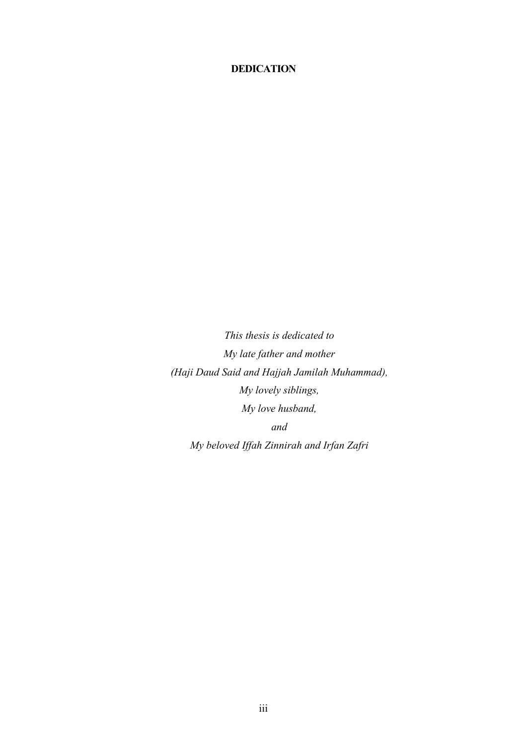### **DEDICATION**

*This thesis is dedicated to My late father and mother (Haji Daud Said and Hajjah Jamilah Muhammad), My lovely siblings, My love husband, and My beloved Iffah Zinnirah and Irfan Zafri*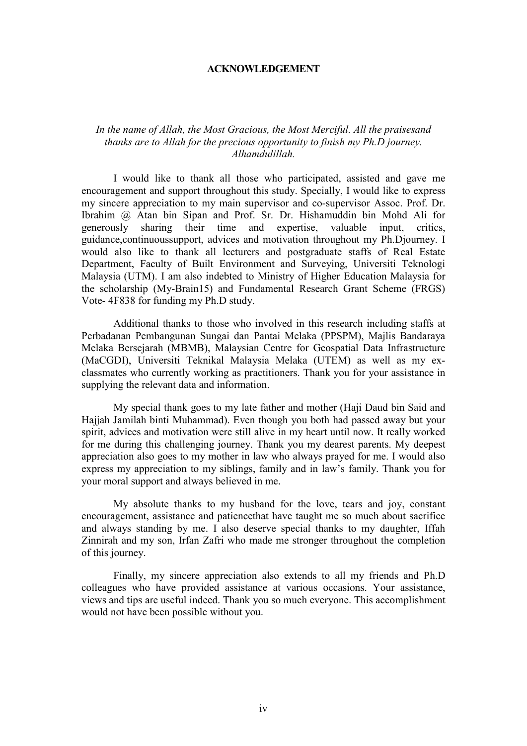#### **ACKNOWLEDGEMENT**

#### *In the name of Allah, the Most Gracious, the Most Merciful. All the praisesand thanks are to Allah for the precious opportunity to finish my Ph.D journey. Alhamdulillah.*

I would like to thank all those who participated, assisted and gave me encouragement and support throughout this study. Specially, I would like to express my sincere appreciation to my main supervisor and co-supervisor Assoc. Prof. Dr. Ibrahim @ Atan bin Sipan and Prof. Sr. Dr. Hishamuddin bin Mohd Ali for generously sharing their time and expertise, valuable input, critics, guidance,continuoussupport, advices and motivation throughout my Ph.Djourney. I would also like to thank all lecturers and postgraduate staffs of Real Estate Department, Faculty of Built Environment and Surveying, Universiti Teknologi Malaysia (UTM). I am also indebted to Ministry of Higher Education Malaysia for the scholarship (My-Brain15) and Fundamental Research Grant Scheme (FRGS) Vote- 4F838 for funding my Ph.D study.

Additional thanks to those who involved in this research including staffs at Perbadanan Pembangunan Sungai dan Pantai Melaka (PPSPM), Majlis Bandaraya Melaka Bersejarah (MBMB), Malaysian Centre for Geospatial Data Infrastructure (MaCGDI), Universiti Teknikal Malaysia Melaka (UTEM) as well as my exclassmates who currently working as practitioners. Thank you for your assistance in supplying the relevant data and information.

My special thank goes to my late father and mother (Haji Daud bin Said and Hajjah Jamilah binti Muhammad). Even though you both had passed away but your spirit, advices and motivation were still alive in my heart until now. It really worked for me during this challenging journey. Thank you my dearest parents. My deepest appreciation also goes to my mother in law who always prayed for me. I would also express my appreciation to my siblings, family and in law's family. Thank you for your moral support and always believed in me.

My absolute thanks to my husband for the love, tears and joy, constant encouragement, assistance and patiencethat have taught me so much about sacrifice and always standing by me. I also deserve special thanks to my daughter, Iffah Zinnirah and my son, Irfan Zafri who made me stronger throughout the completion of this journey.

Finally, my sincere appreciation also extends to all my friends and Ph.D colleagues who have provided assistance at various occasions. Your assistance, views and tips are useful indeed. Thank you so much everyone. This accomplishment would not have been possible without you.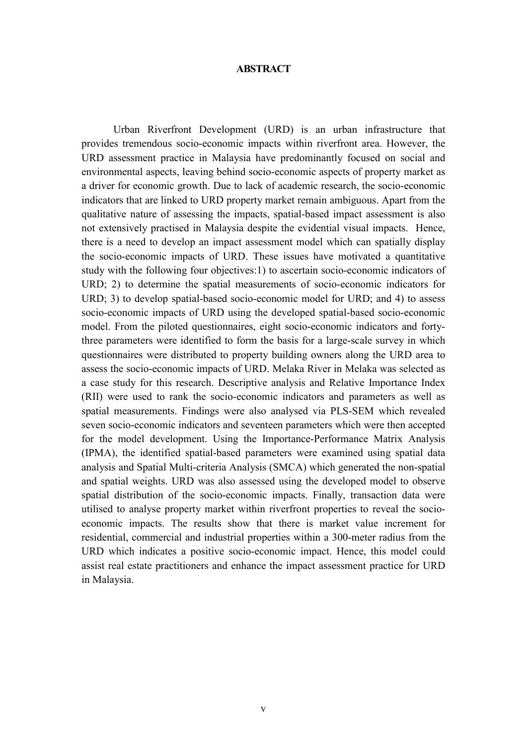#### **ABSTRACT**

Urban Riverfront Development (URD) is an urban infrastructure that provides tremendous socio-economic impacts within riverfront area. However, the URD assessment practice in Malaysia have predominantly focused on social and environmental aspects, leaving behind socio-economic aspects of property market as a driver for economic growth. Due to lack of academic research, the socio-economic indicators that are linked to URD property market remain ambiguous. Apart from the qualitative nature of assessing the impacts, spatial-based impact assessment is also not extensively practised in Malaysia despite the evidential visual impacts. Hence, there is a need to develop an impact assessment model which can spatially display the socio-economic impacts of URD. These issues have motivated a quantitative study with the following four objectives:1) to ascertain socio-economic indicators of URD; 2) to determine the spatial measurements of socio-economic indicators for URD; 3) to develop spatial-based socio-economic model for URD; and 4) to assess socio-economic impacts of URD using the developed spatial-based socio-economic model. From the piloted questionnaires, eight socio-economic indicators and fortythree parameters were identified to form the basis for a large-scale survey in which questionnaires were distributed to property building owners along the URD area to assess the socio-economic impacts of URD. Melaka River in Melaka was selected as a case study for this research. Descriptive analysis and Relative Importance Index (RII) were used to rank the socio-economic indicators and parameters as well as spatial measurements. Findings were also analysed via PLS-SEM which revealed seven socio-economic indicators and seventeen parameters which were then accepted for the model development. Using the Importance-Performance Matrix Analysis (IPMA), the identified spatial-based parameters were examined using spatial data analysis and Spatial Multi-criteria Analysis (SMCA) which generated the non-spatial and spatial weights. URD was also assessed using the developed model to observe spatial distribution of the socio-economic impacts. Finally, transaction data were utilised to analyse property market within riverfront properties to reveal the socioeconomic impacts. The results show that there is market value increment for residential, commercial and industrial properties within a 300-meter radius from the URD which indicates a positive socio-economic impact. Hence, this model could assist real estate practitioners and enhance the impact assessment practice for URD in Malaysia.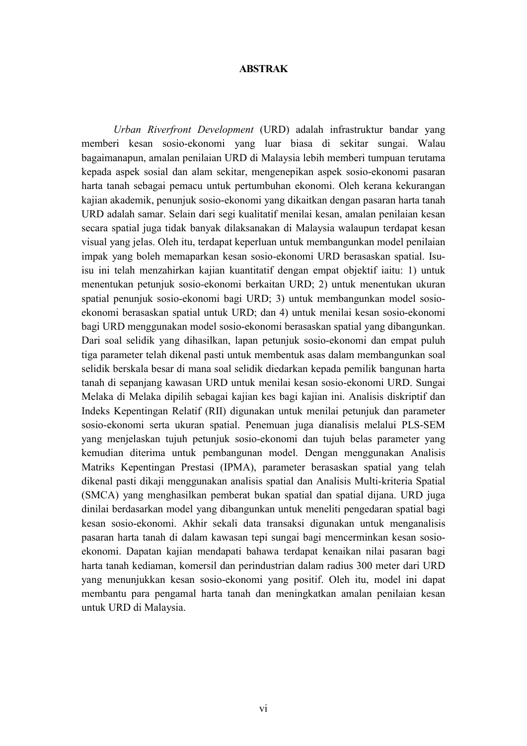#### **ABSTRAK**

*Urban Riverfront Development* (URD) adalah infrastruktur bandar yang memberi kesan sosio-ekonomi yang luar biasa di sekitar sungai. Walau bagaimanapun, amalan penilaian URD di Malaysia lebih memberi tumpuan terutama kepada aspek sosial dan alam sekitar, mengenepikan aspek sosio-ekonomi pasaran harta tanah sebagai pemacu untuk pertumbuhan ekonomi. Oleh kerana kekurangan kajian akademik, penunjuk sosio-ekonomi yang dikaitkan dengan pasaran harta tanah URD adalah samar. Selain dari segi kualitatif menilai kesan, amalan penilaian kesan secara spatial juga tidak banyak dilaksanakan di Malaysia walaupun terdapat kesan visual yang jelas. Oleh itu, terdapat keperluan untuk membangunkan model penilaian impak yang boleh memaparkan kesan sosio-ekonomi URD berasaskan spatial. Isuisu ini telah menzahirkan kajian kuantitatif dengan empat objektif iaitu: 1) untuk menentukan petunjuk sosio-ekonomi berkaitan URD; 2) untuk menentukan ukuran spatial penunjuk sosio-ekonomi bagi URD; 3) untuk membangunkan model sosioekonomi berasaskan spatial untuk URD; dan 4) untuk menilai kesan sosio-ekonomi bagi URD menggunakan model sosio-ekonomi berasaskan spatial yang dibangunkan. Dari soal selidik yang dihasilkan, lapan petunjuk sosio-ekonomi dan empat puluh tiga parameter telah dikenal pasti untuk membentuk asas dalam membangunkan soal selidik berskala besar di mana soal selidik diedarkan kepada pemilik bangunan harta tanah di sepanjang kawasan URD untuk menilai kesan sosio-ekonomi URD. Sungai Melaka di Melaka dipilih sebagai kajian kes bagi kajian ini. Analisis diskriptif dan Indeks Kepentingan Relatif (RII) digunakan untuk menilai petunjuk dan parameter sosio-ekonomi serta ukuran spatial. Penemuan juga dianalisis melalui PLS-SEM yang menjelaskan tujuh petunjuk sosio-ekonomi dan tujuh belas parameter yang kemudian diterima untuk pembangunan model. Dengan menggunakan Analisis Matriks Kepentingan Prestasi (IPMA), parameter berasaskan spatial yang telah dikenal pasti dikaji menggunakan analisis spatial dan Analisis Multi-kriteria Spatial (SMCA) yang menghasilkan pemberat bukan spatial dan spatial dijana. URD juga dinilai berdasarkan model yang dibangunkan untuk meneliti pengedaran spatial bagi kesan sosio-ekonomi. Akhir sekali data transaksi digunakan untuk menganalisis pasaran harta tanah di dalam kawasan tepi sungai bagi mencerminkan kesan sosioekonomi. Dapatan kajian mendapati bahawa terdapat kenaikan nilai pasaran bagi harta tanah kediaman, komersil dan perindustrian dalam radius 300 meter dari URD yang menunjukkan kesan sosio-ekonomi yang positif. Oleh itu, model ini dapat membantu para pengamal harta tanah dan meningkatkan amalan penilaian kesan untuk URD di Malaysia.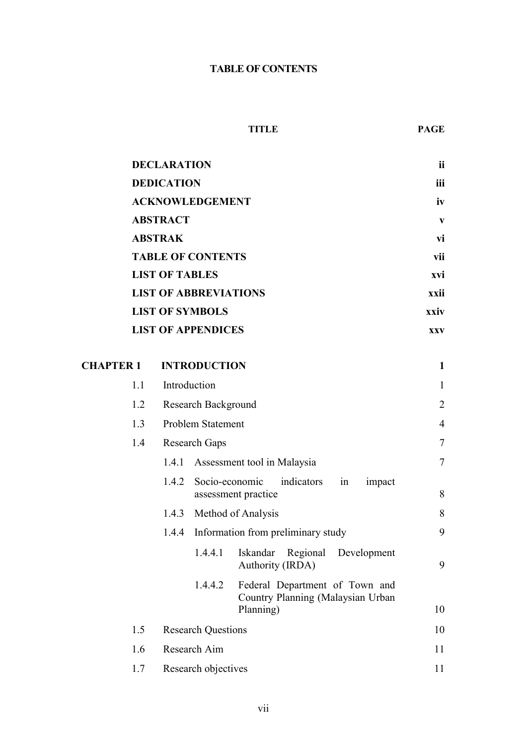### **TABLE OF CONTENTS**

#### **TITLE PAGE**

|                  |     | <b>DECLARATION</b> |                              |                                                                                  | ii             |  |  |  |
|------------------|-----|--------------------|------------------------------|----------------------------------------------------------------------------------|----------------|--|--|--|
|                  |     | <b>DEDICATION</b>  |                              |                                                                                  | iii            |  |  |  |
|                  |     |                    | <b>ACKNOWLEDGEMENT</b>       |                                                                                  | iv             |  |  |  |
|                  |     | <b>ABSTRACT</b>    |                              |                                                                                  | $\mathbf{V}$   |  |  |  |
|                  |     | <b>ABSTRAK</b>     |                              |                                                                                  | vi             |  |  |  |
|                  |     |                    | <b>TABLE OF CONTENTS</b>     |                                                                                  | vii            |  |  |  |
|                  |     |                    | <b>LIST OF TABLES</b>        |                                                                                  |                |  |  |  |
|                  |     |                    | <b>LIST OF ABBREVIATIONS</b> |                                                                                  | xxii           |  |  |  |
|                  |     |                    | <b>LIST OF SYMBOLS</b>       |                                                                                  | xxiv           |  |  |  |
|                  |     |                    | <b>LIST OF APPENDICES</b>    |                                                                                  | <b>XXV</b>     |  |  |  |
| <b>CHAPTER 1</b> |     |                    | <b>INTRODUCTION</b>          |                                                                                  | $\mathbf{1}$   |  |  |  |
|                  | 1.1 | Introduction       |                              |                                                                                  | $\mathbf{1}$   |  |  |  |
|                  | 1.2 |                    | <b>Research Background</b>   |                                                                                  | $\overline{2}$ |  |  |  |
|                  | 1.3 |                    | Problem Statement            |                                                                                  | $\overline{4}$ |  |  |  |
|                  | 1.4 |                    | Research Gaps                |                                                                                  | $\tau$         |  |  |  |
|                  |     | 1.4.1              |                              | Assessment tool in Malaysia                                                      | $\overline{7}$ |  |  |  |
|                  |     | 1.4.2              | Socio-economic               | indicators<br>in<br>impact<br>assessment practice                                | 8              |  |  |  |
|                  |     | 1.4.3              |                              | Method of Analysis                                                               | 8              |  |  |  |
|                  |     | 1.4.4              |                              | Information from preliminary study                                               | 9              |  |  |  |
|                  |     |                    | 1.4.4.1                      | Regional<br>Development<br>Iskandar<br>Authority (IRDA)                          | 9              |  |  |  |
|                  |     |                    | 1.4.4.2                      | Federal Department of Town and<br>Country Planning (Malaysian Urban<br>Planning) | 10             |  |  |  |
|                  | 1.5 |                    |                              |                                                                                  | 10             |  |  |  |
|                  |     |                    | <b>Research Questions</b>    |                                                                                  |                |  |  |  |
|                  | 1.6 |                    | Research Aim                 |                                                                                  | 11             |  |  |  |
|                  | 1.7 |                    | Research objectives          |                                                                                  | 11             |  |  |  |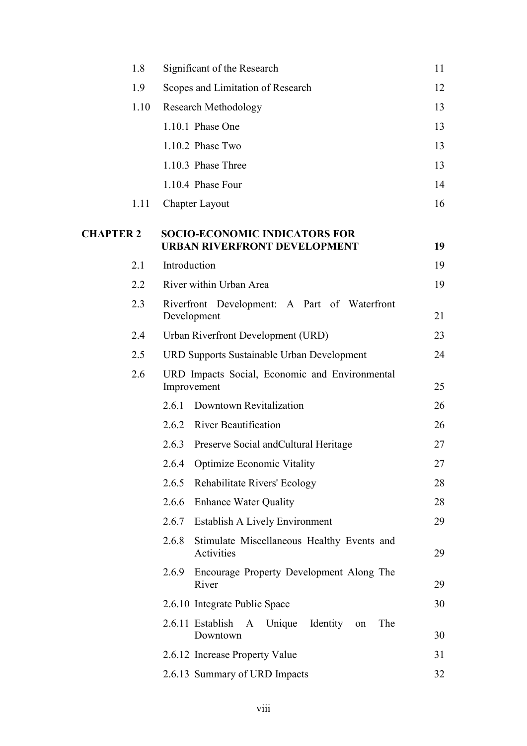|                  | 1.8  | Significant of the Research                                                 | 11 |
|------------------|------|-----------------------------------------------------------------------------|----|
|                  | 1.9  | Scopes and Limitation of Research                                           | 12 |
|                  | 1.10 | <b>Research Methodology</b>                                                 | 13 |
|                  |      | 1.10.1 Phase One                                                            | 13 |
|                  |      | 1.10.2 Phase Two                                                            | 13 |
|                  |      | 1.10.3 Phase Three                                                          | 13 |
|                  |      | 1.10.4 Phase Four                                                           | 14 |
|                  | 1.11 | <b>Chapter Layout</b>                                                       | 16 |
| <b>CHAPTER 2</b> |      | <b>SOCIO-ECONOMIC INDICATORS FOR</b><br><b>URBAN RIVERFRONT DEVELOPMENT</b> | 19 |
|                  | 2.1  | Introduction                                                                | 19 |
|                  | 2.2  | River within Urban Area                                                     | 19 |
|                  | 2.3  | Riverfront Development: A Part of Waterfront<br>Development                 | 21 |
|                  | 2.4  | Urban Riverfront Development (URD)                                          | 23 |
|                  | 2.5  | <b>URD Supports Sustainable Urban Development</b>                           | 24 |
|                  | 2.6  | URD Impacts Social, Economic and Environmental<br>Improvement               | 25 |
|                  |      | Downtown Revitalization<br>2.6.1                                            | 26 |
|                  |      | 2.6.2 River Beautification                                                  | 26 |
|                  |      | Preserve Social and Cultural Heritage<br>2.6.3                              | 27 |
|                  |      | 2.6.4 Optimize Economic Vitality                                            | 27 |
|                  |      | 2.6.5<br><b>Rehabilitate Rivers' Ecology</b>                                | 28 |
|                  |      | 2.6.6<br><b>Enhance Water Quality</b>                                       | 28 |
|                  |      | Establish A Lively Environment<br>2.6.7                                     | 29 |
|                  |      | 2.6.8<br>Stimulate Miscellaneous Healthy Events and<br>Activities           | 29 |
|                  |      | Encourage Property Development Along The<br>2.6.9<br>River                  | 29 |
|                  |      | 2.6.10 Integrate Public Space                                               | 30 |
|                  |      | 2.6.11 Establish A Unique<br>Identity<br>The<br>on<br>Downtown              | 30 |
|                  |      | 2.6.12 Increase Property Value                                              | 31 |
|                  |      | 2.6.13 Summary of URD Impacts                                               | 32 |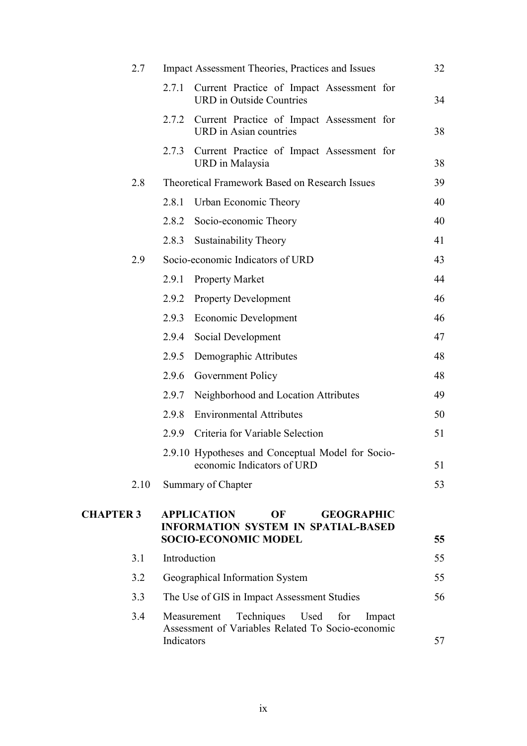| 2.7              | <b>Impact Assessment Theories, Practices and Issues</b>                                                                    | 32 |
|------------------|----------------------------------------------------------------------------------------------------------------------------|----|
|                  | 2.7.1<br>Current Practice of Impact Assessment for<br><b>URD</b> in Outside Countries                                      | 34 |
|                  | 2.7.2<br>Current Practice of Impact Assessment for<br>URD in Asian countries                                               | 38 |
|                  | Current Practice of Impact Assessment for<br>2.7.3<br>URD in Malaysia                                                      | 38 |
| 2.8              | Theoretical Framework Based on Research Issues                                                                             | 39 |
|                  | Urban Economic Theory<br>2.8.1                                                                                             | 40 |
|                  | 2.8.2<br>Socio-economic Theory                                                                                             | 40 |
|                  | <b>Sustainability Theory</b><br>2.8.3                                                                                      | 41 |
| 2.9              | Socio-economic Indicators of URD                                                                                           | 43 |
|                  | 2.9.1<br><b>Property Market</b>                                                                                            | 44 |
|                  | 2.9.2<br><b>Property Development</b>                                                                                       | 46 |
|                  | 2.9.3<br><b>Economic Development</b>                                                                                       | 46 |
|                  | 2.9.4<br>Social Development                                                                                                | 47 |
|                  | 2.9.5<br>Demographic Attributes                                                                                            | 48 |
|                  | 2.9.6<br>Government Policy                                                                                                 | 48 |
|                  | Neighborhood and Location Attributes<br>2.9.7                                                                              | 49 |
|                  | <b>Environmental Attributes</b><br>2.9.8                                                                                   | 50 |
|                  | Criteria for Variable Selection<br>2.9.9                                                                                   | 51 |
|                  | 2.9.10 Hypotheses and Conceptual Model for Socio-<br>economic Indicators of URD                                            | 51 |
| 2.10             | Summary of Chapter                                                                                                         | 53 |
| <b>CHAPTER 3</b> | <b>APPLICATION</b><br>OF<br><b>GEOGRAPHIC</b><br><b>INFORMATION SYSTEM IN SPATIAL-BASED</b><br><b>SOCIO-ECONOMIC MODEL</b> | 55 |
| 3.1              | Introduction                                                                                                               | 55 |
| 3.2              | Geographical Information System                                                                                            | 55 |
| 3.3              | The Use of GIS in Impact Assessment Studies                                                                                | 56 |
| 3.4              | Techniques<br>Used<br>Measurement<br>for<br>Impact<br>Assessment of Variables Related To Socio-economic<br>Indicators      | 57 |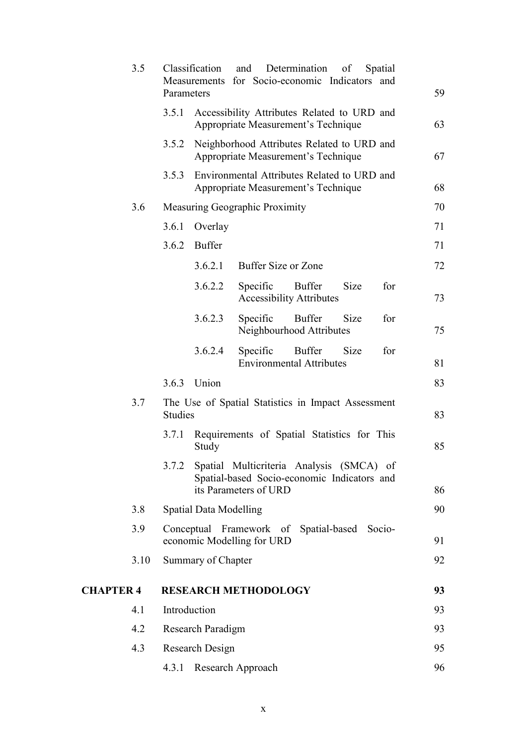|                  | 3.5  | Parameters     | Classification<br>Measurements | and<br>for Socio-economic Indicators and                                                                         | Determination                                    | of   | Spatial | 59 |
|------------------|------|----------------|--------------------------------|------------------------------------------------------------------------------------------------------------------|--------------------------------------------------|------|---------|----|
|                  |      | 3.5.1          |                                | Accessibility Attributes Related to URD and<br>Appropriate Measurement's Technique                               |                                                  |      |         | 63 |
|                  |      | 3.5.2          |                                | Neighborhood Attributes Related to URD and<br>Appropriate Measurement's Technique                                |                                                  |      |         | 67 |
|                  |      | 3.5.3          |                                | Environmental Attributes Related to URD and<br>Appropriate Measurement's Technique                               |                                                  |      |         | 68 |
|                  | 3.6  |                |                                | Measuring Geographic Proximity                                                                                   |                                                  |      |         | 70 |
|                  |      | 3.6.1          | Overlay                        |                                                                                                                  |                                                  |      |         | 71 |
|                  |      | 3.6.2          | <b>Buffer</b>                  |                                                                                                                  |                                                  |      |         | 71 |
|                  |      |                | 3.6.2.1                        | Buffer Size or Zone                                                                                              |                                                  |      |         | 72 |
|                  |      |                | 3.6.2.2                        | Specific                                                                                                         | <b>Buffer</b><br><b>Accessibility Attributes</b> | Size | for     | 73 |
|                  |      |                | 3.6.2.3                        | Specific                                                                                                         | <b>Buffer</b><br>Neighbourhood Attributes        | Size | for     | 75 |
|                  |      |                | 3.6.2.4                        | Specific                                                                                                         | <b>Buffer</b><br><b>Environmental Attributes</b> | Size | for     | 81 |
|                  |      | 3.6.3          | Union                          |                                                                                                                  |                                                  |      |         | 83 |
|                  | 3.7  | <b>Studies</b> |                                | The Use of Spatial Statistics in Impact Assessment                                                               |                                                  |      |         | 83 |
|                  |      | 3.7.1          | Study                          | Requirements of Spatial Statistics for This                                                                      |                                                  |      |         | 85 |
|                  |      | 3.7.2          |                                | Spatial Multicriteria Analysis (SMCA) of<br>Spatial-based Socio-economic Indicators and<br>its Parameters of URD |                                                  |      |         | 86 |
|                  | 3.8  |                | <b>Spatial Data Modelling</b>  |                                                                                                                  |                                                  |      |         | 90 |
|                  | 3.9  |                |                                | Conceptual Framework of Spatial-based Socio-                                                                     |                                                  |      |         |    |
|                  |      |                |                                | economic Modelling for URD                                                                                       |                                                  |      |         | 91 |
|                  | 3.10 |                | Summary of Chapter             |                                                                                                                  |                                                  |      |         | 92 |
| <b>CHAPTER 4</b> |      |                |                                | <b>RESEARCH METHODOLOGY</b>                                                                                      |                                                  |      |         | 93 |
|                  | 4.1  | Introduction   |                                |                                                                                                                  |                                                  |      |         | 93 |
|                  | 4.2  |                | Research Paradigm              |                                                                                                                  |                                                  |      |         | 93 |
|                  | 4.3  |                | Research Design                |                                                                                                                  |                                                  |      |         | 95 |
|                  |      | 4.3.1          |                                | Research Approach                                                                                                |                                                  |      |         | 96 |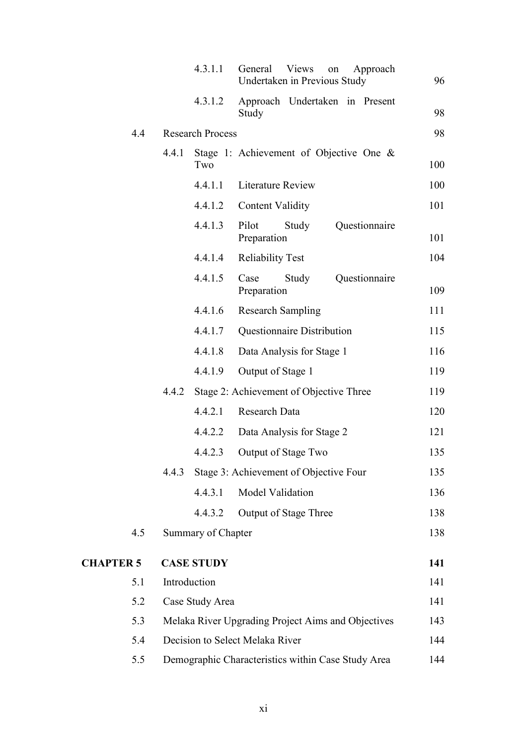|                  |       | 4.3.1.1                   | General<br><b>Views</b><br>Approach<br>on<br>Undertaken in Previous Study | 96  |
|------------------|-------|---------------------------|---------------------------------------------------------------------------|-----|
|                  |       | 4.3.1.2                   | Approach Undertaken in Present<br>Study                                   | 98  |
| 4.4              |       | <b>Research Process</b>   |                                                                           | 98  |
|                  | 4.4.1 | Two                       | Stage 1: Achievement of Objective One $\&$                                | 100 |
|                  |       | 4.4.1.1                   | <b>Literature Review</b>                                                  | 100 |
|                  |       | 4.4.1.2                   | <b>Content Validity</b>                                                   | 101 |
|                  |       | 4.4.1.3                   | Questionnaire<br>Pilot<br>Study<br>Preparation                            | 101 |
|                  |       | 4.4.1.4                   | <b>Reliability Test</b>                                                   | 104 |
|                  |       | 4.4.1.5                   | Questionnaire<br>Case<br>Study<br>Preparation                             | 109 |
|                  |       | 4.4.1.6                   | <b>Research Sampling</b>                                                  | 111 |
|                  |       | 4.4.1.7                   | Questionnaire Distribution                                                | 115 |
|                  |       | 4.4.1.8                   | Data Analysis for Stage 1                                                 | 116 |
|                  |       | 4.4.1.9                   | Output of Stage 1                                                         | 119 |
|                  | 4.4.2 |                           | Stage 2: Achievement of Objective Three                                   | 119 |
|                  |       | 4.4.2.1                   | Research Data                                                             | 120 |
|                  |       | 4.4.2.2                   | Data Analysis for Stage 2                                                 | 121 |
|                  |       | 4.4.2.3                   | Output of Stage Two                                                       | 135 |
|                  | 4.4.3 |                           | Stage 3: Achievement of Objective Four                                    | 135 |
|                  |       | 4.4.3.1                   | Model Validation                                                          | 136 |
|                  |       | 4.4.3.2                   | <b>Output of Stage Three</b>                                              | 138 |
| 4.5              |       | <b>Summary of Chapter</b> |                                                                           | 138 |
| <b>CHAPTER 5</b> |       | <b>CASE STUDY</b>         |                                                                           | 141 |
| 5.1              |       | Introduction              |                                                                           | 141 |
| 5.2              |       | Case Study Area           |                                                                           | 141 |
| 5.3              |       |                           | Melaka River Upgrading Project Aims and Objectives                        | 143 |
| 5.4              |       |                           | Decision to Select Melaka River                                           | 144 |
| 5.5              |       |                           | Demographic Characteristics within Case Study Area                        | 144 |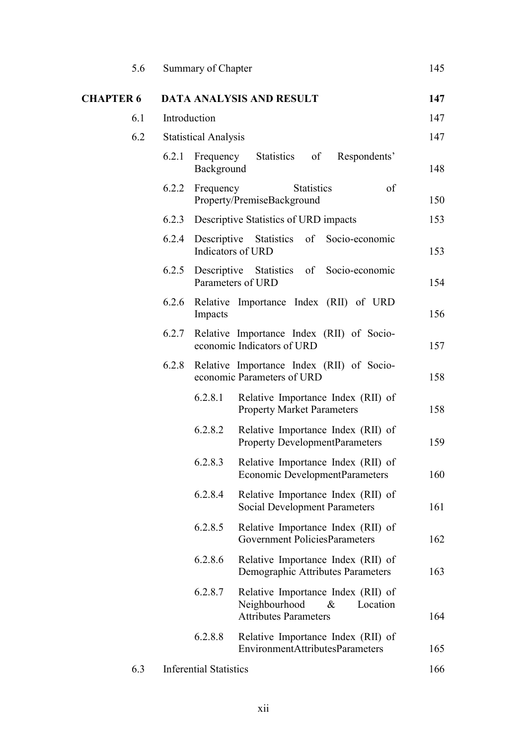| 5.6              | Summary of Chapter                                                                                              | 145 |
|------------------|-----------------------------------------------------------------------------------------------------------------|-----|
| <b>CHAPTER 6</b> | <b>DATA ANALYSIS AND RESULT</b>                                                                                 | 147 |
| 6.1              | Introduction                                                                                                    | 147 |
| 6.2              | <b>Statistical Analysis</b>                                                                                     | 147 |
|                  | 6.2.1<br>Statistics of<br>Respondents'<br>Frequency<br>Background                                               | 148 |
|                  | of<br>6.2.2<br><b>Statistics</b><br>Frequency<br>Property/PremiseBackground                                     | 150 |
|                  | Descriptive Statistics of URD impacts<br>6.2.3                                                                  | 153 |
|                  | 6.2.4<br>Descriptive Statistics of Socio-economic<br>Indicators of URD                                          | 153 |
|                  | 6.2.5<br>Descriptive Statistics of Socio-economic<br>Parameters of URD                                          | 154 |
|                  | 6.2.6<br>Relative Importance Index (RII) of URD<br>Impacts                                                      | 156 |
|                  | 6.2.7<br>Relative Importance Index (RII) of Socio-<br>economic Indicators of URD                                | 157 |
|                  | Relative Importance Index (RII) of Socio-<br>6.2.8<br>economic Parameters of URD                                | 158 |
|                  | 6.2.8.1<br>Relative Importance Index (RII) of<br><b>Property Market Parameters</b>                              | 158 |
|                  | 6.2.8.2<br>Relative Importance Index (RII) of<br><b>Property DevelopmentParameters</b>                          | 159 |
|                  | 6.2.8.3<br>Relative Importance Index (RII) of<br><b>Economic DevelopmentParameters</b>                          | 160 |
|                  | 6.2.8.4<br>Relative Importance Index (RII) of<br><b>Social Development Parameters</b>                           | 161 |
|                  | Relative Importance Index (RII) of<br>6.2.8.5<br>Government PoliciesParameters                                  | 162 |
|                  | 6.2.8.6<br>Relative Importance Index (RII) of<br>Demographic Attributes Parameters                              | 163 |
|                  | 6.2.8.7<br>Relative Importance Index (RII) of<br>Neighbourhood<br>Location<br>&<br><b>Attributes Parameters</b> | 164 |
|                  | 6.2.8.8<br>Relative Importance Index (RII) of<br>EnvironmentAttributesParameters                                | 165 |
| 6.3              | <b>Inferential Statistics</b>                                                                                   | 166 |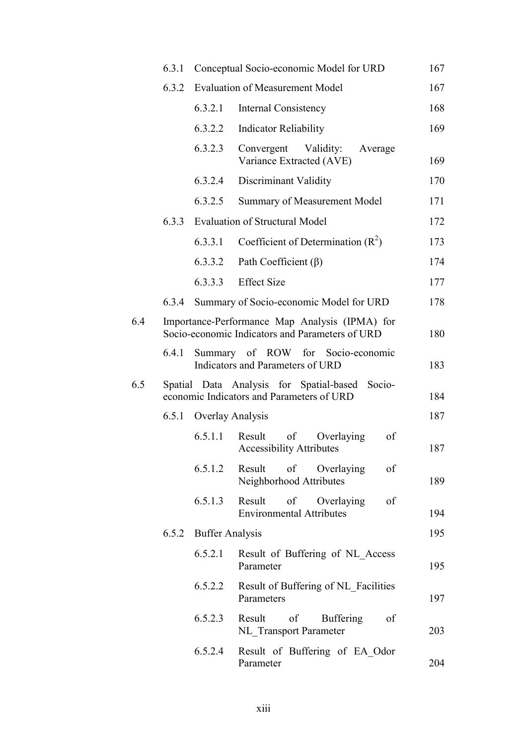|     | 6.3.1 |                        | Conceptual Socio-economic Model for URD                                                           | 167 |
|-----|-------|------------------------|---------------------------------------------------------------------------------------------------|-----|
|     | 6.3.2 |                        | <b>Evaluation of Measurement Model</b>                                                            | 167 |
|     |       | 6.3.2.1                | <b>Internal Consistency</b>                                                                       | 168 |
|     |       | 6.3.2.2                | <b>Indicator Reliability</b>                                                                      | 169 |
|     |       | 6.3.2.3                | Convergent<br>Validity:<br>Average<br>Variance Extracted (AVE)                                    | 169 |
|     |       | 6.3.2.4                | Discriminant Validity                                                                             | 170 |
|     |       | 6.3.2.5                | Summary of Measurement Model                                                                      | 171 |
|     | 6.3.3 |                        | <b>Evaluation of Structural Model</b>                                                             | 172 |
|     |       | 6.3.3.1                | Coefficient of Determination $(R^2)$                                                              | 173 |
|     |       | 6.3.3.2                | Path Coefficient $(\beta)$                                                                        | 174 |
|     |       | 6.3.3.3                | <b>Effect Size</b>                                                                                | 177 |
|     | 6.3.4 |                        | Summary of Socio-economic Model for URD                                                           | 178 |
| 6.4 |       |                        | Importance-Performance Map Analysis (IPMA) for<br>Socio-economic Indicators and Parameters of URD | 180 |
|     | 6.4.1 |                        | Summary of ROW for Socio-economic<br>Indicators and Parameters of URD                             | 183 |
| 6.5 |       |                        | Spatial Data Analysis for Spatial-based<br>Socio-<br>economic Indicators and Parameters of URD    | 184 |
|     | 6.5.1 | Overlay Analysis       |                                                                                                   | 187 |
|     |       | 6.5.1.1                | of<br>Overlaying<br>Result<br>of<br><b>Accessibility Attributes</b>                               | 187 |
|     |       | 6.5.1.2                | Result<br>$\sigma$<br>Overlaying<br>of<br>Neighborhood Attributes                                 | 189 |
|     |       | 6.5.1.3                | Result<br>$\sigma$<br>Overlaying<br>of<br><b>Environmental Attributes</b>                         | 194 |
|     | 6.5.2 | <b>Buffer Analysis</b> |                                                                                                   | 195 |
|     |       | 6.5.2.1                | Result of Buffering of NL Access<br>Parameter                                                     | 195 |
|     |       | 6.5.2.2                | Result of Buffering of NL Facilities<br>Parameters                                                | 197 |
|     |       | 6.5.2.3                | Result<br>of<br><b>Buffering</b><br>of<br><b>NL</b> Transport Parameter                           | 203 |
|     |       | 6.5.2.4                | Result of Buffering of EA Odor<br>Parameter                                                       | 204 |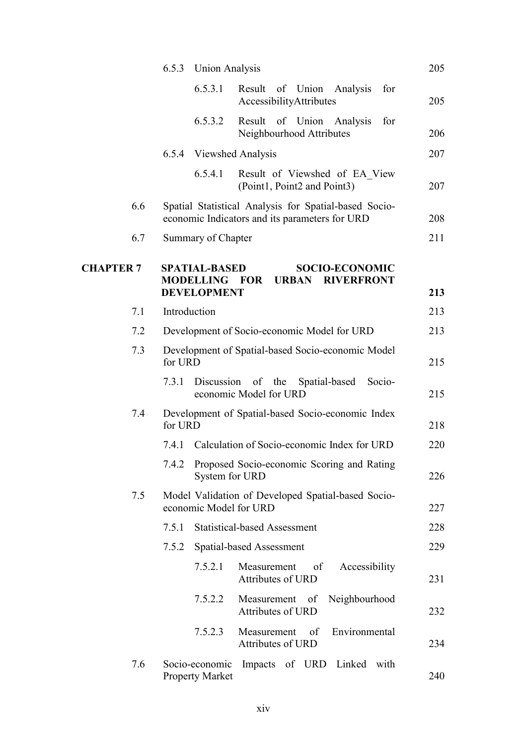|                  | 6.5.3<br><b>Union Analysis</b>                                     |                                                                                                         | 205 |
|------------------|--------------------------------------------------------------------|---------------------------------------------------------------------------------------------------------|-----|
|                  | 6.5.3.1                                                            | Result of Union Analysis<br>for<br>AccessibilityAttributes                                              | 205 |
|                  | 6.5.3.2                                                            | Result of Union Analysis<br>for<br>Neighbourhood Attributes                                             | 206 |
|                  | <b>Viewshed Analysis</b><br>6.5.4                                  |                                                                                                         | 207 |
|                  | 6.5.4.1                                                            | Result of Viewshed of EA View<br>(Point1, Point2 and Point3)                                            | 207 |
| 6.6              |                                                                    | Spatial Statistical Analysis for Spatial-based Socio-<br>economic Indicators and its parameters for URD | 208 |
| 6.7              | Summary of Chapter                                                 |                                                                                                         | 211 |
| <b>CHAPTER 7</b> | <b>SPATIAL-BASED</b><br><b>MODELLING FOR</b><br><b>DEVELOPMENT</b> | <b>SOCIO-ECONOMIC</b><br><b>URBAN RIVERFRONT</b>                                                        | 213 |
| 7.1              | Introduction                                                       |                                                                                                         | 213 |
| 7.2              |                                                                    | Development of Socio-economic Model for URD                                                             | 213 |
| 7.3              | for URD                                                            | Development of Spatial-based Socio-economic Model                                                       | 215 |
|                  | 7.3.1                                                              | Discussion of the Spatial-based<br>Socio-<br>economic Model for URD                                     | 215 |
| 7.4              | for URD                                                            | Development of Spatial-based Socio-economic Index                                                       | 218 |
|                  | 7.4.1                                                              | Calculation of Socio-economic Index for URD                                                             | 220 |
|                  | System for URD                                                     | 7.4.2 Proposed Socio-economic Scoring and Rating                                                        | 226 |
| 7.5              | economic Model for URD                                             | Model Validation of Developed Spatial-based Socio-                                                      | 227 |
|                  | 7.5.1                                                              | <b>Statistical-based Assessment</b>                                                                     | 228 |
|                  | 7.5.2                                                              | Spatial-based Assessment                                                                                | 229 |
|                  | 7.5.2.1                                                            | Measurement<br>of<br>Accessibility<br>Attributes of URD                                                 | 231 |
|                  | 7.5.2.2                                                            | Neighbourhood<br>Measurement of<br>Attributes of URD                                                    | 232 |
|                  | 7.5.2.3                                                            | Environmental<br>Measurement of<br>Attributes of URD                                                    | 234 |
| 7.6              | Socio-economic<br><b>Property Market</b>                           | Impacts of URD Linked with                                                                              | 240 |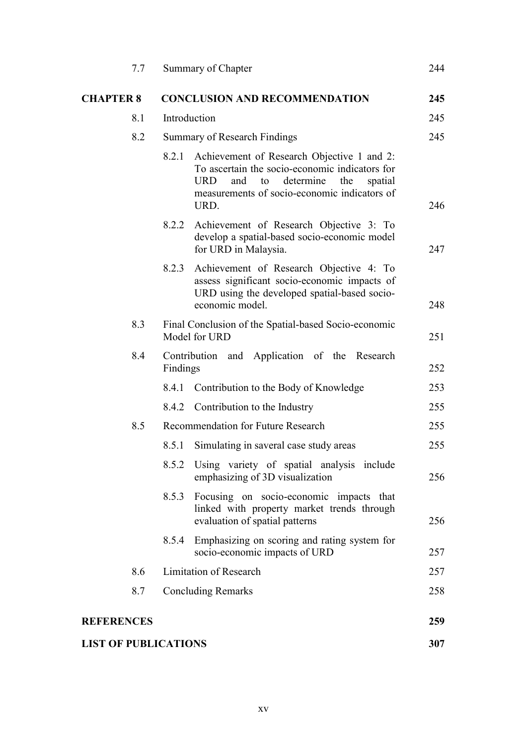| 7.7                         |              | Summary of Chapter                                                                                                                                                                                             | 244 |
|-----------------------------|--------------|----------------------------------------------------------------------------------------------------------------------------------------------------------------------------------------------------------------|-----|
| <b>CHAPTER 8</b>            |              | <b>CONCLUSION AND RECOMMENDATION</b>                                                                                                                                                                           | 245 |
| 8.1                         | Introduction |                                                                                                                                                                                                                | 245 |
| 8.2                         |              | Summary of Research Findings                                                                                                                                                                                   | 245 |
|                             | 8.2.1        | Achievement of Research Objective 1 and 2:<br>To ascertain the socio-economic indicators for<br><b>URD</b><br>determine<br>and<br>to<br>the<br>spatial<br>measurements of socio-economic indicators of<br>URD. | 246 |
|                             | 8.2.2        | Achievement of Research Objective 3: To<br>develop a spatial-based socio-economic model<br>for URD in Malaysia.                                                                                                | 247 |
|                             | 8.2.3        | Achievement of Research Objective 4: To<br>assess significant socio-economic impacts of<br>URD using the developed spatial-based socio-<br>economic model.                                                     | 248 |
| 8.3                         |              | Final Conclusion of the Spatial-based Socio-economic<br>Model for URD                                                                                                                                          | 251 |
| 8.4                         | Findings     | Contribution and Application of the Research                                                                                                                                                                   | 252 |
|                             | 8.4.1        | Contribution to the Body of Knowledge                                                                                                                                                                          | 253 |
|                             | 8.4.2        | Contribution to the Industry                                                                                                                                                                                   | 255 |
| 8.5                         |              | Recommendation for Future Research                                                                                                                                                                             | 255 |
|                             | 8.5.1        | Simulating in saveral case study areas                                                                                                                                                                         | 255 |
|                             | 8.5.2        | Using variety of spatial analysis include<br>emphasizing of 3D visualization                                                                                                                                   | 256 |
|                             | 8.5.3        | Focusing on socio-economic impacts that<br>linked with property market trends through<br>evaluation of spatial patterns                                                                                        | 256 |
|                             | 8.5.4        | Emphasizing on scoring and rating system for<br>socio-economic impacts of URD                                                                                                                                  | 257 |
| 8.6                         |              | Limitation of Research                                                                                                                                                                                         | 257 |
| 8.7                         |              | <b>Concluding Remarks</b>                                                                                                                                                                                      | 258 |
| <b>REFERENCES</b>           |              |                                                                                                                                                                                                                | 259 |
| <b>LIST OF PUBLICATIONS</b> |              |                                                                                                                                                                                                                | 307 |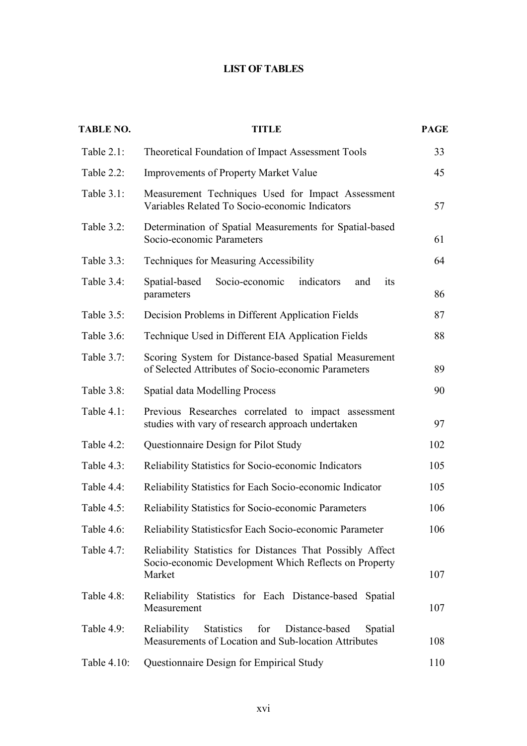### **LIST OF TABLES**

| <b>TABLE NO.</b> | <b>TITLE</b>                                                                                                                 | <b>PAGE</b> |
|------------------|------------------------------------------------------------------------------------------------------------------------------|-------------|
| Table 2.1:       | Theoretical Foundation of Impact Assessment Tools                                                                            | 33          |
| Table 2.2:       | <b>Improvements of Property Market Value</b>                                                                                 | 45          |
| Table 3.1:       | Measurement Techniques Used for Impact Assessment<br>Variables Related To Socio-economic Indicators                          | 57          |
| Table 3.2:       | Determination of Spatial Measurements for Spatial-based<br>Socio-economic Parameters                                         | 61          |
| Table 3.3:       | <b>Techniques for Measuring Accessibility</b>                                                                                | 64          |
| Table 3.4:       | Socio-economic<br>indicators<br>Spatial-based<br>its<br>and<br>parameters                                                    | 86          |
| Table 3.5:       | Decision Problems in Different Application Fields                                                                            | 87          |
| Table 3.6:       | Technique Used in Different EIA Application Fields                                                                           | 88          |
| Table 3.7:       | Scoring System for Distance-based Spatial Measurement<br>of Selected Attributes of Socio-economic Parameters                 | 89          |
| Table 3.8:       | <b>Spatial data Modelling Process</b>                                                                                        | 90          |
| Table 4.1:       | Previous Researches correlated to impact assessment<br>studies with vary of research approach undertaken                     | 97          |
| Table 4.2:       | Questionnaire Design for Pilot Study                                                                                         | 102         |
| Table 4.3:       | Reliability Statistics for Socio-economic Indicators                                                                         | 105         |
| Table 4.4:       | Reliability Statistics for Each Socio-economic Indicator                                                                     | 105         |
| Table 4.5:       | Reliability Statistics for Socio-economic Parameters                                                                         | 106         |
| Table 4.6:       | Reliability Statisticsfor Each Socio-economic Parameter                                                                      | 106         |
| Table 4.7:       | Reliability Statistics for Distances That Possibly Affect<br>Socio-economic Development Which Reflects on Property<br>Market | 107         |
| Table 4.8:       | Reliability Statistics for Each Distance-based Spatial<br>Measurement                                                        | 107         |
| Table 4.9:       | Reliability<br><b>Statistics</b><br>for<br>Distance-based<br>Spatial<br>Measurements of Location and Sub-location Attributes | 108         |
| Table 4.10:      | Questionnaire Design for Empirical Study                                                                                     | 110         |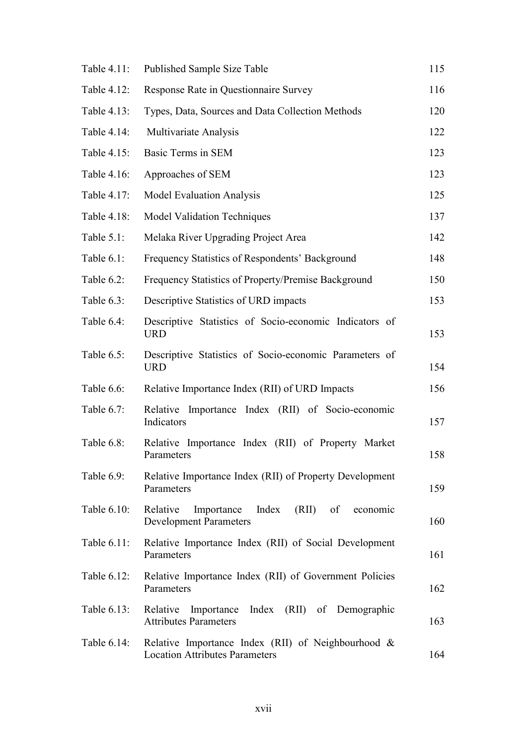| Table 4.11: | Published Sample Size Table                                                                    | 115 |
|-------------|------------------------------------------------------------------------------------------------|-----|
| Table 4.12: | Response Rate in Questionnaire Survey                                                          | 116 |
| Table 4.13: | Types, Data, Sources and Data Collection Methods                                               | 120 |
| Table 4.14: | Multivariate Analysis                                                                          | 122 |
| Table 4.15: | <b>Basic Terms in SEM</b>                                                                      | 123 |
| Table 4.16: | Approaches of SEM                                                                              | 123 |
| Table 4.17: | <b>Model Evaluation Analysis</b>                                                               | 125 |
| Table 4.18: | <b>Model Validation Techniques</b>                                                             | 137 |
| Table 5.1:  | Melaka River Upgrading Project Area                                                            | 142 |
| Table 6.1:  | Frequency Statistics of Respondents' Background                                                | 148 |
| Table 6.2:  | Frequency Statistics of Property/Premise Background                                            | 150 |
| Table 6.3:  | Descriptive Statistics of URD impacts                                                          | 153 |
| Table 6.4:  | Descriptive Statistics of Socio-economic Indicators of<br><b>URD</b>                           | 153 |
| Table 6.5:  | Descriptive Statistics of Socio-economic Parameters of<br><b>URD</b>                           | 154 |
| Table 6.6:  | Relative Importance Index (RII) of URD Impacts                                                 | 156 |
| Table 6.7:  | Relative Importance Index (RII) of Socio-economic<br>Indicators                                | 157 |
| Table 6.8:  | Relative Importance Index (RII) of Property Market<br>Parameters                               | 158 |
| Table 6.9:  | Relative Importance Index (RII) of Property Development<br>Parameters                          | 159 |
| Table 6.10: | Relative<br>Index<br>(RII)<br>Importance<br>of<br>economic<br><b>Development Parameters</b>    | 160 |
| Table 6.11: | Relative Importance Index (RII) of Social Development<br>Parameters                            | 161 |
| Table 6.12: | Relative Importance Index (RII) of Government Policies<br>Parameters                           | 162 |
| Table 6.13: | Importance Index (RII) of Demographic<br>Relative<br><b>Attributes Parameters</b>              | 163 |
| Table 6.14: | Relative Importance Index (RII) of Neighbourhood $\&$<br><b>Location Attributes Parameters</b> | 164 |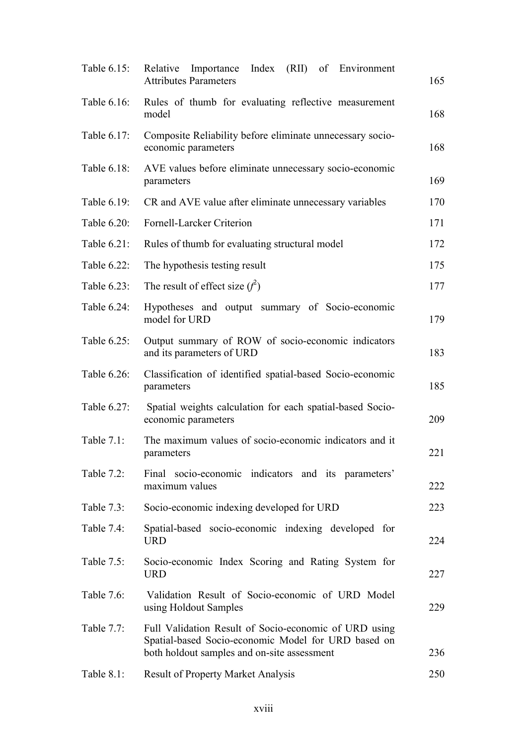| Table 6.15:   | Index (RII)<br>Relative<br>Importance<br>of Environment<br><b>Attributes Parameters</b>                                                                     | 165 |
|---------------|-------------------------------------------------------------------------------------------------------------------------------------------------------------|-----|
| Table 6.16:   | Rules of thumb for evaluating reflective measurement<br>model                                                                                               | 168 |
| Table 6.17:   | Composite Reliability before eliminate unnecessary socio-<br>economic parameters                                                                            | 168 |
| Table 6.18:   | AVE values before eliminate unnecessary socio-economic<br>parameters                                                                                        | 169 |
| Table 6.19:   | CR and AVE value after eliminate unnecessary variables                                                                                                      | 170 |
| Table 6.20:   | Fornell-Larcker Criterion                                                                                                                                   | 171 |
| Table 6.21:   | Rules of thumb for evaluating structural model                                                                                                              | 172 |
| Table 6.22:   | The hypothesis testing result                                                                                                                               | 175 |
| Table 6.23:   | The result of effect size $(f^2)$                                                                                                                           | 177 |
| Table 6.24:   | Hypotheses and output summary of Socio-economic<br>model for URD                                                                                            | 179 |
| Table 6.25:   | Output summary of ROW of socio-economic indicators<br>and its parameters of URD                                                                             | 183 |
| Table 6.26:   | Classification of identified spatial-based Socio-economic<br>parameters                                                                                     | 185 |
| Table 6.27:   | Spatial weights calculation for each spatial-based Socio-<br>economic parameters                                                                            | 209 |
| Table 7.1:    | The maximum values of socio-economic indicators and it<br>parameters                                                                                        | 221 |
| Table 7.2:    | Final socio-economic indicators and its parameters'<br>maximum values                                                                                       | 222 |
| Table 7.3:    | Socio-economic indexing developed for URD                                                                                                                   | 223 |
| Table 7.4:    | Spatial-based socio-economic indexing developed for<br><b>URD</b>                                                                                           | 224 |
| Table 7.5:    | Socio-economic Index Scoring and Rating System for<br><b>URD</b>                                                                                            | 227 |
| Table 7.6:    | Validation Result of Socio-economic of URD Model<br>using Holdout Samples                                                                                   | 229 |
| Table 7.7:    | Full Validation Result of Socio-economic of URD using<br>Spatial-based Socio-economic Model for URD based on<br>both holdout samples and on-site assessment | 236 |
| Table $8.1$ : | <b>Result of Property Market Analysis</b>                                                                                                                   | 250 |
|               |                                                                                                                                                             |     |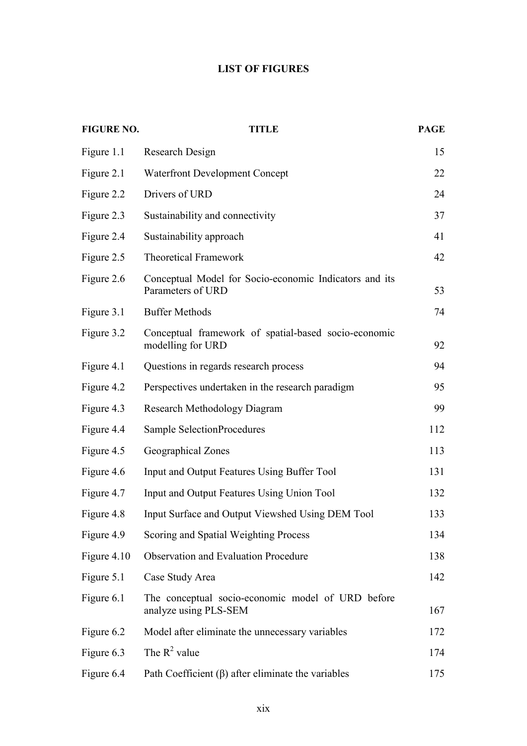#### **LIST OF FIGURES**

| <b>FIGURE NO.</b> | <b>TITLE</b>                                                                | <b>PAGE</b> |
|-------------------|-----------------------------------------------------------------------------|-------------|
| Figure 1.1        | Research Design                                                             | 15          |
| Figure 2.1        | <b>Waterfront Development Concept</b>                                       | 22          |
| Figure 2.2        | Drivers of URD                                                              | 24          |
| Figure 2.3        | Sustainability and connectivity                                             | 37          |
| Figure 2.4        | Sustainability approach                                                     | 41          |
| Figure 2.5        | <b>Theoretical Framework</b>                                                | 42          |
| Figure 2.6        | Conceptual Model for Socio-economic Indicators and its<br>Parameters of URD | 53          |
| Figure 3.1        | <b>Buffer Methods</b>                                                       | 74          |
| Figure 3.2        | Conceptual framework of spatial-based socio-economic<br>modelling for URD   | 92          |
| Figure 4.1        | Questions in regards research process                                       | 94          |
| Figure 4.2        | Perspectives undertaken in the research paradigm                            | 95          |
| Figure 4.3        | <b>Research Methodology Diagram</b>                                         | 99          |
| Figure 4.4        | Sample SelectionProcedures                                                  | 112         |
| Figure 4.5        | Geographical Zones                                                          | 113         |
| Figure 4.6        | Input and Output Features Using Buffer Tool                                 | 131         |
| Figure 4.7        | Input and Output Features Using Union Tool                                  | 132         |
| Figure 4.8        | Input Surface and Output Viewshed Using DEM Tool                            | 133         |
| Figure 4.9        | Scoring and Spatial Weighting Process                                       | 134         |
| Figure 4.10       | <b>Observation and Evaluation Procedure</b>                                 | 138         |
| Figure 5.1        | Case Study Area                                                             | 142         |
| Figure 6.1        | The conceptual socio-economic model of URD before<br>analyze using PLS-SEM  | 167         |
| Figure 6.2        | Model after eliminate the unnecessary variables                             | 172         |
| Figure 6.3        | The $R^2$ value                                                             | 174         |
| Figure 6.4        | Path Coefficient $(\beta)$ after eliminate the variables                    | 175         |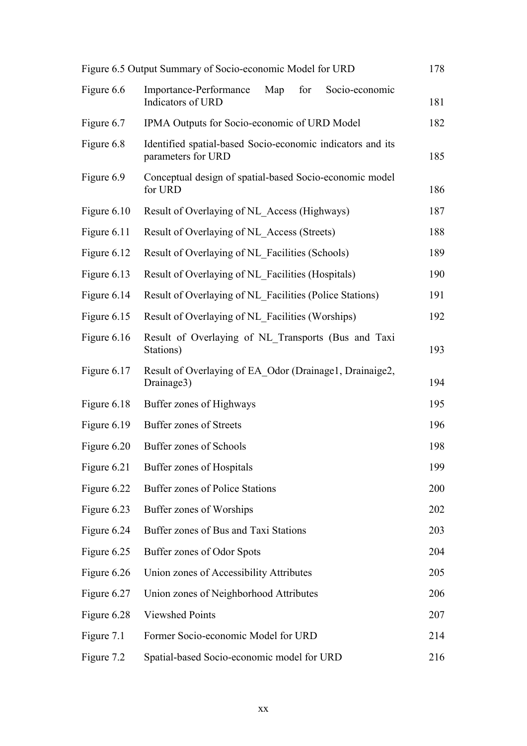|             | Figure 6.5 Output Summary of Socio-economic Model for URD                        | 178 |
|-------------|----------------------------------------------------------------------------------|-----|
| Figure 6.6  | for<br>Socio-economic<br>Importance-Performance<br>Map<br>Indicators of URD      | 181 |
| Figure 6.7  | IPMA Outputs for Socio-economic of URD Model                                     | 182 |
| Figure 6.8  | Identified spatial-based Socio-economic indicators and its<br>parameters for URD | 185 |
| Figure 6.9  | Conceptual design of spatial-based Socio-economic model<br>for URD               | 186 |
| Figure 6.10 | Result of Overlaying of NL Access (Highways)                                     | 187 |
| Figure 6.11 | Result of Overlaying of NL Access (Streets)                                      | 188 |
| Figure 6.12 | Result of Overlaying of NL Facilities (Schools)                                  | 189 |
| Figure 6.13 | Result of Overlaying of NL Facilities (Hospitals)                                | 190 |
| Figure 6.14 | Result of Overlaying of NL Facilities (Police Stations)                          | 191 |
| Figure 6.15 | Result of Overlaying of NL Facilities (Worships)                                 | 192 |
| Figure 6.16 | Result of Overlaying of NL Transports (Bus and Taxi<br>Stations)                 | 193 |
| Figure 6.17 | Result of Overlaying of EA Odor (Drainage1, Drainaige2,<br>Drainage3)            | 194 |
| Figure 6.18 | Buffer zones of Highways                                                         | 195 |
| Figure 6.19 | <b>Buffer zones of Streets</b>                                                   | 196 |
| Figure 6.20 | Buffer zones of Schools                                                          | 198 |
| Figure 6.21 | Buffer zones of Hospitals                                                        | 199 |
| Figure 6.22 | Buffer zones of Police Stations                                                  | 200 |
| Figure 6.23 | Buffer zones of Worships                                                         | 202 |
| Figure 6.24 | Buffer zones of Bus and Taxi Stations                                            | 203 |
| Figure 6.25 | Buffer zones of Odor Spots                                                       | 204 |
| Figure 6.26 | Union zones of Accessibility Attributes                                          | 205 |
| Figure 6.27 | Union zones of Neighborhood Attributes                                           | 206 |
| Figure 6.28 | <b>Viewshed Points</b>                                                           | 207 |
| Figure 7.1  | Former Socio-economic Model for URD                                              | 214 |
| Figure 7.2  | Spatial-based Socio-economic model for URD                                       | 216 |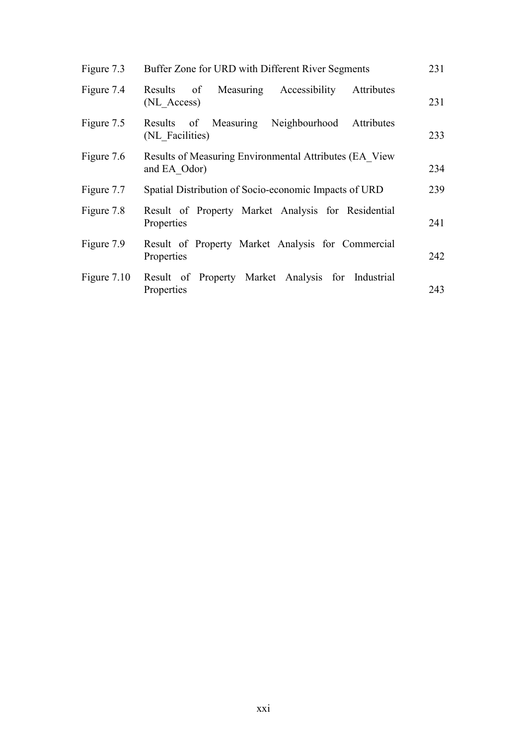| Figure 7.3  | Buffer Zone for URD with Different River Segments                      | 231 |
|-------------|------------------------------------------------------------------------|-----|
| Figure 7.4  | Measuring Accessibility<br>Results<br>of<br>Attributes<br>(NL Access)  | 231 |
| Figure 7.5  | Results of Measuring<br>Neighbourhood<br>Attributes<br>(NL Facilities) | 233 |
| Figure 7.6  | Results of Measuring Environmental Attributes (EA View<br>and EA Odor) | 234 |
| Figure 7.7  | Spatial Distribution of Socio-economic Impacts of URD                  | 239 |
| Figure 7.8  | Result of Property Market Analysis for Residential<br>Properties       | 241 |
| Figure 7.9  | Result of Property Market Analysis for Commercial<br>Properties        | 242 |
| Figure 7.10 | Result of Property Market Analysis for Industrial<br>Properties        | 243 |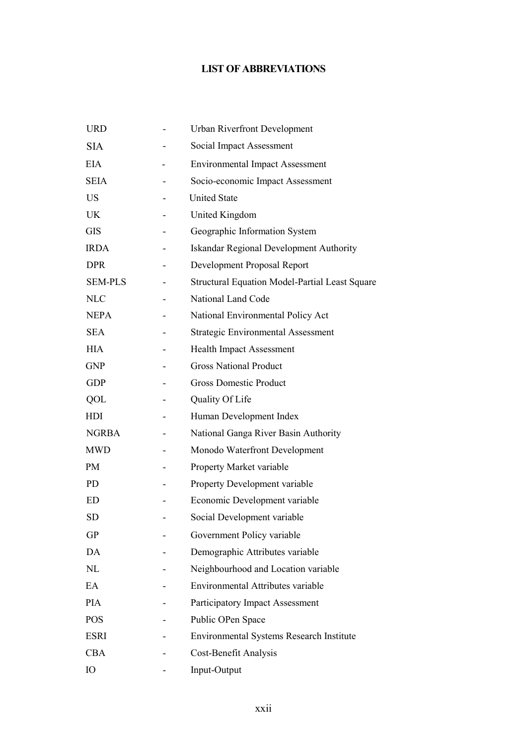## **LIST OF ABBREVIATIONS**

| <b>URD</b>     | <b>Urban Riverfront Development</b>                   |
|----------------|-------------------------------------------------------|
| <b>SIA</b>     | Social Impact Assessment                              |
| <b>EIA</b>     | <b>Environmental Impact Assessment</b>                |
| <b>SEIA</b>    | Socio-economic Impact Assessment                      |
| <b>US</b>      | <b>United State</b>                                   |
| <b>UK</b>      | United Kingdom                                        |
| <b>GIS</b>     | Geographic Information System                         |
| <b>IRDA</b>    | <b>Iskandar Regional Development Authority</b>        |
| <b>DPR</b>     | Development Proposal Report                           |
| <b>SEM-PLS</b> | <b>Structural Equation Model-Partial Least Square</b> |
| <b>NLC</b>     | National Land Code                                    |
| <b>NEPA</b>    | National Environmental Policy Act                     |
| <b>SEA</b>     | <b>Strategic Environmental Assessment</b>             |
| <b>HIA</b>     | <b>Health Impact Assessment</b>                       |
| <b>GNP</b>     | <b>Gross National Product</b>                         |
| <b>GDP</b>     | <b>Gross Domestic Product</b>                         |
| QOL            | Quality Of Life                                       |
| HDI            | Human Development Index                               |
| <b>NGRBA</b>   | National Ganga River Basin Authority                  |
| <b>MWD</b>     | Monodo Waterfront Development                         |
| PM             | Property Market variable                              |
| PD             | Property Development variable                         |
| ED             | Economic Development variable                         |
| <b>SD</b>      | Social Development variable                           |
| <b>GP</b>      | Government Policy variable                            |
| DA             | Demographic Attributes variable                       |
| NL             | Neighbourhood and Location variable                   |
| EA             | Environmental Attributes variable                     |
| <b>PIA</b>     | Participatory Impact Assessment                       |
| <b>POS</b>     | Public OPen Space                                     |
| <b>ESRI</b>    | <b>Environmental Systems Research Institute</b>       |
| <b>CBA</b>     | Cost-Benefit Analysis                                 |
| IO             | Input-Output                                          |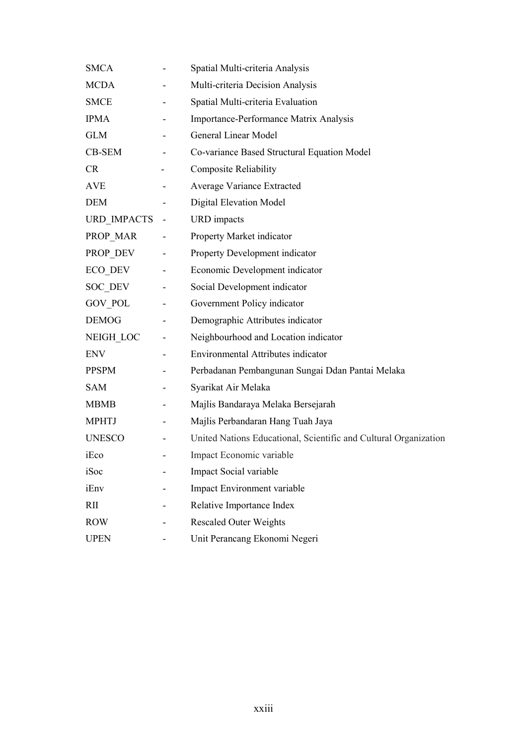| <b>SMCA</b>   |   | Spatial Multi-criteria Analysis                                  |
|---------------|---|------------------------------------------------------------------|
| <b>MCDA</b>   |   | Multi-criteria Decision Analysis                                 |
| <b>SMCE</b>   |   | Spatial Multi-criteria Evaluation                                |
| <b>IPMA</b>   |   | Importance-Performance Matrix Analysis                           |
| <b>GLM</b>    |   | <b>General Linear Model</b>                                      |
| CB-SEM        |   | Co-variance Based Structural Equation Model                      |
| <b>CR</b>     |   | <b>Composite Reliability</b>                                     |
| <b>AVE</b>    |   | Average Variance Extracted                                       |
| <b>DEM</b>    |   | <b>Digital Elevation Model</b>                                   |
| URD IMPACTS   |   | <b>URD</b> impacts                                               |
| PROP_MAR      |   | Property Market indicator                                        |
| PROP DEV      |   | Property Development indicator                                   |
| ECO DEV       | - | Economic Development indicator                                   |
| SOC DEV       |   | Social Development indicator                                     |
| GOV POL       |   | Government Policy indicator                                      |
| <b>DEMOG</b>  |   | Demographic Attributes indicator                                 |
| NEIGH LOC     |   | Neighbourhood and Location indicator                             |
| <b>ENV</b>    |   | Environmental Attributes indicator                               |
| <b>PPSPM</b>  |   | Perbadanan Pembangunan Sungai Ddan Pantai Melaka                 |
| <b>SAM</b>    |   | Syarikat Air Melaka                                              |
| <b>MBMB</b>   |   | Majlis Bandaraya Melaka Bersejarah                               |
| <b>MPHTJ</b>  |   | Majlis Perbandaran Hang Tuah Jaya                                |
| <b>UNESCO</b> |   | United Nations Educational, Scientific and Cultural Organization |
| iEco          |   | Impact Economic variable                                         |
| iSoc          |   | Impact Social variable                                           |
| iEnv          |   | Impact Environment variable                                      |
| <b>RII</b>    |   | Relative Importance Index                                        |
| <b>ROW</b>    |   | <b>Rescaled Outer Weights</b>                                    |
| <b>UPEN</b>   |   | Unit Perancang Ekonomi Negeri                                    |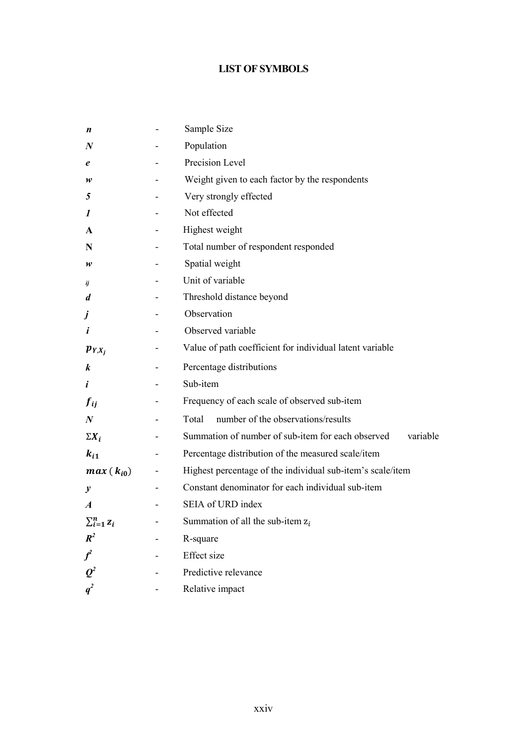## **LIST OF SYMBOLS**

| n                       | Sample Size                                                   |
|-------------------------|---------------------------------------------------------------|
| $\boldsymbol{N}$        | Population                                                    |
| e                       | Precision Level                                               |
| w                       | Weight given to each factor by the respondents                |
| 5                       | Very strongly effected                                        |
| 1                       | Not effected                                                  |
| A                       | Highest weight                                                |
| N                       | Total number of respondent responded                          |
| w                       | Spatial weight                                                |
| ij                      | Unit of variable                                              |
| $\boldsymbol{d}$        | Threshold distance beyond                                     |
| j                       | Observation                                                   |
| i                       | Observed variable                                             |
| $p_{Y,X_i}$             | Value of path coefficient for individual latent variable      |
| k                       | Percentage distributions                                      |
| i                       | Sub-item                                                      |
| $f_{ij}$                | Frequency of each scale of observed sub-item                  |
| $\boldsymbol{N}$        | number of the observations/results<br>Total                   |
| $\Sigma X_i$            | Summation of number of sub-item for each observed<br>variable |
| $k_{i1}$                | Percentage distribution of the measured scale/item            |
| $max(k_{i0})$           | Highest percentage of the individual sub-item's scale/item    |
| $\boldsymbol{y}$        | Constant denominator for each individual sub-item             |
| $\boldsymbol{A}$        | SEIA of URD index                                             |
| $\sum_{i=1}^n z_i$      | Summation of all the sub-item $z_i$                           |
| $\mathbf{R}^2$          | R-square                                                      |
| $\textbf{\textit{f}}^2$ | <b>Effect</b> size                                            |
| $\boldsymbol{Q}^2$      | Predictive relevance                                          |
| $q^2$                   | Relative impact                                               |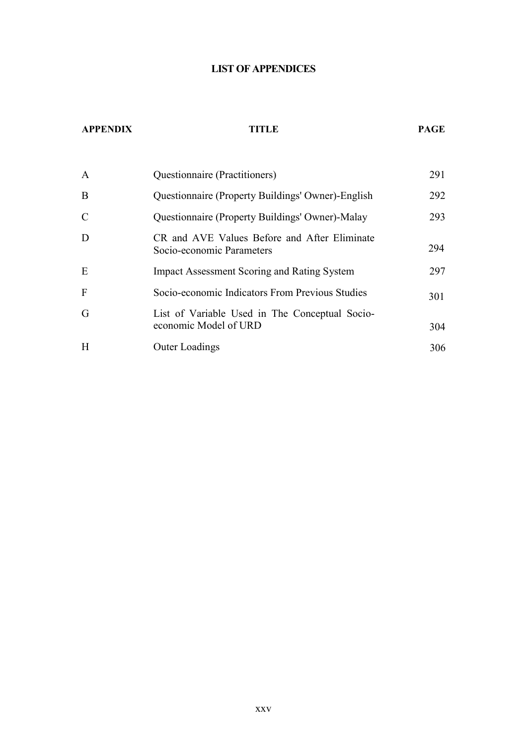#### **LIST OF APPENDICES**

#### **APPENDIX TITLE PAGE**

| A             | Questionnaire (Practitioners)                                             | 291 |
|---------------|---------------------------------------------------------------------------|-----|
| B             | Questionnaire (Property Buildings' Owner)-English                         | 292 |
| $\mathcal{C}$ | Questionnaire (Property Buildings' Owner)-Malay                           | 293 |
| D             | CR and AVE Values Before and After Eliminate<br>Socio-economic Parameters | 294 |
| E             | <b>Impact Assessment Scoring and Rating System</b>                        | 297 |
| F             | Socio-economic Indicators From Previous Studies                           | 301 |
| G             | List of Variable Used in The Conceptual Socio-<br>economic Model of URD   | 304 |
| H             | <b>Outer Loadings</b>                                                     | 306 |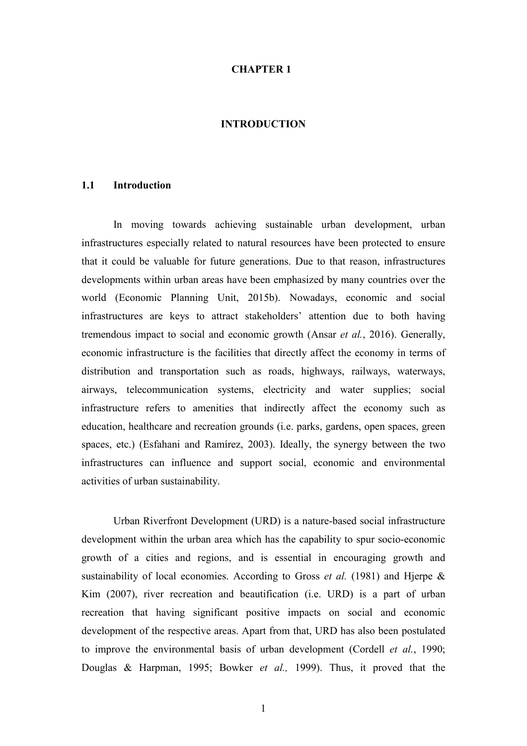#### **CHAPTER 1**

#### **INTRODUCTION**

#### **1.1 Introduction**

In moving towards achieving sustainable urban development, urban infrastructures especially related to natural resources have been protected to ensure that it could be valuable for future generations. Due to that reason, infrastructures developments within urban areas have been emphasized by many countries over the world (Economic Planning Unit, 2015b). Nowadays, economic and social infrastructures are keys to attract stakeholders' attention due to both having tremendous impact to social and economic growth (Ansar *et al.*, 2016). Generally, economic infrastructure is the facilities that directly affect the economy in terms of distribution and transportation such as roads, highways, railways, waterways, airways, telecommunication systems, electricity and water supplies; social infrastructure refers to amenities that indirectly affect the economy such as education, healthcare and recreation grounds (i.e. parks, gardens, open spaces, green spaces, etc.) (Esfahani and Ramírez, 2003). Ideally, the synergy between the two infrastructures can influence and support social, economic and environmental activities of urban sustainability.

Urban Riverfront Development (URD) is a nature-based social infrastructure development within the urban area which has the capability to spur socio-economic growth of a cities and regions, and is essential in encouraging growth and sustainability of local economies. According to Gross *et al.* (1981) and Hjerpe & Kim (2007), river recreation and beautification (i.e. URD) is a part of urban recreation that having significant positive impacts on social and economic development of the respective areas. Apart from that, URD has also been postulated to improve the environmental basis of urban development (Cordell *et al.*, 1990; Douglas & Harpman, 1995; Bowker *et al.,* 1999). Thus, it proved that the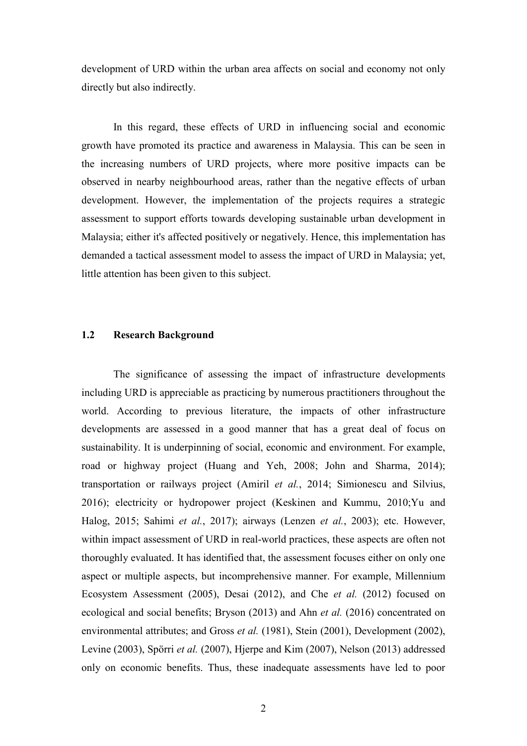development of URD within the urban area affects on social and economy not only directly but also indirectly.

In this regard, these effects of URD in influencing social and economic growth have promoted its practice and awareness in Malaysia. This can be seen in the increasing numbers of URD projects, where more positive impacts can be observed in nearby neighbourhood areas, rather than the negative effects of urban development. However, the implementation of the projects requires a strategic assessment to support efforts towards developing sustainable urban development in Malaysia; either it's affected positively or negatively. Hence, this implementation has demanded a tactical assessment model to assess the impact of URD in Malaysia; yet, little attention has been given to this subject.

#### **1.2 Research Background**

The significance of assessing the impact of infrastructure developments including URD is appreciable as practicing by numerous practitioners throughout the world. According to previous literature, the impacts of other infrastructure developments are assessed in a good manner that has a great deal of focus on sustainability. It is underpinning of social, economic and environment. For example, road or highway project (Huang and Yeh, 2008; John and Sharma, 2014); transportation or railways project (Amiril *et al.*, 2014; Simionescu and Silvius, 2016); electricity or hydropower project (Keskinen and Kummu, 2010;Yu and Halog, 2015; Sahimi *et al.*, 2017); airways (Lenzen *et al.*, 2003); etc. However, within impact assessment of URD in real-world practices, these aspects are often not thoroughly evaluated. It has identified that, the assessment focuses either on only one aspect or multiple aspects, but incomprehensive manner. For example, Millennium Ecosystem Assessment (2005), Desai (2012), and Che *et al.* (2012) focused on ecological and social benefits; Bryson (2013) and Ahn *et al.* (2016) concentrated on environmental attributes; and Gross *et al.* (1981), Stein (2001), Development (2002), Levine (2003), Spörri *et al.* (2007), Hjerpe and Kim (2007), Nelson (2013) addressed only on economic benefits. Thus, these inadequate assessments have led to poor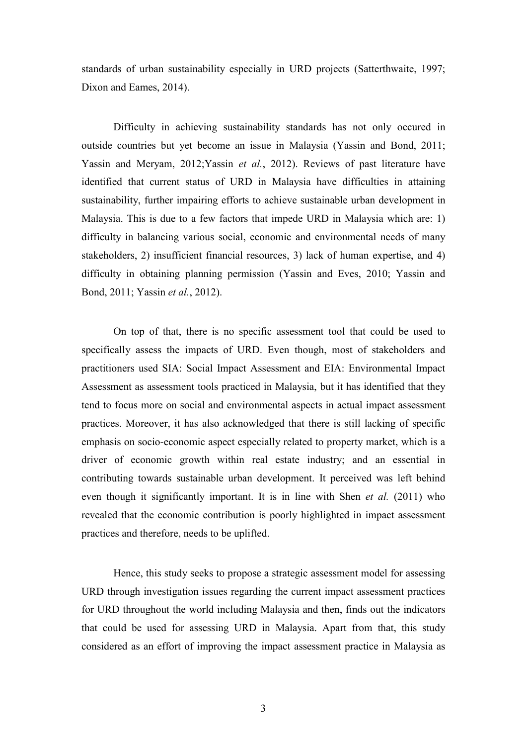standards of urban sustainability especially in URD projects (Satterthwaite, 1997; Dixon and Eames, 2014).

Difficulty in achieving sustainability standards has not only occured in outside countries but yet become an issue in Malaysia (Yassin and Bond, 2011; Yassin and Meryam, 2012;Yassin *et al.*, 2012). Reviews of past literature have identified that current status of URD in Malaysia have difficulties in attaining sustainability, further impairing efforts to achieve sustainable urban development in Malaysia. This is due to a few factors that impede URD in Malaysia which are: 1) difficulty in balancing various social, economic and environmental needs of many stakeholders, 2) insufficient financial resources, 3) lack of human expertise, and 4) difficulty in obtaining planning permission (Yassin and Eves, 2010; Yassin and Bond, 2011; Yassin *et al.*, 2012).

On top of that, there is no specific assessment tool that could be used to specifically assess the impacts of URD. Even though, most of stakeholders and practitioners used SIA: Social Impact Assessment and EIA: Environmental Impact Assessment as assessment tools practiced in Malaysia, but it has identified that they tend to focus more on social and environmental aspects in actual impact assessment practices. Moreover, it has also acknowledged that there is still lacking of specific emphasis on socio-economic aspect especially related to property market, which is a driver of economic growth within real estate industry; and an essential in contributing towards sustainable urban development. It perceived was left behind even though it significantly important. It is in line with Shen *et al.* (2011) who revealed that the economic contribution is poorly highlighted in impact assessment practices and therefore, needs to be uplifted.

Hence, this study seeks to propose a strategic assessment model for assessing URD through investigation issues regarding the current impact assessment practices for URD throughout the world including Malaysia and then, finds out the indicators that could be used for assessing URD in Malaysia. Apart from that, this study considered as an effort of improving the impact assessment practice in Malaysia as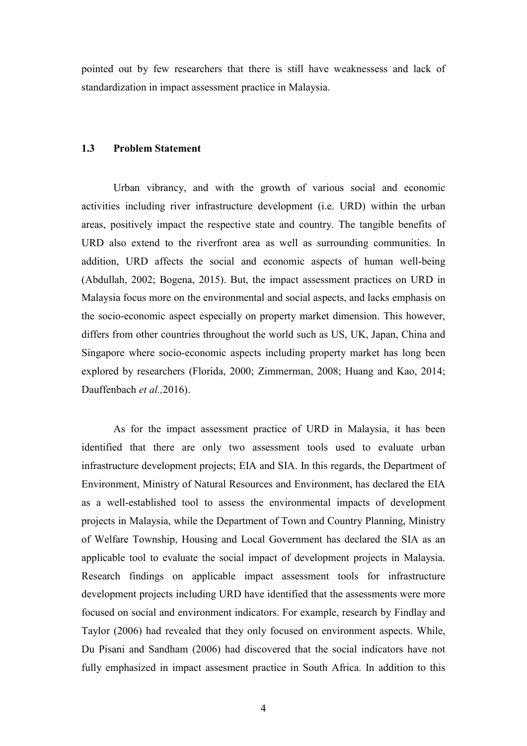pointed out by few researchers that there is still have weaknessess and lack of standardization in impact assessment practice in Malaysia.

#### **1.3 Problem Statement**

Urban vibrancy, and with the growth of various social and economic activities including river infrastructure development (i.e. URD) within the urban areas, positively impact the respective state and country. The tangible benefits of URD also extend to the riverfront area as well as surrounding communities. In addition, URD affects the social and economic aspects of human well-being (Abdullah, 2002; Bogena, 2015). But, the impact assessment practices on URD in Malaysia focus more on the environmental and social aspects, and lacks emphasis on the socio-economic aspect especially on property market dimension. This however, differs from other countries throughout the world such as US, UK, Japan, China and Singapore where socio-economic aspects including property market has long been explored by researchers (Florida, 2000; Zimmerman, 2008; Huang and Kao, 2014; Dauffenbach *et al.,*2016).

As for the impact assessment practice of URD in Malaysia, it has been identified that there are only two assessment tools used to evaluate urban infrastructure development projects; EIA and SIA. In this regards, the Department of Environment, Ministry of Natural Resources and Environment, has declared the EIA as a well-established tool to assess the environmental impacts of development projects in Malaysia, while the Department of Town and Country Planning, Ministry of Welfare Township, Housing and Local Government has declared the SIA as an applicable tool to evaluate the social impact of development projects in Malaysia. Research findings on applicable impact assessment tools for infrastructure development projects including URD have identified that the assessments were more focused on social and environment indicators. For example, research by Findlay and Taylor (2006) had revealed that they only focused on environment aspects. While, Du Pisani and Sandham (2006) had discovered that the social indicators have not fully emphasized in impact assesment practice in South Africa. In addition to this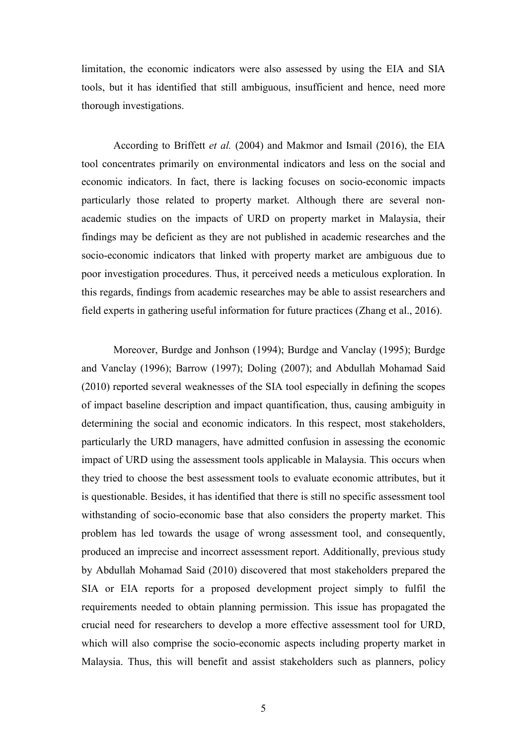limitation, the economic indicators were also assessed by using the EIA and SIA tools, but it has identified that still ambiguous, insufficient and hence, need more thorough investigations.

According to Briffett *et al.* (2004) and Makmor and Ismail (2016), the EIA tool concentrates primarily on environmental indicators and less on the social and economic indicators. In fact, there is lacking focuses on socio-economic impacts particularly those related to property market. Although there are several nonacademic studies on the impacts of URD on property market in Malaysia, their findings may be deficient as they are not published in academic researches and the socio-economic indicators that linked with property market are ambiguous due to poor investigation procedures. Thus, it perceived needs a meticulous exploration. In this regards, findings from academic researches may be able to assist researchers and field experts in gathering useful information for future practices (Zhang et al., 2016).

Moreover, Burdge and Jonhson (1994); Burdge and Vanclay (1995); Burdge and Vanclay (1996); Barrow (1997); Doling (2007); and Abdullah Mohamad Said (2010) reported several weaknesses of the SIA tool especially in defining the scopes of impact baseline description and impact quantification, thus, causing ambiguity in determining the social and economic indicators. In this respect, most stakeholders, particularly the URD managers, have admitted confusion in assessing the economic impact of URD using the assessment tools applicable in Malaysia. This occurs when they tried to choose the best assessment tools to evaluate economic attributes, but it is questionable. Besides, it has identified that there is still no specific assessment tool withstanding of socio-economic base that also considers the property market. This problem has led towards the usage of wrong assessment tool, and consequently, produced an imprecise and incorrect assessment report. Additionally, previous study by Abdullah Mohamad Said (2010) discovered that most stakeholders prepared the SIA or EIA reports for a proposed development project simply to fulfil the requirements needed to obtain planning permission. This issue has propagated the crucial need for researchers to develop a more effective assessment tool for URD, which will also comprise the socio-economic aspects including property market in Malaysia. Thus, this will benefit and assist stakeholders such as planners, policy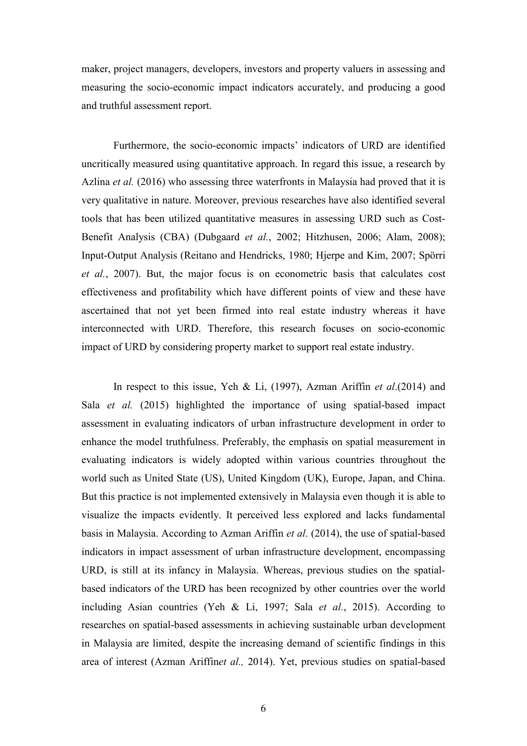maker, project managers, developers, investors and property valuers in assessing and measuring the socio-economic impact indicators accurately, and producing a good and truthful assessment report.

Furthermore, the socio-economic impacts' indicators of URD are identified uncritically measured using quantitative approach. In regard this issue, a research by Azlina *et al.* (2016) who assessing three waterfronts in Malaysia had proved that it is very qualitative in nature. Moreover, previous researches have also identified several tools that has been utilized quantitative measures in assessing URD such as Cost-Benefit Analysis (CBA) (Dubgaard *et al.*, 2002; Hitzhusen, 2006; Alam, 2008); Input-Output Analysis (Reitano and Hendricks, 1980; Hjerpe and Kim, 2007; Spörri *et al.*, 2007). But, the major focus is on econometric basis that calculates cost effectiveness and profitability which have different points of view and these have ascertained that not yet been firmed into real estate industry whereas it have interconnected with URD. Therefore, this research focuses on socio-economic impact of URD by considering property market to support real estate industry.

In respect to this issue, Yeh & Li, (1997), Azman Ariffin *et al*.(2014) and Sala *et al.* (2015) highlighted the importance of using spatial-based impact assessment in evaluating indicators of urban infrastructure development in order to enhance the model truthfulness. Preferably, the emphasis on spatial measurement in evaluating indicators is widely adopted within various countries throughout the world such as United State (US), United Kingdom (UK), Europe, Japan, and China. But this practice is not implemented extensively in Malaysia even though it is able to visualize the impacts evidently. It perceived less explored and lacks fundamental basis in Malaysia. According to Azman Ariffin *et al*. (2014), the use of spatial-based indicators in impact assessment of urban infrastructure development, encompassing URD, is still at its infancy in Malaysia. Whereas, previous studies on the spatialbased indicators of the URD has been recognized by other countries over the world including Asian countries (Yeh & Li, 1997; Sala *et al.*, 2015). According to researches on spatial-based assessments in achieving sustainable urban development in Malaysia are limited, despite the increasing demand of scientific findings in this area of interest (Azman Ariffin*et al.,* 2014). Yet, previous studies on spatial-based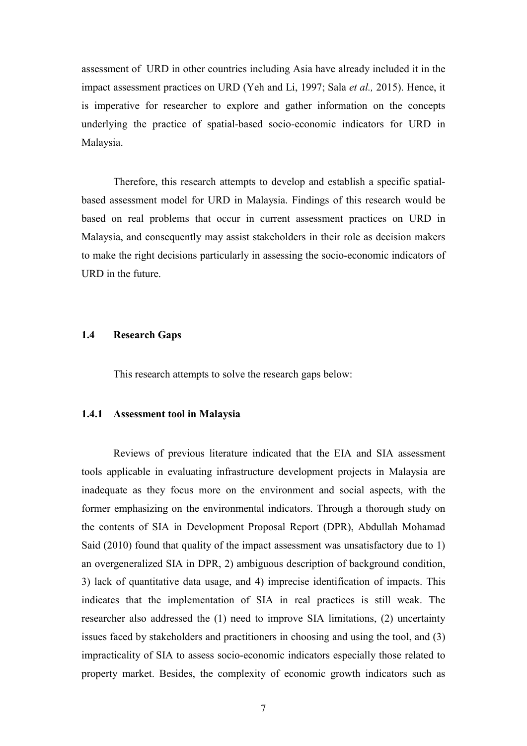assessment of URD in other countries including Asia have already included it in the impact assessment practices on URD (Yeh and Li, 1997; Sala *et al.,* 2015). Hence, it is imperative for researcher to explore and gather information on the concepts underlying the practice of spatial-based socio-economic indicators for URD in Malaysia.

Therefore, this research attempts to develop and establish a specific spatialbased assessment model for URD in Malaysia. Findings of this research would be based on real problems that occur in current assessment practices on URD in Malaysia, and consequently may assist stakeholders in their role as decision makers to make the right decisions particularly in assessing the socio-economic indicators of URD in the future.

#### **1.4 Research Gaps**

This research attempts to solve the research gaps below:

#### **1.4.1 Assessment tool in Malaysia**

Reviews of previous literature indicated that the EIA and SIA assessment tools applicable in evaluating infrastructure development projects in Malaysia are inadequate as they focus more on the environment and social aspects, with the former emphasizing on the environmental indicators. Through a thorough study on the contents of SIA in Development Proposal Report (DPR), Abdullah Mohamad Said (2010) found that quality of the impact assessment was unsatisfactory due to 1) an overgeneralized SIA in DPR, 2) ambiguous description of background condition, 3) lack of quantitative data usage, and 4) imprecise identification of impacts. This indicates that the implementation of SIA in real practices is still weak. The researcher also addressed the (1) need to improve SIA limitations, (2) uncertainty issues faced by stakeholders and practitioners in choosing and using the tool, and (3) impracticality of SIA to assess socio-economic indicators especially those related to property market. Besides, the complexity of economic growth indicators such as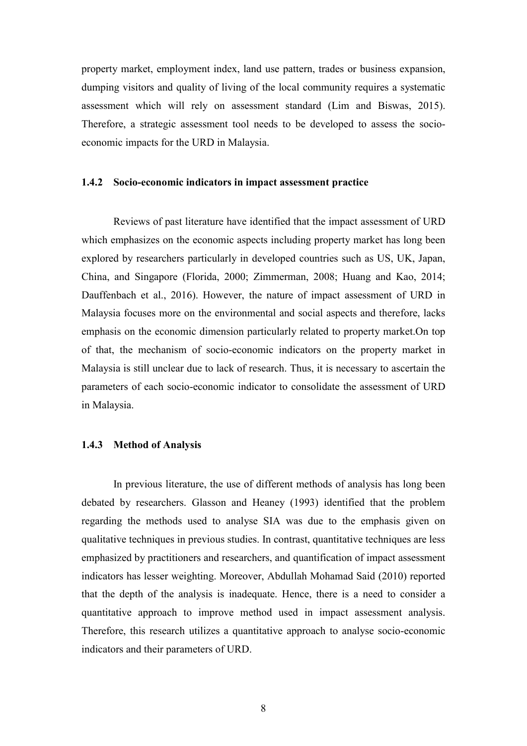property market, employment index, land use pattern, trades or business expansion, dumping visitors and quality of living of the local community requires a systematic assessment which will rely on assessment standard (Lim and Biswas, 2015). Therefore, a strategic assessment tool needs to be developed to assess the socioeconomic impacts for the URD in Malaysia.

#### **1.4.2 Socio-economic indicators in impact assessment practice**

Reviews of past literature have identified that the impact assessment of URD which emphasizes on the economic aspects including property market has long been explored by researchers particularly in developed countries such as US, UK, Japan, China, and Singapore (Florida, 2000; Zimmerman, 2008; Huang and Kao, 2014; Dauffenbach et al., 2016). However, the nature of impact assessment of URD in Malaysia focuses more on the environmental and social aspects and therefore, lacks emphasis on the economic dimension particularly related to property market.On top of that, the mechanism of socio-economic indicators on the property market in Malaysia is still unclear due to lack of research. Thus, it is necessary to ascertain the parameters of each socio-economic indicator to consolidate the assessment of URD in Malaysia.

#### **1.4.3 Method of Analysis**

In previous literature, the use of different methods of analysis has long been debated by researchers. Glasson and Heaney (1993) identified that the problem regarding the methods used to analyse SIA was due to the emphasis given on qualitative techniques in previous studies. In contrast, quantitative techniques are less emphasized by practitioners and researchers, and quantification of impact assessment indicators has lesser weighting. Moreover, Abdullah Mohamad Said (2010) reported that the depth of the analysis is inadequate. Hence, there is a need to consider a quantitative approach to improve method used in impact assessment analysis. Therefore, this research utilizes a quantitative approach to analyse socio-economic indicators and their parameters of URD.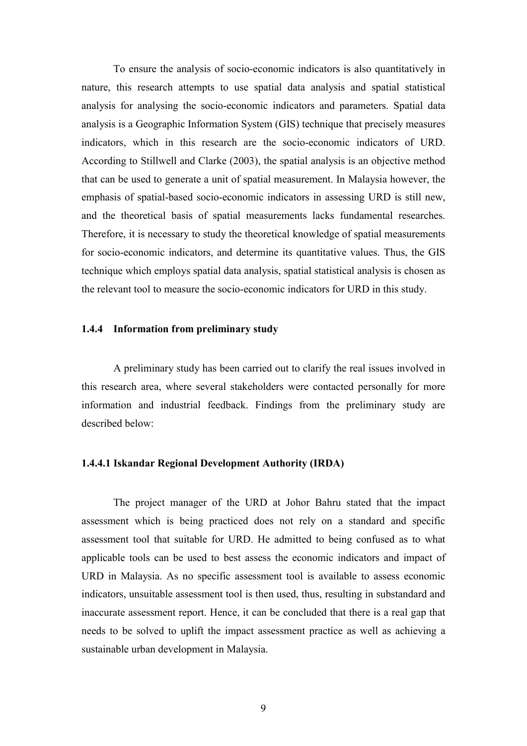To ensure the analysis of socio-economic indicators is also quantitatively in nature, this research attempts to use spatial data analysis and spatial statistical analysis for analysing the socio-economic indicators and parameters. Spatial data analysis is a Geographic Information System (GIS) technique that precisely measures indicators, which in this research are the socio-economic indicators of URD. According to Stillwell and Clarke (2003), the spatial analysis is an objective method that can be used to generate a unit of spatial measurement. In Malaysia however, the emphasis of spatial-based socio-economic indicators in assessing URD is still new, and the theoretical basis of spatial measurements lacks fundamental researches. Therefore, it is necessary to study the theoretical knowledge of spatial measurements for socio-economic indicators, and determine its quantitative values. Thus, the GIS technique which employs spatial data analysis, spatial statistical analysis is chosen as the relevant tool to measure the socio-economic indicators for URD in this study.

#### **1.4.4 Information from preliminary study**

A preliminary study has been carried out to clarify the real issues involved in this research area, where several stakeholders were contacted personally for more information and industrial feedback. Findings from the preliminary study are described below:

#### **1.4.4.1 Iskandar Regional Development Authority (IRDA)**

The project manager of the URD at Johor Bahru stated that the impact assessment which is being practiced does not rely on a standard and specific assessment tool that suitable for URD. He admitted to being confused as to what applicable tools can be used to best assess the economic indicators and impact of URD in Malaysia. As no specific assessment tool is available to assess economic indicators, unsuitable assessment tool is then used, thus, resulting in substandard and inaccurate assessment report. Hence, it can be concluded that there is a real gap that needs to be solved to uplift the impact assessment practice as well as achieving a sustainable urban development in Malaysia.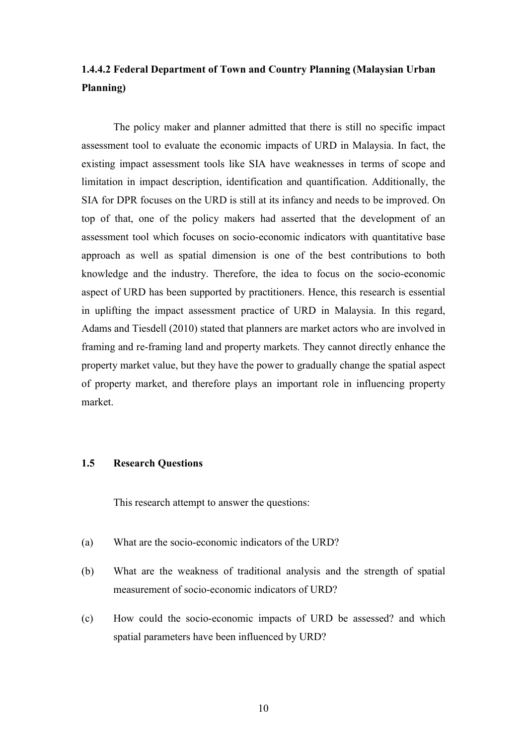# **1.4.4.2 Federal Department of Town and Country Planning (Malaysian Urban Planning)**

The policy maker and planner admitted that there is still no specific impact assessment tool to evaluate the economic impacts of URD in Malaysia. In fact, the existing impact assessment tools like SIA have weaknesses in terms of scope and limitation in impact description, identification and quantification. Additionally, the SIA for DPR focuses on the URD is still at its infancy and needs to be improved. On top of that, one of the policy makers had asserted that the development of an assessment tool which focuses on socio-economic indicators with quantitative base approach as well as spatial dimension is one of the best contributions to both knowledge and the industry. Therefore, the idea to focus on the socio-economic aspect of URD has been supported by practitioners. Hence, this research is essential in uplifting the impact assessment practice of URD in Malaysia. In this regard, Adams and Tiesdell (2010) stated that planners are market actors who are involved in framing and re-framing land and property markets. They cannot directly enhance the property market value, but they have the power to gradually change the spatial aspect of property market, and therefore plays an important role in influencing property market.

#### **1.5 Research Questions**

This research attempt to answer the questions:

- (a) What are the socio-economic indicators of the URD?
- (b) What are the weakness of traditional analysis and the strength of spatial measurement of socio-economic indicators of URD?
- (c) How could the socio-economic impacts of URD be assessed? and which spatial parameters have been influenced by URD?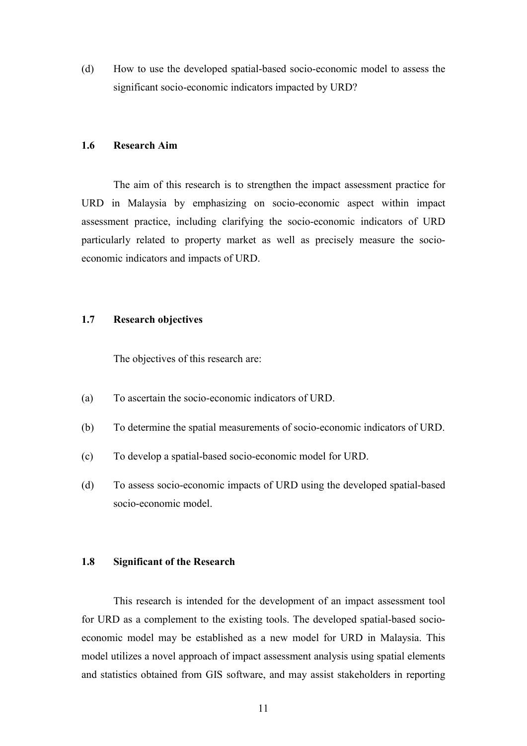(d) How to use the developed spatial-based socio-economic model to assess the significant socio-economic indicators impacted by URD?

#### **1.6 Research Aim**

The aim of this research is to strengthen the impact assessment practice for URD in Malaysia by emphasizing on socio-economic aspect within impact assessment practice, including clarifying the socio-economic indicators of URD particularly related to property market as well as precisely measure the socioeconomic indicators and impacts of URD.

#### **1.7 Research objectives**

The objectives of this research are:

- (a) To ascertain the socio-economic indicators of URD.
- (b) To determine the spatial measurements of socio-economic indicators of URD.
- (c) To develop a spatial-based socio-economic model for URD.
- (d) To assess socio-economic impacts of URD using the developed spatial-based socio-economic model.

#### **1.8 Significant of the Research**

This research is intended for the development of an impact assessment tool for URD as a complement to the existing tools. The developed spatial-based socioeconomic model may be established as a new model for URD in Malaysia. This model utilizes a novel approach of impact assessment analysis using spatial elements and statistics obtained from GIS software, and may assist stakeholders in reporting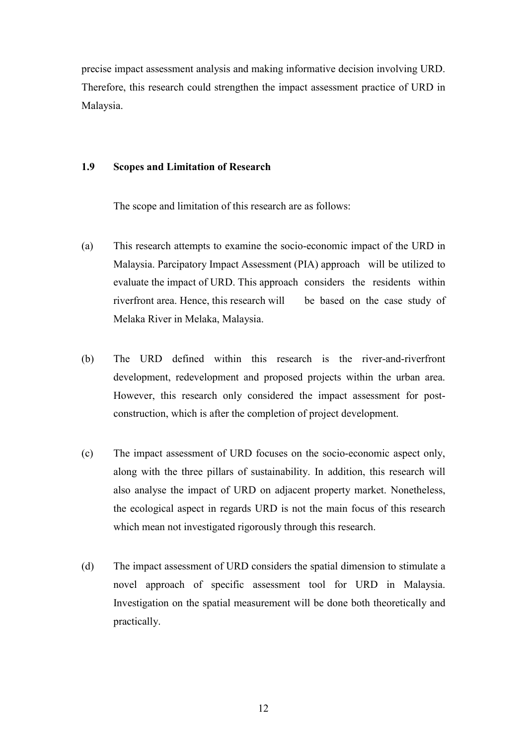precise impact assessment analysis and making informative decision involving URD. Therefore, this research could strengthen the impact assessment practice of URD in Malaysia.

#### **1.9 Scopes and Limitation of Research**

The scope and limitation of this research are as follows:

- (a) This research attempts to examine the socio-economic impact of the URD in Malaysia. Parcipatory Impact Assessment (PIA) approach will be utilized to evaluate the impact of URD. This approach considers the residents within riverfront area. Hence, this research will be based on the case study of Melaka River in Melaka, Malaysia.
- (b) The URD defined within this research is the river-and-riverfront development, redevelopment and proposed projects within the urban area. However, this research only considered the impact assessment for postconstruction, which is after the completion of project development.
- (c) The impact assessment of URD focuses on the socio-economic aspect only, along with the three pillars of sustainability. In addition, this research will also analyse the impact of URD on adjacent property market. Nonetheless, the ecological aspect in regards URD is not the main focus of this research which mean not investigated rigorously through this research.
- (d) The impact assessment of URD considers the spatial dimension to stimulate a novel approach of specific assessment tool for URD in Malaysia. Investigation on the spatial measurement will be done both theoretically and practically.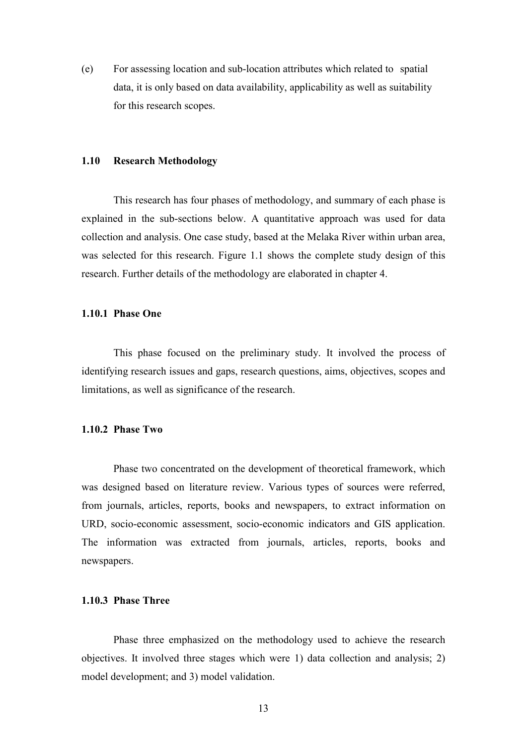(e) For assessing location and sub-location attributes which related to spatial data, it is only based on data availability, applicability as well as suitability for this research scopes.

### **1.10 Research Methodology**

This research has four phases of methodology, and summary of each phase is explained in the sub-sections below. A quantitative approach was used for data collection and analysis. One case study, based at the Melaka River within urban area, was selected for this research. Figure 1.1 shows the complete study design of this research. Further details of the methodology are elaborated in chapter 4.

### **1.10.1 Phase One**

This phase focused on the preliminary study. It involved the process of identifying research issues and gaps, research questions, aims, objectives, scopes and limitations, as well as significance of the research.

#### **1.10.2 Phase Two**

Phase two concentrated on the development of theoretical framework, which was designed based on literature review. Various types of sources were referred, from journals, articles, reports, books and newspapers, to extract information on URD, socio-economic assessment, socio-economic indicators and GIS application. The information was extracted from journals, articles, reports, books and newspapers.

# **1.10.3 Phase Three**

Phase three emphasized on the methodology used to achieve the research objectives. It involved three stages which were 1) data collection and analysis; 2) model development; and 3) model validation.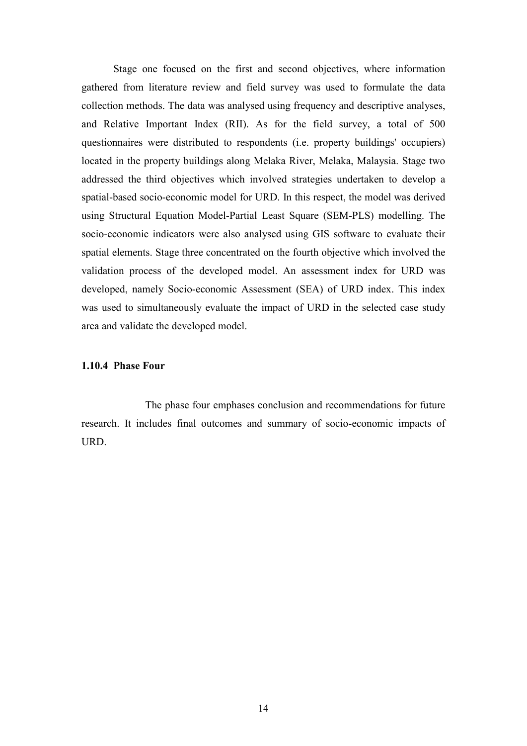Stage one focused on the first and second objectives, where information gathered from literature review and field survey was used to formulate the data collection methods. The data was analysed using frequency and descriptive analyses, and Relative Important Index (RII). As for the field survey, a total of 500 questionnaires were distributed to respondents (i.e. property buildings' occupiers) located in the property buildings along Melaka River, Melaka, Malaysia. Stage two addressed the third objectives which involved strategies undertaken to develop a spatial-based socio-economic model for URD. In this respect, the model was derived using Structural Equation Model-Partial Least Square (SEM-PLS) modelling. The socio-economic indicators were also analysed using GIS software to evaluate their spatial elements. Stage three concentrated on the fourth objective which involved the validation process of the developed model. An assessment index for URD was developed, namely Socio-economic Assessment (SEA) of URD index. This index was used to simultaneously evaluate the impact of URD in the selected case study area and validate the developed model.

### **1.10.4 Phase Four**

The phase four emphases conclusion and recommendations for future research. It includes final outcomes and summary of socio-economic impacts of URD.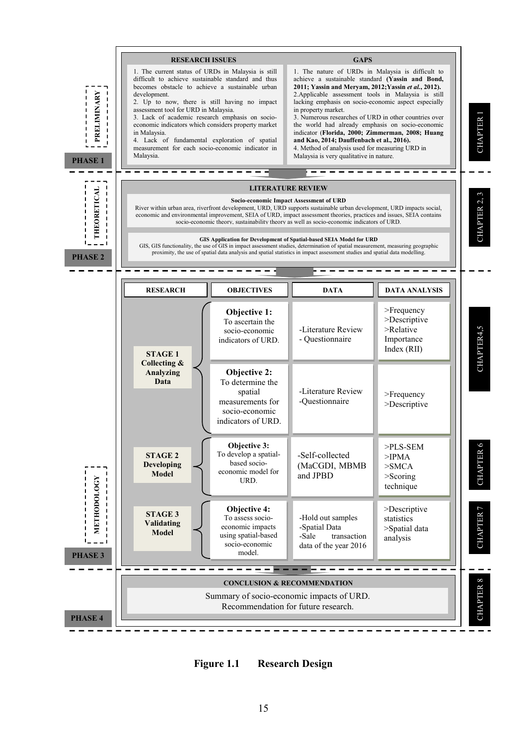

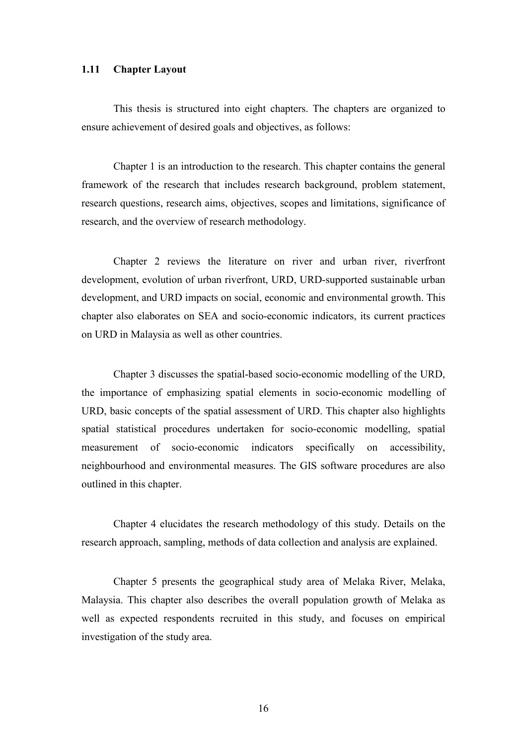## **1.11 Chapter Layout**

This thesis is structured into eight chapters. The chapters are organized to ensure achievement of desired goals and objectives, as follows:

Chapter 1 is an introduction to the research. This chapter contains the general framework of the research that includes research background, problem statement, research questions, research aims, objectives, scopes and limitations, significance of research, and the overview of research methodology.

Chapter 2 reviews the literature on river and urban river, riverfront development, evolution of urban riverfront, URD, URD-supported sustainable urban development, and URD impacts on social, economic and environmental growth. This chapter also elaborates on SEA and socio-economic indicators, its current practices on URD in Malaysia as well as other countries.

Chapter 3 discusses the spatial-based socio-economic modelling of the URD, the importance of emphasizing spatial elements in socio-economic modelling of URD, basic concepts of the spatial assessment of URD. This chapter also highlights spatial statistical procedures undertaken for socio-economic modelling, spatial measurement of socio-economic indicators specifically on accessibility, neighbourhood and environmental measures. The GIS software procedures are also outlined in this chapter.

Chapter 4 elucidates the research methodology of this study. Details on the research approach, sampling, methods of data collection and analysis are explained.

Chapter 5 presents the geographical study area of Melaka River, Melaka, Malaysia. This chapter also describes the overall population growth of Melaka as well as expected respondents recruited in this study, and focuses on empirical investigation of the study area.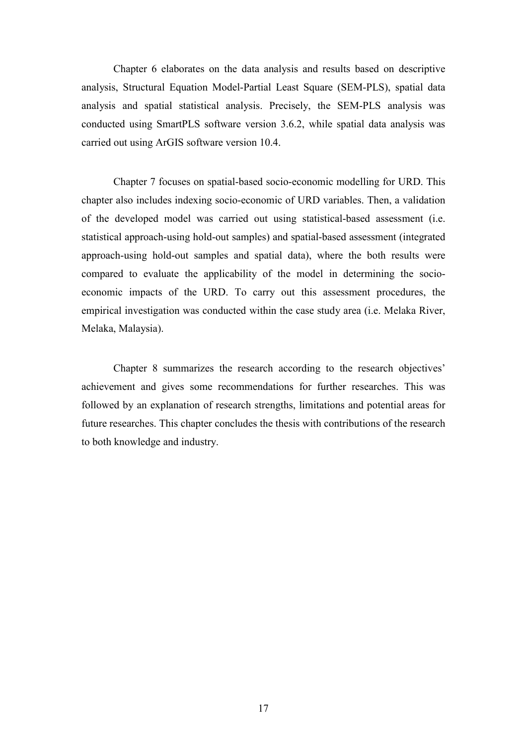Chapter 6 elaborates on the data analysis and results based on descriptive analysis, Structural Equation Model-Partial Least Square (SEM-PLS), spatial data analysis and spatial statistical analysis. Precisely, the SEM-PLS analysis was conducted using SmartPLS software version 3.6.2, while spatial data analysis was carried out using ArGIS software version 10.4.

Chapter 7 focuses on spatial-based socio-economic modelling for URD. This chapter also includes indexing socio-economic of URD variables. Then, a validation of the developed model was carried out using statistical-based assessment (i.e. statistical approach-using hold-out samples) and spatial-based assessment (integrated approach-using hold-out samples and spatial data), where the both results were compared to evaluate the applicability of the model in determining the socioeconomic impacts of the URD. To carry out this assessment procedures, the empirical investigation was conducted within the case study area (i.e. Melaka River, Melaka, Malaysia).

Chapter 8 summarizes the research according to the research objectives' achievement and gives some recommendations for further researches. This was followed by an explanation of research strengths, limitations and potential areas for future researches. This chapter concludes the thesis with contributions of the research to both knowledge and industry.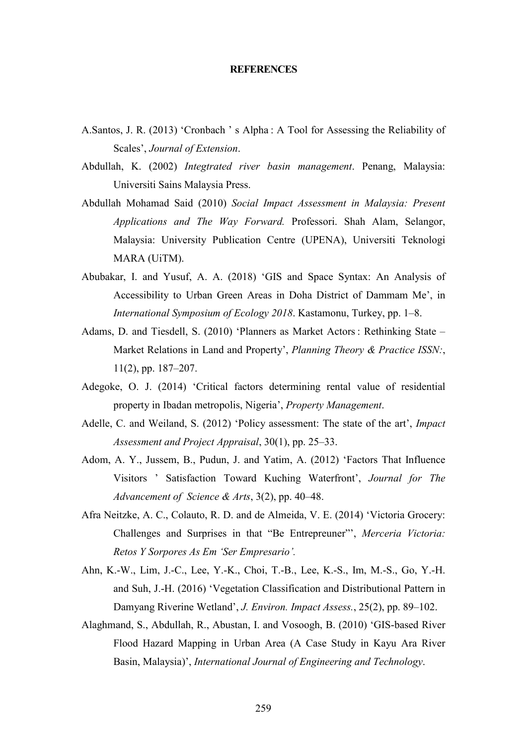### **REFERENCES**

- A.Santos, J. R. (2013) 'Cronbach ' s Alpha : A Tool for Assessing the Reliability of Scales', *Journal of Extension*.
- Abdullah, K. (2002) *Integtrated river basin management*. Penang, Malaysia: Universiti Sains Malaysia Press.
- Abdullah Mohamad Said (2010) *Social Impact Assessment in Malaysia: Present Applications and The Way Forward.* Professori. Shah Alam, Selangor, Malaysia: University Publication Centre (UPENA), Universiti Teknologi MARA (UiTM).
- Abubakar, I. and Yusuf, A. A. (2018) 'GIS and Space Syntax: An Analysis of Accessibility to Urban Green Areas in Doha District of Dammam Me', in *International Symposium of Ecology 2018*. Kastamonu, Turkey, pp. 1–8.
- Adams, D. and Tiesdell, S. (2010) 'Planners as Market Actors : Rethinking State Market Relations in Land and Property', *Planning Theory & Practice ISSN:*, 11(2), pp. 187–207.
- Adegoke, O. J. (2014) 'Critical factors determining rental value of residential property in Ibadan metropolis, Nigeria', *Property Management*.
- Adelle, C. and Weiland, S. (2012) 'Policy assessment: The state of the art', *Impact Assessment and Project Appraisal*, 30(1), pp. 25–33.
- Adom, A. Y., Jussem, B., Pudun, J. and Yatim, A. (2012) 'Factors That Influence Visitors ' Satisfaction Toward Kuching Waterfront', *Journal for The Advancement of Science & Arts*, 3(2), pp. 40–48.
- Afra Neitzke, A. C., Colauto, R. D. and de Almeida, V. E. (2014) 'Victoria Grocery: Challenges and Surprises in that "Be Entrepreuner"', *Merceria Victoria: Retos Y Sorpores As Em 'Ser Empresario'.*
- Ahn, K.-W., Lim, J.-C., Lee, Y.-K., Choi, T.-B., Lee, K.-S., Im, M.-S., Go, Y.-H. and Suh, J.-H. (2016) 'Vegetation Classification and Distributional Pattern in Damyang Riverine Wetland', *J. Environ. Impact Assess.*, 25(2), pp. 89–102.
- Alaghmand, S., Abdullah, R., Abustan, I. and Vosoogh, B. (2010) 'GIS-based River Flood Hazard Mapping in Urban Area (A Case Study in Kayu Ara River Basin, Malaysia)', *International Journal of Engineering and Technology*.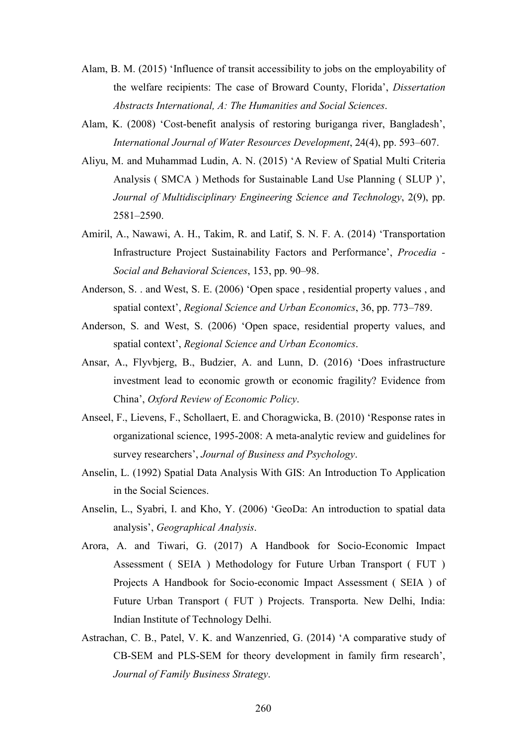- Alam, B. M. (2015) 'Influence of transit accessibility to jobs on the employability of the welfare recipients: The case of Broward County, Florida', *Dissertation Abstracts International, A: The Humanities and Social Sciences*.
- Alam, K. (2008) 'Cost-benefit analysis of restoring buriganga river, Bangladesh', *International Journal of Water Resources Development*, 24(4), pp. 593–607.
- Aliyu, M. and Muhammad Ludin, A. N. (2015) 'A Review of Spatial Multi Criteria Analysis ( SMCA ) Methods for Sustainable Land Use Planning ( SLUP )', *Journal of Multidisciplinary Engineering Science and Technology*, 2(9), pp. 2581–2590.
- Amiril, A., Nawawi, A. H., Takim, R. and Latif, S. N. F. A. (2014) 'Transportation Infrastructure Project Sustainability Factors and Performance', *Procedia - Social and Behavioral Sciences*, 153, pp. 90–98.
- Anderson, S. . and West, S. E. (2006) 'Open space , residential property values , and spatial context', *Regional Science and Urban Economics*, 36, pp. 773–789.
- Anderson, S. and West, S. (2006) 'Open space, residential property values, and spatial context', *Regional Science and Urban Economics*.
- Ansar, A., Flyvbjerg, B., Budzier, A. and Lunn, D. (2016) 'Does infrastructure investment lead to economic growth or economic fragility? Evidence from China', *Oxford Review of Economic Policy*.
- Anseel, F., Lievens, F., Schollaert, E. and Choragwicka, B. (2010) 'Response rates in organizational science, 1995-2008: A meta-analytic review and guidelines for survey researchers', *Journal of Business and Psychology*.
- Anselin, L. (1992) Spatial Data Analysis With GIS: An Introduction To Application in the Social Sciences.
- Anselin, L., Syabri, I. and Kho, Y. (2006) 'GeoDa: An introduction to spatial data analysis', *Geographical Analysis*.
- Arora, A. and Tiwari, G. (2017) A Handbook for Socio-Economic Impact Assessment ( SEIA ) Methodology for Future Urban Transport ( FUT ) Projects A Handbook for Socio-economic Impact Assessment ( SEIA ) of Future Urban Transport ( FUT ) Projects. Transporta. New Delhi, India: Indian Institute of Technology Delhi.
- Astrachan, C. B., Patel, V. K. and Wanzenried, G. (2014) 'A comparative study of CB-SEM and PLS-SEM for theory development in family firm research', *Journal of Family Business Strategy*.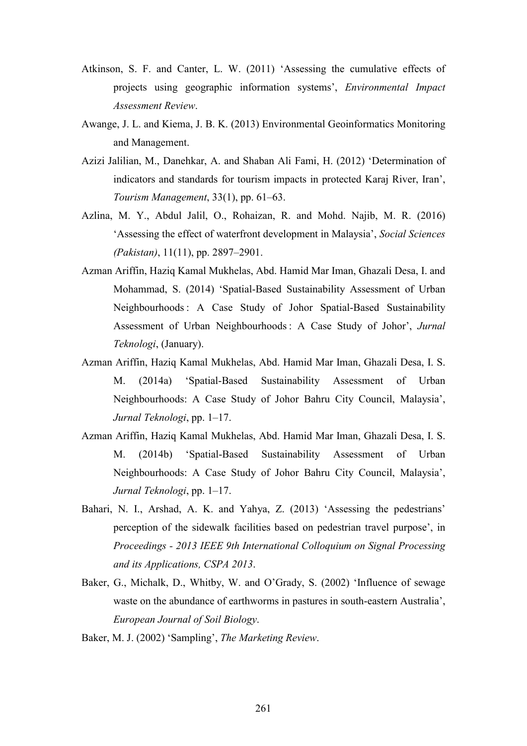- Atkinson, S. F. and Canter, L. W. (2011) 'Assessing the cumulative effects of projects using geographic information systems', *Environmental Impact Assessment Review*.
- Awange, J. L. and Kiema, J. B. K. (2013) Environmental Geoinformatics Monitoring and Management.
- Azizi Jalilian, M., Danehkar, A. and Shaban Ali Fami, H. (2012) 'Determination of indicators and standards for tourism impacts in protected Karaj River, Iran', *Tourism Management*, 33(1), pp. 61–63.
- Azlina, M. Y., Abdul Jalil, O., Rohaizan, R. and Mohd. Najib, M. R. (2016) 'Assessing the effect of waterfront development in Malaysia', *Social Sciences (Pakistan)*, 11(11), pp. 2897–2901.
- Azman Ariffin, Haziq Kamal Mukhelas, Abd. Hamid Mar Iman, Ghazali Desa, I. and Mohammad, S. (2014) 'Spatial-Based Sustainability Assessment of Urban Neighbourhoods : A Case Study of Johor Spatial-Based Sustainability Assessment of Urban Neighbourhoods : A Case Study of Johor', *Jurnal Teknologi*, (January).
- Azman Ariffin, Haziq Kamal Mukhelas, Abd. Hamid Mar Iman, Ghazali Desa, I. S. M. (2014a) 'Spatial-Based Sustainability Assessment of Urban Neighbourhoods: A Case Study of Johor Bahru City Council, Malaysia', *Jurnal Teknologi*, pp. 1–17.
- Azman Ariffin, Haziq Kamal Mukhelas, Abd. Hamid Mar Iman, Ghazali Desa, I. S. M. (2014b) 'Spatial-Based Sustainability Assessment of Urban Neighbourhoods: A Case Study of Johor Bahru City Council, Malaysia', *Jurnal Teknologi*, pp. 1–17.
- Bahari, N. I., Arshad, A. K. and Yahya, Z. (2013) 'Assessing the pedestrians' perception of the sidewalk facilities based on pedestrian travel purpose', in *Proceedings - 2013 IEEE 9th International Colloquium on Signal Processing and its Applications, CSPA 2013*.
- Baker, G., Michalk, D., Whitby, W. and O'Grady, S. (2002) 'Influence of sewage waste on the abundance of earthworms in pastures in south-eastern Australia', *European Journal of Soil Biology*.
- Baker, M. J. (2002) 'Sampling', *The Marketing Review*.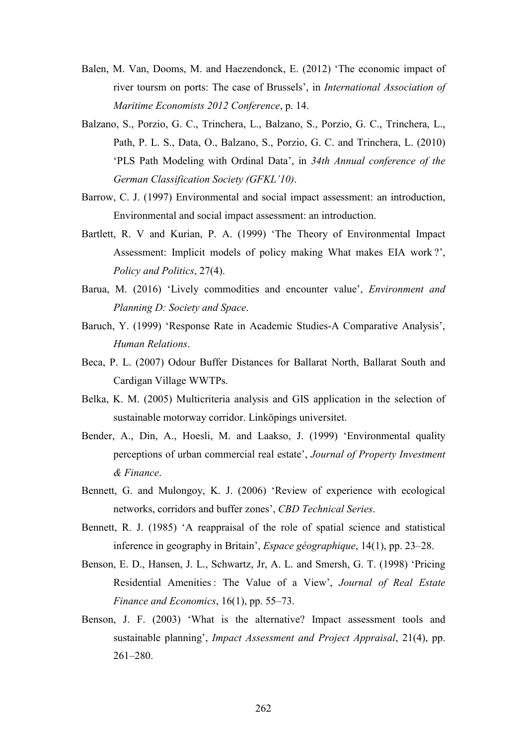- Balen, M. Van, Dooms, M. and Haezendonck, E. (2012) 'The economic impact of river toursm on ports: The case of Brussels', in *International Association of Maritime Economists 2012 Conference*, p. 14.
- Balzano, S., Porzio, G. C., Trinchera, L., Balzano, S., Porzio, G. C., Trinchera, L., Path, P. L. S., Data, O., Balzano, S., Porzio, G. C. and Trinchera, L. (2010) 'PLS Path Modeling with Ordinal Data', in *34th Annual conference of the German Classification Society (GFKL'10)*.
- Barrow, C. J. (1997) Environmental and social impact assessment: an introduction, Environmental and social impact assessment: an introduction.
- Bartlett, R. V and Kurian, P. A. (1999) 'The Theory of Environmental Impact Assessment: Implicit models of policy making What makes EIA work ?', *Policy and Politics*, 27(4).
- Barua, M. (2016) 'Lively commodities and encounter value', *Environment and Planning D: Society and Space*.
- Baruch, Y. (1999) 'Response Rate in Academic Studies-A Comparative Analysis', *Human Relations*.
- Beca, P. L. (2007) Odour Buffer Distances for Ballarat North, Ballarat South and Cardigan Village WWTPs.
- Belka, K. M. (2005) Multicriteria analysis and GIS application in the selection of sustainable motorway corridor. Linköpings universitet.
- Bender, A., Din, A., Hoesli, M. and Laakso, J. (1999) 'Environmental quality perceptions of urban commercial real estate', *Journal of Property Investment & Finance*.
- Bennett, G. and Mulongoy, K. J. (2006) 'Review of experience with ecological networks, corridors and buffer zones', *CBD Technical Series*.
- Bennett, R. J. (1985) 'A reappraisal of the role of spatial science and statistical inference in geography in Britain', *Espace géographique*, 14(1), pp. 23–28.
- Benson, E. D., Hansen, J. L., Schwartz, Jr, A. L. and Smersh, G. T. (1998) 'Pricing Residential Amenities : The Value of a View', *Journal of Real Estate Finance and Economics*, 16(1), pp. 55–73.
- Benson, J. F. (2003) 'What is the alternative? Impact assessment tools and sustainable planning', *Impact Assessment and Project Appraisal*, 21(4), pp. 261–280.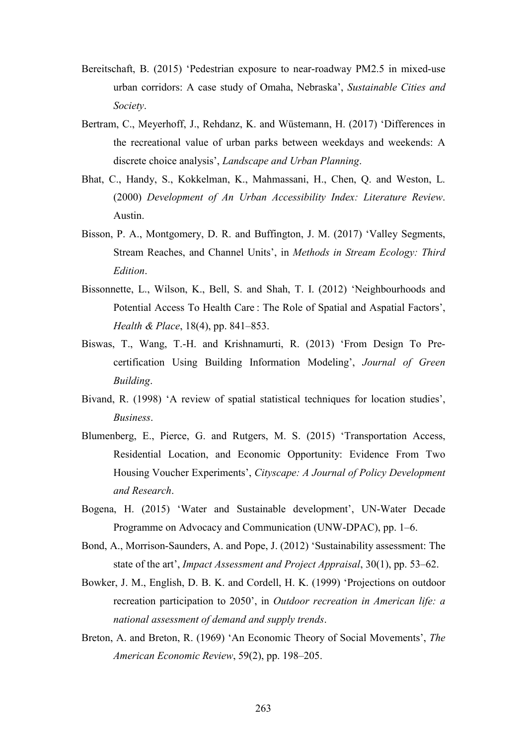- Bereitschaft, B. (2015) 'Pedestrian exposure to near-roadway PM2.5 in mixed-use urban corridors: A case study of Omaha, Nebraska', *Sustainable Cities and Society*.
- Bertram, C., Meyerhoff, J., Rehdanz, K. and Wüstemann, H. (2017) 'Differences in the recreational value of urban parks between weekdays and weekends: A discrete choice analysis', *Landscape and Urban Planning*.
- Bhat, C., Handy, S., Kokkelman, K., Mahmassani, H., Chen, Q. and Weston, L. (2000) *Development of An Urban Accessibility Index: Literature Review*. Austin.
- Bisson, P. A., Montgomery, D. R. and Buffington, J. M. (2017) 'Valley Segments, Stream Reaches, and Channel Units', in *Methods in Stream Ecology: Third Edition*.
- Bissonnette, L., Wilson, K., Bell, S. and Shah, T. I. (2012) 'Neighbourhoods and Potential Access To Health Care : The Role of Spatial and Aspatial Factors', *Health & Place*, 18(4), pp. 841–853.
- Biswas, T., Wang, T.-H. and Krishnamurti, R. (2013) 'From Design To Precertification Using Building Information Modeling', *Journal of Green Building*.
- Bivand, R. (1998) 'A review of spatial statistical techniques for location studies', *Business*.
- Blumenberg, E., Pierce, G. and Rutgers, M. S. (2015) 'Transportation Access, Residential Location, and Economic Opportunity: Evidence From Two Housing Voucher Experiments', *Cityscape: A Journal of Policy Development and Research*.
- Bogena, H. (2015) 'Water and Sustainable development', UN-Water Decade Programme on Advocacy and Communication (UNW-DPAC), pp. 1–6.
- Bond, A., Morrison-Saunders, A. and Pope, J. (2012) 'Sustainability assessment: The state of the art', *Impact Assessment and Project Appraisal*, 30(1), pp. 53–62.
- Bowker, J. M., English, D. B. K. and Cordell, H. K. (1999) 'Projections on outdoor recreation participation to 2050', in *Outdoor recreation in American life: a national assessment of demand and supply trends*.
- Breton, A. and Breton, R. (1969) 'An Economic Theory of Social Movements', *The American Economic Review*, 59(2), pp. 198–205.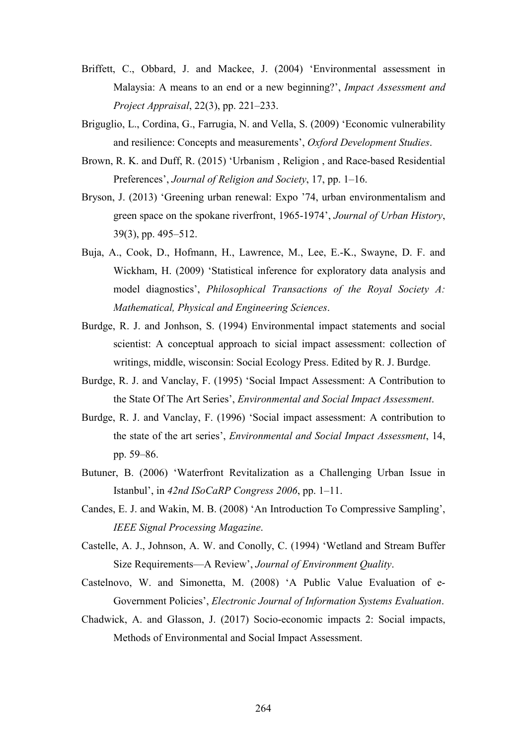- Briffett, C., Obbard, J. and Mackee, J. (2004) 'Environmental assessment in Malaysia: A means to an end or a new beginning?', *Impact Assessment and Project Appraisal*, 22(3), pp. 221–233.
- Briguglio, L., Cordina, G., Farrugia, N. and Vella, S. (2009) 'Economic vulnerability and resilience: Concepts and measurements', *Oxford Development Studies*.
- Brown, R. K. and Duff, R. (2015) 'Urbanism , Religion , and Race-based Residential Preferences', *Journal of Religion and Society*, 17, pp. 1–16.
- Bryson, J. (2013) 'Greening urban renewal: Expo '74, urban environmentalism and green space on the spokane riverfront, 1965-1974', *Journal of Urban History*, 39(3), pp. 495–512.
- Buja, A., Cook, D., Hofmann, H., Lawrence, M., Lee, E.-K., Swayne, D. F. and Wickham, H. (2009) 'Statistical inference for exploratory data analysis and model diagnostics', *Philosophical Transactions of the Royal Society A: Mathematical, Physical and Engineering Sciences*.
- Burdge, R. J. and Jonhson, S. (1994) Environmental impact statements and social scientist: A conceptual approach to sicial impact assessment: collection of writings, middle, wisconsin: Social Ecology Press. Edited by R. J. Burdge.
- Burdge, R. J. and Vanclay, F. (1995) 'Social Impact Assessment: A Contribution to the State Of The Art Series', *Environmental and Social Impact Assessment*.
- Burdge, R. J. and Vanclay, F. (1996) 'Social impact assessment: A contribution to the state of the art series', *Environmental and Social Impact Assessment*, 14, pp. 59–86.
- Butuner, B. (2006) 'Waterfront Revitalization as a Challenging Urban Issue in Istanbul', in *42nd ISoCaRP Congress 2006*, pp. 1–11.
- Candes, E. J. and Wakin, M. B. (2008) 'An Introduction To Compressive Sampling', *IEEE Signal Processing Magazine*.
- Castelle, A. J., Johnson, A. W. and Conolly, C. (1994) 'Wetland and Stream Buffer Size Requirements—A Review', *Journal of Environment Quality*.
- Castelnovo, W. and Simonetta, M. (2008) 'A Public Value Evaluation of e-Government Policies', *Electronic Journal of Information Systems Evaluation*.
- Chadwick, A. and Glasson, J. (2017) Socio-economic impacts 2: Social impacts, Methods of Environmental and Social Impact Assessment.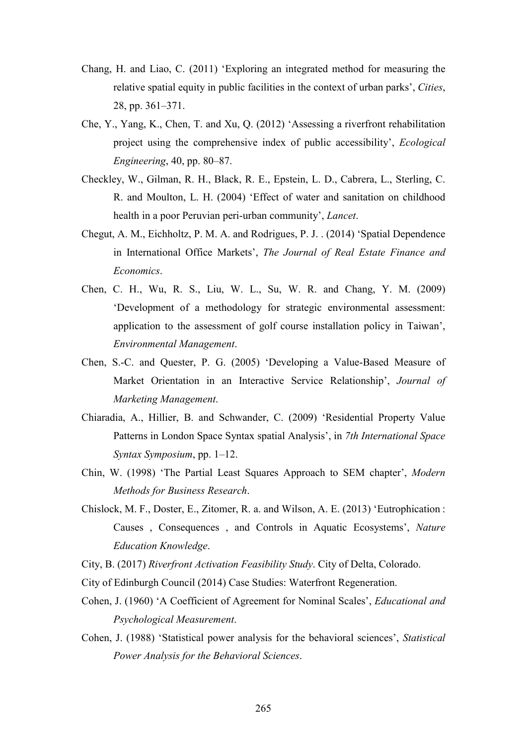- Chang, H. and Liao, C. (2011) 'Exploring an integrated method for measuring the relative spatial equity in public facilities in the context of urban parks', *Cities*, 28, pp. 361–371.
- Che, Y., Yang, K., Chen, T. and Xu, Q. (2012) 'Assessing a riverfront rehabilitation project using the comprehensive index of public accessibility', *Ecological Engineering*, 40, pp. 80–87.
- Checkley, W., Gilman, R. H., Black, R. E., Epstein, L. D., Cabrera, L., Sterling, C. R. and Moulton, L. H. (2004) 'Effect of water and sanitation on childhood health in a poor Peruvian peri-urban community', *Lancet*.
- Chegut, A. M., Eichholtz, P. M. A. and Rodrigues, P. J. . (2014) 'Spatial Dependence in International Office Markets', *The Journal of Real Estate Finance and Economics*.
- Chen, C. H., Wu, R. S., Liu, W. L., Su, W. R. and Chang, Y. M. (2009) 'Development of a methodology for strategic environmental assessment: application to the assessment of golf course installation policy in Taiwan', *Environmental Management*.
- Chen, S.-C. and Quester, P. G. (2005) 'Developing a Value-Based Measure of Market Orientation in an Interactive Service Relationship', *Journal of Marketing Management*.
- Chiaradia, A., Hillier, B. and Schwander, C. (2009) 'Residential Property Value Patterns in London Space Syntax spatial Analysis', in *7th International Space Syntax Symposium*, pp. 1–12.
- Chin, W. (1998) 'The Partial Least Squares Approach to SEM chapter', *Modern Methods for Business Research*.
- Chislock, M. F., Doster, E., Zitomer, R. a. and Wilson, A. E. (2013) 'Eutrophication : Causes , Consequences , and Controls in Aquatic Ecosystems', *Nature Education Knowledge*.
- City, B. (2017) *Riverfront Activation Feasibility Study*. City of Delta, Colorado.
- City of Edinburgh Council (2014) Case Studies: Waterfront Regeneration.
- Cohen, J. (1960) 'A Coefficient of Agreement for Nominal Scales', *Educational and Psychological Measurement*.
- Cohen, J. (1988) 'Statistical power analysis for the behavioral sciences', *Statistical Power Analysis for the Behavioral Sciences*.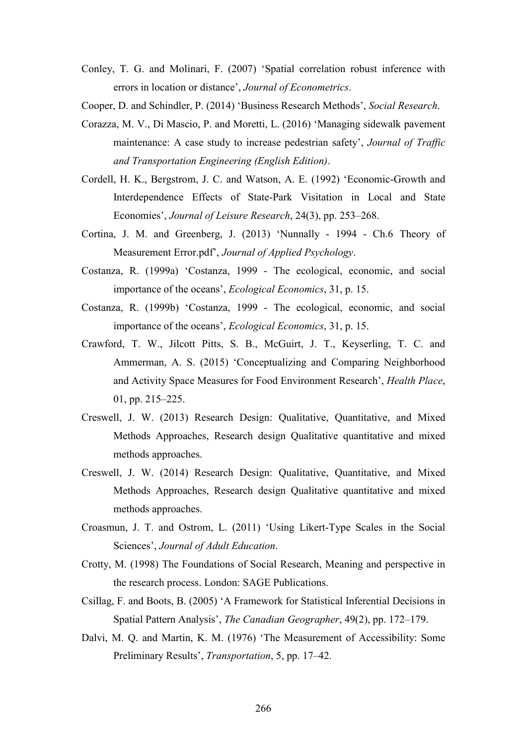- Conley, T. G. and Molinari, F. (2007) 'Spatial correlation robust inference with errors in location or distance', *Journal of Econometrics*.
- Cooper, D. and Schindler, P. (2014) 'Business Research Methods', *Social Research*.
- Corazza, M. V., Di Mascio, P. and Moretti, L. (2016) 'Managing sidewalk pavement maintenance: A case study to increase pedestrian safety', *Journal of Traffic and Transportation Engineering (English Edition)*.
- Cordell, H. K., Bergstrom, J. C. and Watson, A. E. (1992) 'Economic-Growth and Interdependence Effects of State-Park Visitation in Local and State Economies', *Journal of Leisure Research*, 24(3), pp. 253–268.
- Cortina, J. M. and Greenberg, J. (2013) 'Nunnally 1994 Ch.6 Theory of Measurement Error.pdf', *Journal of Applied Psychology*.
- Costanza, R. (1999a) 'Costanza, 1999 The ecological, economic, and social importance of the oceans', *Ecological Economics*, 31, p. 15.
- Costanza, R. (1999b) 'Costanza, 1999 The ecological, economic, and social importance of the oceans', *Ecological Economics*, 31, p. 15.
- Crawford, T. W., Jilcott Pitts, S. B., McGuirt, J. T., Keyserling, T. C. and Ammerman, A. S. (2015) 'Conceptualizing and Comparing Neighborhood and Activity Space Measures for Food Environment Research', *Health Place*, 01, pp. 215–225.
- Creswell, J. W. (2013) Research Design: Qualitative, Quantitative, and Mixed Methods Approaches, Research design Qualitative quantitative and mixed methods approaches.
- Creswell, J. W. (2014) Research Design: Qualitative, Quantitative, and Mixed Methods Approaches, Research design Qualitative quantitative and mixed methods approaches.
- Croasmun, J. T. and Ostrom, L. (2011) 'Using Likert-Type Scales in the Social Sciences', *Journal of Adult Education*.
- Crotty, M. (1998) The Foundations of Social Research, Meaning and perspective in the research process. London: SAGE Publications.
- Csillag, F. and Boots, B. (2005) 'A Framework for Statistical Inferential Decisions in Spatial Pattern Analysis', *The Canadian Geographer*, 49(2), pp. 172–179.
- Dalvi, M. Q. and Martin, K. M. (1976) 'The Measurement of Accessibility: Some Preliminary Results', *Transportation*, 5, pp. 17–42.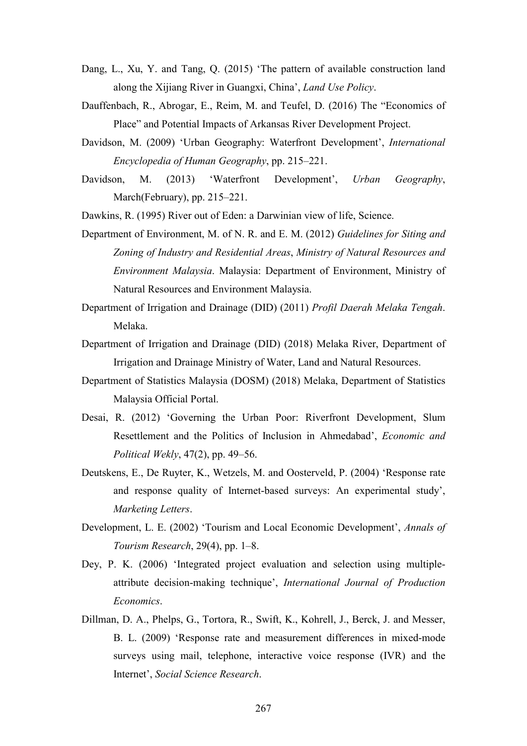- Dang, L., Xu, Y. and Tang, Q. (2015) 'The pattern of available construction land along the Xijiang River in Guangxi, China', *Land Use Policy*.
- Dauffenbach, R., Abrogar, E., Reim, M. and Teufel, D. (2016) The "Economics of Place" and Potential Impacts of Arkansas River Development Project.
- Davidson, M. (2009) 'Urban Geography: Waterfront Development', *International Encyclopedia of Human Geography*, pp. 215–221.
- Davidson, M. (2013) 'Waterfront Development', *Urban Geography*, March(February), pp. 215–221.

Dawkins, R. (1995) River out of Eden: a Darwinian view of life, Science.

- Department of Environment, M. of N. R. and E. M. (2012) *Guidelines for Siting and Zoning of Industry and Residential Areas*, *Ministry of Natural Resources and Environment Malaysia*. Malaysia: Department of Environment, Ministry of Natural Resources and Environment Malaysia.
- Department of Irrigation and Drainage (DID) (2011) *Profil Daerah Melaka Tengah*. Melaka.
- Department of Irrigation and Drainage (DID) (2018) Melaka River, Department of Irrigation and Drainage Ministry of Water, Land and Natural Resources.
- Department of Statistics Malaysia (DOSM) (2018) Melaka, Department of Statistics Malaysia Official Portal.
- Desai, R. (2012) 'Governing the Urban Poor: Riverfront Development, Slum Resettlement and the Politics of Inclusion in Ahmedabad', *Economic and Political Wekly*, 47(2), pp. 49–56.
- Deutskens, E., De Ruyter, K., Wetzels, M. and Oosterveld, P. (2004) 'Response rate and response quality of Internet-based surveys: An experimental study', *Marketing Letters*.
- Development, L. E. (2002) 'Tourism and Local Economic Development', *Annals of Tourism Research*, 29(4), pp. 1–8.
- Dey, P. K. (2006) 'Integrated project evaluation and selection using multipleattribute decision-making technique', *International Journal of Production Economics*.
- Dillman, D. A., Phelps, G., Tortora, R., Swift, K., Kohrell, J., Berck, J. and Messer, B. L. (2009) 'Response rate and measurement differences in mixed-mode surveys using mail, telephone, interactive voice response (IVR) and the Internet', *Social Science Research*.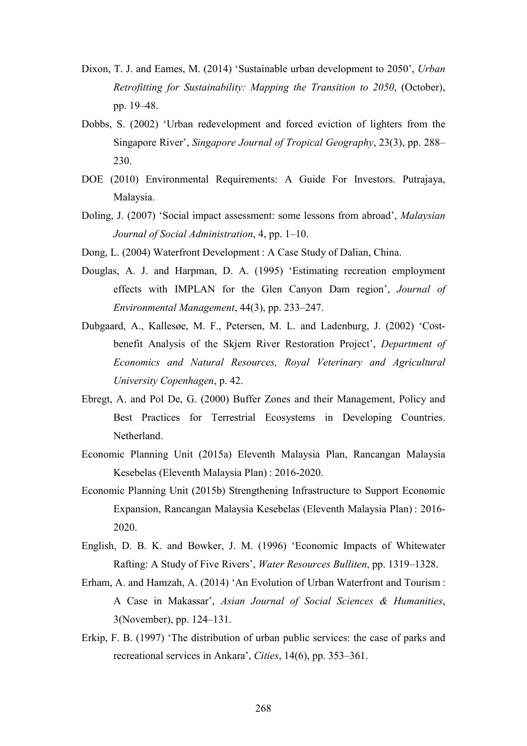- Dixon, T. J. and Eames, M. (2014) 'Sustainable urban development to 2050', *Urban Retrofitting for Sustainability: Mapping the Transition to 2050*, (October), pp. 19–48.
- Dobbs, S. (2002) 'Urban redevelopment and forced eviction of lighters from the Singapore River', *Singapore Journal of Tropical Geography*, 23(3), pp. 288– 230.
- DOE (2010) Environmental Requirements: A Guide For Investors. Putrajaya, Malaysia.
- Doling, J. (2007) 'Social impact assessment: some lessons from abroad', *Malaysian Journal of Social Administration*, 4, pp. 1–10.
- Dong, L. (2004) Waterfront Development : A Case Study of Dalian, China.
- Douglas, A. J. and Harpman, D. A. (1995) 'Estimating recreation employment effects with IMPLAN for the Glen Canyon Dam region', *Journal of Environmental Management*, 44(3), pp. 233–247.
- Dubgaard, A., Kallesøe, M. F., Petersen, M. L. and Ladenburg, J. (2002) 'Costbenefit Analysis of the Skjern River Restoration Project', *Department of Economics and Natural Resources, Royal Veterinary and Agricultural University Copenhagen*, p. 42.
- Ebregt, A. and Pol De, G. (2000) Buffer Zones and their Management, Policy and Best Practices for Terrestrial Ecosystems in Developing Countries. **Netherland**
- Economic Planning Unit (2015a) Eleventh Malaysia Plan, Rancangan Malaysia Kesebelas (Eleventh Malaysia Plan) : 2016-2020.
- Economic Planning Unit (2015b) Strengthening Infrastructure to Support Economic Expansion, Rancangan Malaysia Kesebelas (Eleventh Malaysia Plan) : 2016- 2020.
- English, D. B. K. and Bowker, J. M. (1996) 'Economic Impacts of Whitewater Rafting: A Study of Five Rivers', *Water Resources Bulliten*, pp. 1319–1328.
- Erham, A. and Hamzah, A. (2014) 'An Evolution of Urban Waterfront and Tourism : A Case in Makassar', *Asian Journal of Social Sciences & Humanities*, 3(November), pp. 124–131.
- Erkip, F. B. (1997) 'The distribution of urban public services: the case of parks and recreational services in Ankara', *Cities*, 14(6), pp. 353–361.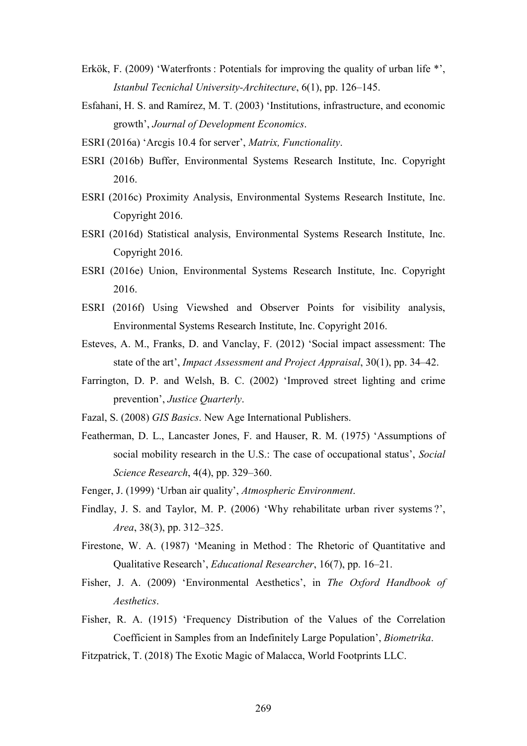- Erkök, F. (2009) 'Waterfronts : Potentials for improving the quality of urban life \*', *Istanbul Tecnichal University-Architecture*, 6(1), pp. 126–145.
- Esfahani, H. S. and Ramírez, M. T. (2003) 'Institutions, infrastructure, and economic growth', *Journal of Development Economics*.
- ESRI (2016a) 'Arcgis 10.4 for server', *Matrix, Functionality*.
- ESRI (2016b) Buffer, Environmental Systems Research Institute, Inc. Copyright 2016.
- ESRI (2016c) Proximity Analysis, Environmental Systems Research Institute, Inc. Copyright 2016.
- ESRI (2016d) Statistical analysis, Environmental Systems Research Institute, Inc. Copyright 2016.
- ESRI (2016e) Union, Environmental Systems Research Institute, Inc. Copyright 2016.
- ESRI (2016f) Using Viewshed and Observer Points for visibility analysis, Environmental Systems Research Institute, Inc. Copyright 2016.
- Esteves, A. M., Franks, D. and Vanclay, F. (2012) 'Social impact assessment: The state of the art', *Impact Assessment and Project Appraisal*, 30(1), pp. 34–42.
- Farrington, D. P. and Welsh, B. C. (2002) 'Improved street lighting and crime prevention', *Justice Quarterly*.
- Fazal, S. (2008) *GIS Basics*. New Age International Publishers.
- Featherman, D. L., Lancaster Jones, F. and Hauser, R. M. (1975) 'Assumptions of social mobility research in the U.S.: The case of occupational status', *Social Science Research*, 4(4), pp. 329–360.
- Fenger, J. (1999) 'Urban air quality', *Atmospheric Environment*.
- Findlay, J. S. and Taylor, M. P. (2006) 'Why rehabilitate urban river systems ?', *Area*, 38(3), pp. 312–325.
- Firestone, W. A. (1987) 'Meaning in Method: The Rhetoric of Quantitative and Qualitative Research', *Educational Researcher*, 16(7), pp. 16–21.
- Fisher, J. A. (2009) 'Environmental Aesthetics', in *The Oxford Handbook of Aesthetics*.
- Fisher, R. A. (1915) 'Frequency Distribution of the Values of the Correlation Coefficient in Samples from an Indefinitely Large Population', *Biometrika*.

Fitzpatrick, T. (2018) The Exotic Magic of Malacca, World Footprints LLC.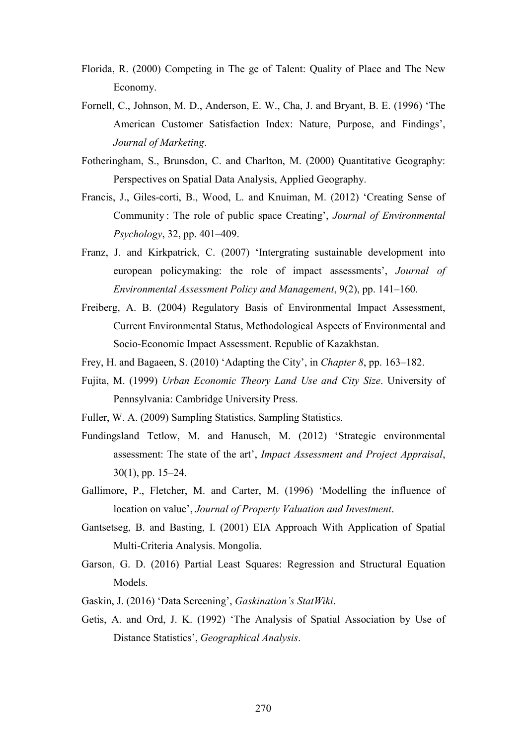- Florida, R. (2000) Competing in The ge of Talent: Quality of Place and The New Economy.
- Fornell, C., Johnson, M. D., Anderson, E. W., Cha, J. and Bryant, B. E. (1996) 'The American Customer Satisfaction Index: Nature, Purpose, and Findings', *Journal of Marketing*.
- Fotheringham, S., Brunsdon, C. and Charlton, M. (2000) Quantitative Geography: Perspectives on Spatial Data Analysis, Applied Geography.
- Francis, J., Giles-corti, B., Wood, L. and Knuiman, M. (2012) 'Creating Sense of Community : The role of public space Creating', *Journal of Environmental Psychology*, 32, pp. 401–409.
- Franz, J. and Kirkpatrick, C. (2007) 'Intergrating sustainable development into european policymaking: the role of impact assessments', *Journal of Environmental Assessment Policy and Management*, 9(2), pp. 141–160.
- Freiberg, A. B. (2004) Regulatory Basis of Environmental Impact Assessment, Current Environmental Status, Methodological Aspects of Environmental and Socio-Economic Impact Assessment. Republic of Kazakhstan.
- Frey, H. and Bagaeen, S. (2010) 'Adapting the City', in *Chapter 8*, pp. 163–182.
- Fujita, M. (1999) *Urban Economic Theory Land Use and City Size*. University of Pennsylvania: Cambridge University Press.
- Fuller, W. A. (2009) Sampling Statistics, Sampling Statistics.
- Fundingsland Tetlow, M. and Hanusch, M. (2012) 'Strategic environmental assessment: The state of the art', *Impact Assessment and Project Appraisal*, 30(1), pp. 15–24.
- Gallimore, P., Fletcher, M. and Carter, M. (1996) 'Modelling the influence of location on value', *Journal of Property Valuation and Investment*.
- Gantsetseg, B. and Basting, I. (2001) EIA Approach With Application of Spatial Multi-Criteria Analysis. Mongolia.
- Garson, G. D. (2016) Partial Least Squares: Regression and Structural Equation Models.
- Gaskin, J. (2016) 'Data Screening', *Gaskination's StatWiki*.
- Getis, A. and Ord, J. K. (1992) 'The Analysis of Spatial Association by Use of Distance Statistics', *Geographical Analysis*.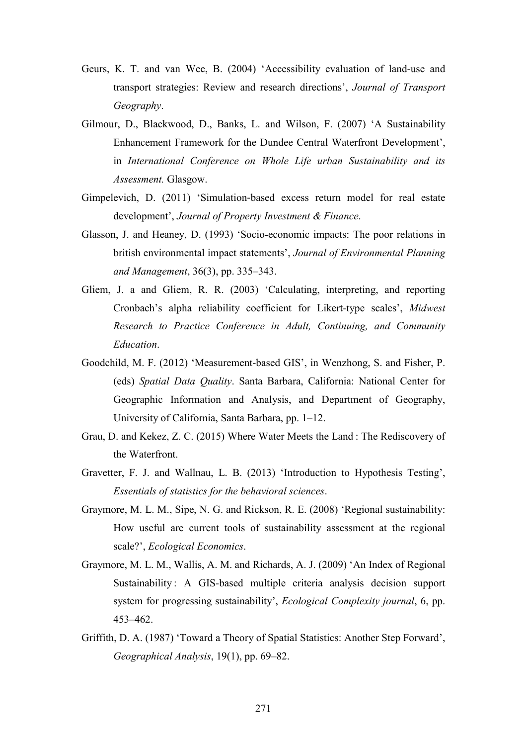- Geurs, K. T. and van Wee, B. (2004) 'Accessibility evaluation of land-use and transport strategies: Review and research directions', *Journal of Transport Geography*.
- Gilmour, D., Blackwood, D., Banks, L. and Wilson, F. (2007) 'A Sustainability Enhancement Framework for the Dundee Central Waterfront Development', in *International Conference on Whole Life urban Sustainability and its Assessment.* Glasgow.
- Gimpelevich, D. (2011) 'Simulation‐based excess return model for real estate development', *Journal of Property Investment & Finance*.
- Glasson, J. and Heaney, D. (1993) 'Socio-economic impacts: The poor relations in british environmental impact statements', *Journal of Environmental Planning and Management*, 36(3), pp. 335–343.
- Gliem, J. a and Gliem, R. R. (2003) 'Calculating, interpreting, and reporting Cronbach's alpha reliability coefficient for Likert-type scales', *Midwest Research to Practice Conference in Adult, Continuing, and Community Education*.
- Goodchild, M. F. (2012) 'Measurement-based GIS', in Wenzhong, S. and Fisher, P. (eds) *Spatial Data Quality*. Santa Barbara, California: National Center for Geographic Information and Analysis, and Department of Geography, University of California, Santa Barbara, pp. 1–12.
- Grau, D. and Kekez, Z. C. (2015) Where Water Meets the Land : The Rediscovery of the Waterfront.
- Gravetter, F. J. and Wallnau, L. B. (2013) 'Introduction to Hypothesis Testing', *Essentials of statistics for the behavioral sciences*.
- Graymore, M. L. M., Sipe, N. G. and Rickson, R. E. (2008) 'Regional sustainability: How useful are current tools of sustainability assessment at the regional scale?', *Ecological Economics*.
- Graymore, M. L. M., Wallis, A. M. and Richards, A. J. (2009) 'An Index of Regional Sustainability : A GIS-based multiple criteria analysis decision support system for progressing sustainability', *Ecological Complexity journal*, 6, pp. 453–462.
- Griffith, D. A. (1987) 'Toward a Theory of Spatial Statistics: Another Step Forward', *Geographical Analysis*, 19(1), pp. 69–82.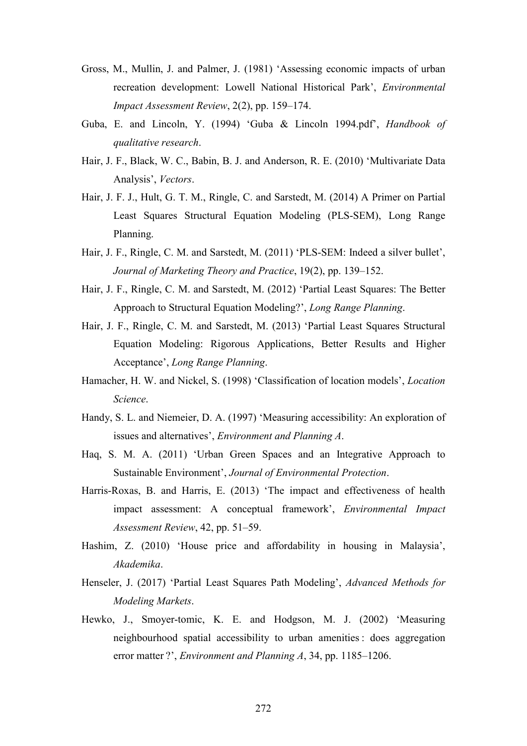- Gross, M., Mullin, J. and Palmer, J. (1981) 'Assessing economic impacts of urban recreation development: Lowell National Historical Park', *Environmental Impact Assessment Review*, 2(2), pp. 159–174.
- Guba, E. and Lincoln, Y. (1994) 'Guba & Lincoln 1994.pdf', *Handbook of qualitative research*.
- Hair, J. F., Black, W. C., Babin, B. J. and Anderson, R. E. (2010) 'Multivariate Data Analysis', *Vectors*.
- Hair, J. F. J., Hult, G. T. M., Ringle, C. and Sarstedt, M. (2014) A Primer on Partial Least Squares Structural Equation Modeling (PLS-SEM), Long Range Planning.
- Hair, J. F., Ringle, C. M. and Sarstedt, M. (2011) 'PLS-SEM: Indeed a silver bullet', *Journal of Marketing Theory and Practice*, 19(2), pp. 139–152.
- Hair, J. F., Ringle, C. M. and Sarstedt, M. (2012) 'Partial Least Squares: The Better Approach to Structural Equation Modeling?', *Long Range Planning*.
- Hair, J. F., Ringle, C. M. and Sarstedt, M. (2013) 'Partial Least Squares Structural Equation Modeling: Rigorous Applications, Better Results and Higher Acceptance', *Long Range Planning*.
- Hamacher, H. W. and Nickel, S. (1998) 'Classification of location models', *Location Science*.
- Handy, S. L. and Niemeier, D. A. (1997) 'Measuring accessibility: An exploration of issues and alternatives', *Environment and Planning A*.
- Haq, S. M. A. (2011) 'Urban Green Spaces and an Integrative Approach to Sustainable Environment', *Journal of Environmental Protection*.
- Harris-Roxas, B. and Harris, E. (2013) 'The impact and effectiveness of health impact assessment: A conceptual framework', *Environmental Impact Assessment Review*, 42, pp. 51–59.
- Hashim, Z. (2010) 'House price and affordability in housing in Malaysia', *Akademika*.
- Henseler, J. (2017) 'Partial Least Squares Path Modeling', *Advanced Methods for Modeling Markets*.
- Hewko, J., Smoyer-tomic, K. E. and Hodgson, M. J. (2002) 'Measuring neighbourhood spatial accessibility to urban amenities : does aggregation error matter ?', *Environment and Planning A*, 34, pp. 1185–1206.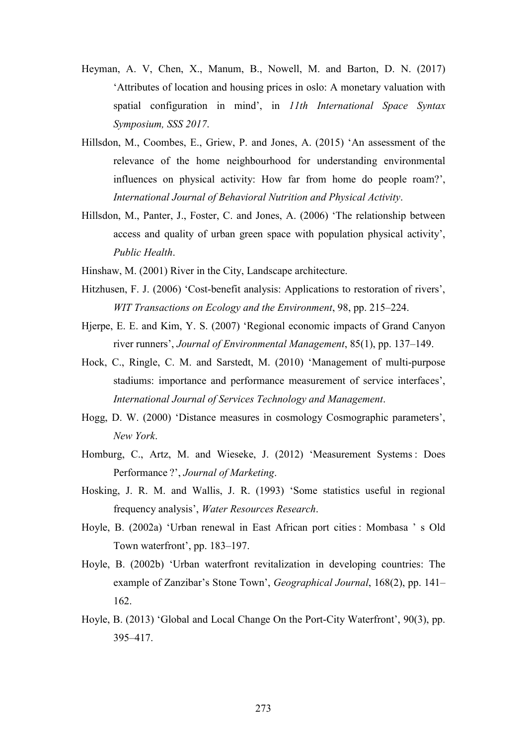- Heyman, A. V, Chen, X., Manum, B., Nowell, M. and Barton, D. N. (2017) 'Attributes of location and housing prices in oslo: A monetary valuation with spatial configuration in mind', in *11th International Space Syntax Symposium, SSS 2017*.
- Hillsdon, M., Coombes, E., Griew, P. and Jones, A. (2015) 'An assessment of the relevance of the home neighbourhood for understanding environmental influences on physical activity: How far from home do people roam?', *International Journal of Behavioral Nutrition and Physical Activity*.
- Hillsdon, M., Panter, J., Foster, C. and Jones, A. (2006) 'The relationship between access and quality of urban green space with population physical activity', *Public Health*.
- Hinshaw, M. (2001) River in the City, Landscape architecture.
- Hitzhusen, F. J. (2006) 'Cost-benefit analysis: Applications to restoration of rivers', *WIT Transactions on Ecology and the Environment*, 98, pp. 215–224.
- Hjerpe, E. E. and Kim, Y. S. (2007) 'Regional economic impacts of Grand Canyon river runners', *Journal of Environmental Management*, 85(1), pp. 137–149.
- Hock, C., Ringle, C. M. and Sarstedt, M. (2010) 'Management of multi-purpose stadiums: importance and performance measurement of service interfaces', *International Journal of Services Technology and Management*.
- Hogg, D. W. (2000) 'Distance measures in cosmology Cosmographic parameters', *New York*.
- Homburg, C., Artz, M. and Wieseke, J. (2012) 'Measurement Systems : Does Performance ?', *Journal of Marketing*.
- Hosking, J. R. M. and Wallis, J. R. (1993) 'Some statistics useful in regional frequency analysis', *Water Resources Research*.
- Hoyle, B. (2002a) 'Urban renewal in East African port cities : Mombasa ' s Old Town waterfront', pp. 183–197.
- Hoyle, B. (2002b) 'Urban waterfront revitalization in developing countries: The example of Zanzibar's Stone Town', *Geographical Journal*, 168(2), pp. 141– 162.
- Hoyle, B. (2013) 'Global and Local Change On the Port-City Waterfront', 90(3), pp. 395–417.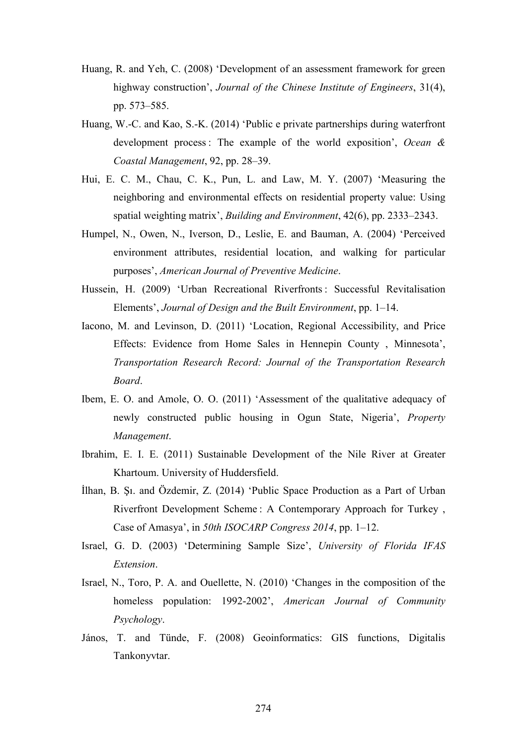- Huang, R. and Yeh, C. (2008) 'Development of an assessment framework for green highway construction', *Journal of the Chinese Institute of Engineers*, 31(4), pp. 573–585.
- Huang, W.-C. and Kao, S.-K. (2014) 'Public e private partnerships during waterfront development process : The example of the world exposition', *Ocean & Coastal Management*, 92, pp. 28–39.
- Hui, E. C. M., Chau, C. K., Pun, L. and Law, M. Y. (2007) 'Measuring the neighboring and environmental effects on residential property value: Using spatial weighting matrix', *Building and Environment*, 42(6), pp. 2333–2343.
- Humpel, N., Owen, N., Iverson, D., Leslie, E. and Bauman, A. (2004) 'Perceived environment attributes, residential location, and walking for particular purposes', *American Journal of Preventive Medicine*.
- Hussein, H. (2009) 'Urban Recreational Riverfronts : Successful Revitalisation Elements', *Journal of Design and the Built Environment*, pp. 1–14.
- Iacono, M. and Levinson, D. (2011) 'Location, Regional Accessibility, and Price Effects: Evidence from Home Sales in Hennepin County , Minnesota', *Transportation Research Record: Journal of the Transportation Research Board*.
- Ibem, E. O. and Amole, O. O. (2011) 'Assessment of the qualitative adequacy of newly constructed public housing in Ogun State, Nigeria', *Property Management*.
- Ibrahim, E. I. E. (2011) Sustainable Development of the Nile River at Greater Khartoum. University of Huddersfield.
- İlhan, B. Şı. and Özdemir, Z. (2014) 'Public Space Production as a Part of Urban Riverfront Development Scheme : A Contemporary Approach for Turkey , Case of Amasya', in *50th ISOCARP Congress 2014*, pp. 1–12.
- Israel, G. D. (2003) 'Determining Sample Size', *University of Florida IFAS Extension*.
- Israel, N., Toro, P. A. and Ouellette, N. (2010) 'Changes in the composition of the homeless population: 1992-2002', *American Journal of Community Psychology*.
- János, T. and Tünde, F. (2008) Geoinformatics: GIS functions, Digitalis Tankonyvtar.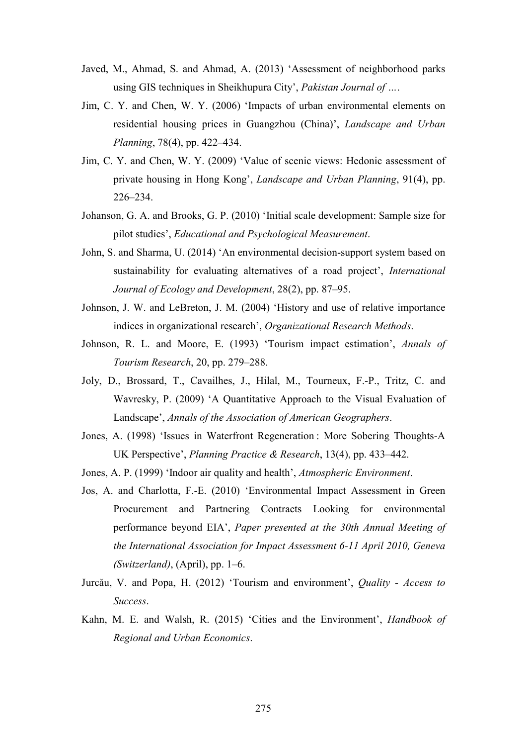- Javed, M., Ahmad, S. and Ahmad, A. (2013) 'Assessment of neighborhood parks using GIS techniques in Sheikhupura City', *Pakistan Journal of …*.
- Jim, C. Y. and Chen, W. Y. (2006) 'Impacts of urban environmental elements on residential housing prices in Guangzhou (China)', *Landscape and Urban Planning*, 78(4), pp. 422–434.
- Jim, C. Y. and Chen, W. Y. (2009) 'Value of scenic views: Hedonic assessment of private housing in Hong Kong', *Landscape and Urban Planning*, 91(4), pp. 226–234.
- Johanson, G. A. and Brooks, G. P. (2010) 'Initial scale development: Sample size for pilot studies', *Educational and Psychological Measurement*.
- John, S. and Sharma, U. (2014) 'An environmental decision-support system based on sustainability for evaluating alternatives of a road project', *International Journal of Ecology and Development*, 28(2), pp. 87–95.
- Johnson, J. W. and LeBreton, J. M. (2004) 'History and use of relative importance indices in organizational research', *Organizational Research Methods*.
- Johnson, R. L. and Moore, E. (1993) 'Tourism impact estimation', *Annals of Tourism Research*, 20, pp. 279–288.
- Joly, D., Brossard, T., Cavailhes, J., Hilal, M., Tourneux, F.-P., Tritz, C. and Wavresky, P. (2009) 'A Quantitative Approach to the Visual Evaluation of Landscape', *Annals of the Association of American Geographers*.
- Jones, A. (1998) 'Issues in Waterfront Regeneration : More Sobering Thoughts-A UK Perspective', *Planning Practice & Research*, 13(4), pp. 433–442.
- Jones, A. P. (1999) 'Indoor air quality and health', *Atmospheric Environment*.
- Jos, A. and Charlotta, F.-E. (2010) 'Environmental Impact Assessment in Green Procurement and Partnering Contracts Looking for environmental performance beyond EIA', *Paper presented at the 30th Annual Meeting of the International Association for Impact Assessment 6-11 April 2010, Geneva (Switzerland)*, (April), pp. 1–6.
- Jurcǎu, V. and Popa, H. (2012) 'Tourism and environment', *Quality - Access to Success*.
- Kahn, M. E. and Walsh, R. (2015) 'Cities and the Environment', *Handbook of Regional and Urban Economics*.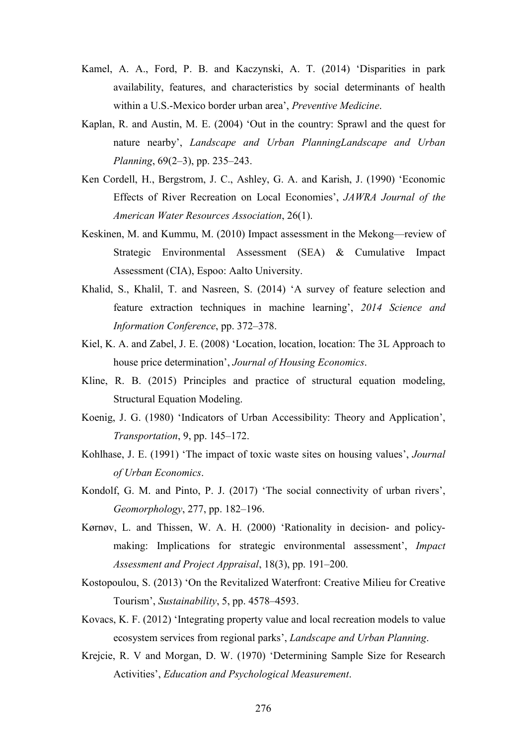- Kamel, A. A., Ford, P. B. and Kaczynski, A. T. (2014) 'Disparities in park availability, features, and characteristics by social determinants of health within a U.S.-Mexico border urban area', *Preventive Medicine*.
- Kaplan, R. and Austin, M. E. (2004) 'Out in the country: Sprawl and the quest for nature nearby', *Landscape and Urban PlanningLandscape and Urban Planning*, 69(2–3), pp. 235–243.
- Ken Cordell, H., Bergstrom, J. C., Ashley, G. A. and Karish, J. (1990) 'Economic Effects of River Recreation on Local Economies', *JAWRA Journal of the American Water Resources Association*, 26(1).
- Keskinen, M. and Kummu, M. (2010) Impact assessment in the Mekong—review of Strategic Environmental Assessment (SEA) & Cumulative Impact Assessment (CIA), Espoo: Aalto University.
- Khalid, S., Khalil, T. and Nasreen, S. (2014) 'A survey of feature selection and feature extraction techniques in machine learning', *2014 Science and Information Conference*, pp. 372–378.
- Kiel, K. A. and Zabel, J. E. (2008) 'Location, location, location: The 3L Approach to house price determination', *Journal of Housing Economics*.
- Kline, R. B. (2015) Principles and practice of structural equation modeling, Structural Equation Modeling.
- Koenig, J. G. (1980) 'Indicators of Urban Accessibility: Theory and Application', *Transportation*, 9, pp. 145–172.
- Kohlhase, J. E. (1991) 'The impact of toxic waste sites on housing values', *Journal of Urban Economics*.
- Kondolf, G. M. and Pinto, P. J. (2017) 'The social connectivity of urban rivers', *Geomorphology*, 277, pp. 182–196.
- Kørnøv, L. and Thissen, W. A. H. (2000) 'Rationality in decision- and policymaking: Implications for strategic environmental assessment', *Impact Assessment and Project Appraisal*, 18(3), pp. 191–200.
- Kostopoulou, S. (2013) 'On the Revitalized Waterfront: Creative Milieu for Creative Tourism', *Sustainability*, 5, pp. 4578–4593.
- Kovacs, K. F. (2012) 'Integrating property value and local recreation models to value ecosystem services from regional parks', *Landscape and Urban Planning*.
- Krejcie, R. V and Morgan, D. W. (1970) 'Determining Sample Size for Research Activities', *Education and Psychological Measurement*.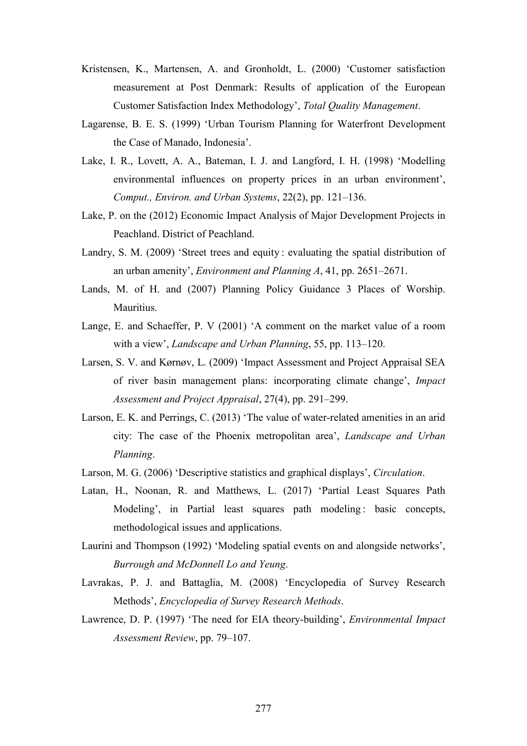- Kristensen, K., Martensen, A. and Gronholdt, L. (2000) 'Customer satisfaction measurement at Post Denmark: Results of application of the European Customer Satisfaction Index Methodology', *Total Quality Management*.
- Lagarense, B. E. S. (1999) 'Urban Tourism Planning for Waterfront Development the Case of Manado, Indonesia'.
- Lake, I. R., Lovett, A. A., Bateman, I. J. and Langford, I. H. (1998) 'Modelling environmental influences on property prices in an urban environment', *Comput., Environ. and Urban Systems*, 22(2), pp. 121–136.
- Lake, P. on the (2012) Economic Impact Analysis of Major Development Projects in Peachland. District of Peachland.
- Landry, S. M. (2009) 'Street trees and equity : evaluating the spatial distribution of an urban amenity', *Environment and Planning A*, 41, pp. 2651–2671.
- Lands, M. of H. and (2007) Planning Policy Guidance 3 Places of Worship. Mauritius.
- Lange, E. and Schaeffer, P. V (2001) 'A comment on the market value of a room with a view', *Landscape and Urban Planning*, 55, pp. 113–120.
- Larsen, S. V. and Kørnøv, L. (2009) 'Impact Assessment and Project Appraisal SEA of river basin management plans: incorporating climate change', *Impact Assessment and Project Appraisal*, 27(4), pp. 291–299.
- Larson, E. K. and Perrings, C. (2013) 'The value of water-related amenities in an arid city: The case of the Phoenix metropolitan area', *Landscape and Urban Planning*.
- Larson, M. G. (2006) 'Descriptive statistics and graphical displays', *Circulation*.
- Latan, H., Noonan, R. and Matthews, L. (2017) 'Partial Least Squares Path Modeling', in Partial least squares path modeling : basic concepts, methodological issues and applications.
- Laurini and Thompson (1992) 'Modeling spatial events on and alongside networks', *Burrough and McDonnell Lo and Yeung*.
- Lavrakas, P. J. and Battaglia, M. (2008) 'Encyclopedia of Survey Research Methods', *Encyclopedia of Survey Research Methods*.
- Lawrence, D. P. (1997) 'The need for EIA theory-building', *Environmental Impact Assessment Review*, pp. 79–107.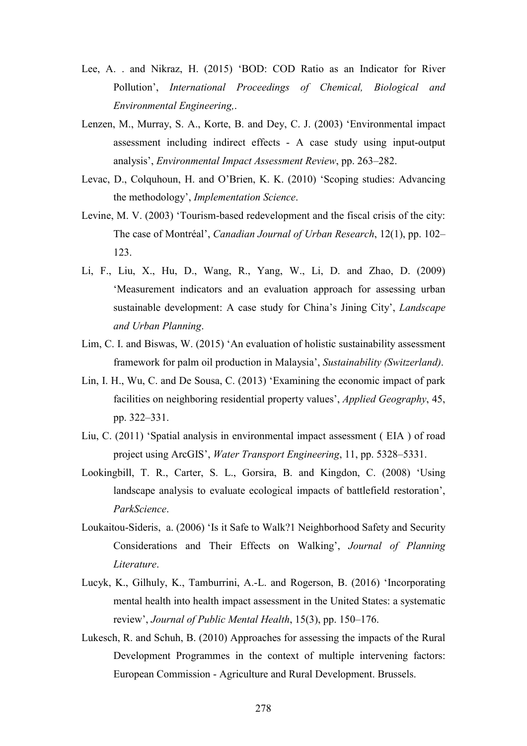- Lee, A. . and Nikraz, H. (2015) 'BOD: COD Ratio as an Indicator for River Pollution', *International Proceedings of Chemical, Biological and Environmental Engineering,*.
- Lenzen, M., Murray, S. A., Korte, B. and Dey, C. J. (2003) 'Environmental impact assessment including indirect effects - A case study using input-output analysis', *Environmental Impact Assessment Review*, pp. 263–282.
- Levac, D., Colquhoun, H. and O'Brien, K. K. (2010) 'Scoping studies: Advancing the methodology', *Implementation Science*.
- Levine, M. V. (2003) 'Tourism-based redevelopment and the fiscal crisis of the city: The case of Montréal', *Canadian Journal of Urban Research*, 12(1), pp. 102– 123.
- Li, F., Liu, X., Hu, D., Wang, R., Yang, W., Li, D. and Zhao, D. (2009) 'Measurement indicators and an evaluation approach for assessing urban sustainable development: A case study for China's Jining City', *Landscape and Urban Planning*.
- Lim, C. I. and Biswas, W. (2015) 'An evaluation of holistic sustainability assessment framework for palm oil production in Malaysia', *Sustainability (Switzerland)*.
- Lin, I. H., Wu, C. and De Sousa, C. (2013) 'Examining the economic impact of park facilities on neighboring residential property values', *Applied Geography*, 45, pp. 322–331.
- Liu, C. (2011) 'Spatial analysis in environmental impact assessment ( EIA ) of road project using ArcGIS', *Water Transport Engineering*, 11, pp. 5328–5331.
- Lookingbill, T. R., Carter, S. L., Gorsira, B. and Kingdon, C. (2008) 'Using landscape analysis to evaluate ecological impacts of battlefield restoration', *ParkScience*.
- Loukaitou-Sideris, a. (2006) 'Is it Safe to Walk?1 Neighborhood Safety and Security Considerations and Their Effects on Walking', *Journal of Planning Literature*.
- Lucyk, K., Gilhuly, K., Tamburrini, A.-L. and Rogerson, B. (2016) 'Incorporating mental health into health impact assessment in the United States: a systematic review', *Journal of Public Mental Health*, 15(3), pp. 150–176.
- Lukesch, R. and Schuh, B. (2010) Approaches for assessing the impacts of the Rural Development Programmes in the context of multiple intervening factors: European Commission - Agriculture and Rural Development. Brussels.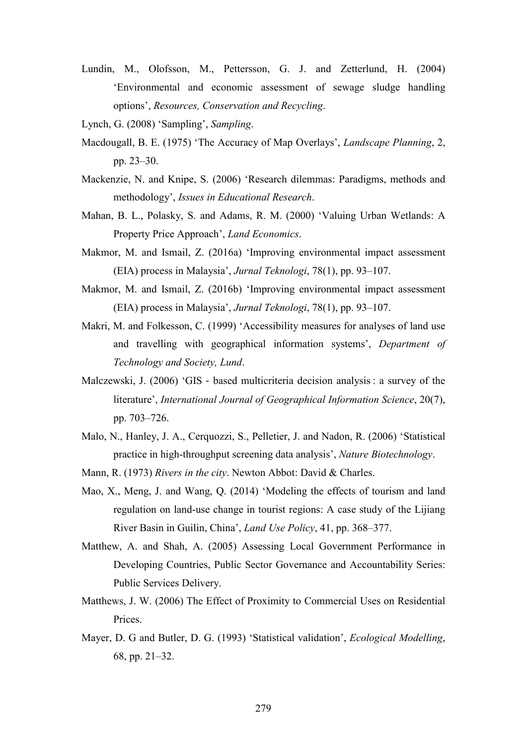- Lundin, M., Olofsson, M., Pettersson, G. J. and Zetterlund, H. (2004) 'Environmental and economic assessment of sewage sludge handling options', *Resources, Conservation and Recycling*.
- Lynch, G. (2008) 'Sampling', *Sampling*.
- Macdougall, B. E. (1975) 'The Accuracy of Map Overlays', *Landscape Planning*, 2, pp. 23–30.
- Mackenzie, N. and Knipe, S. (2006) 'Research dilemmas: Paradigms, methods and methodology', *Issues in Educational Research*.
- Mahan, B. L., Polasky, S. and Adams, R. M. (2000) 'Valuing Urban Wetlands: A Property Price Approach', *Land Economics*.
- Makmor, M. and Ismail, Z. (2016a) 'Improving environmental impact assessment (EIA) process in Malaysia', *Jurnal Teknologi*, 78(1), pp. 93–107.
- Makmor, M. and Ismail, Z. (2016b) 'Improving environmental impact assessment (EIA) process in Malaysia', *Jurnal Teknologi*, 78(1), pp. 93–107.
- Makri, M. and Folkesson, C. (1999) 'Accessibility measures for analyses of land use and travelling with geographical information systems', *Department of Technology and Society, Lund*.
- Malczewski, J. (2006) 'GIS ‐ based multicriteria decision analysis : a survey of the literature', *International Journal of Geographical Information Science*, 20(7), pp. 703–726.
- Malo, N., Hanley, J. A., Cerquozzi, S., Pelletier, J. and Nadon, R. (2006) 'Statistical practice in high-throughput screening data analysis', *Nature Biotechnology*.
- Mann, R. (1973) *Rivers in the city*. Newton Abbot: David & Charles.
- Mao, X., Meng, J. and Wang, Q. (2014) 'Modeling the effects of tourism and land regulation on land-use change in tourist regions: A case study of the Lijiang River Basin in Guilin, China', *Land Use Policy*, 41, pp. 368–377.
- Matthew, A. and Shah, A. (2005) Assessing Local Government Performance in Developing Countries, Public Sector Governance and Accountability Series: Public Services Delivery.
- Matthews, J. W. (2006) The Effect of Proximity to Commercial Uses on Residential Prices.
- Mayer, D. G and Butler, D. G. (1993) 'Statistical validation', *Ecological Modelling*, 68, pp. 21–32.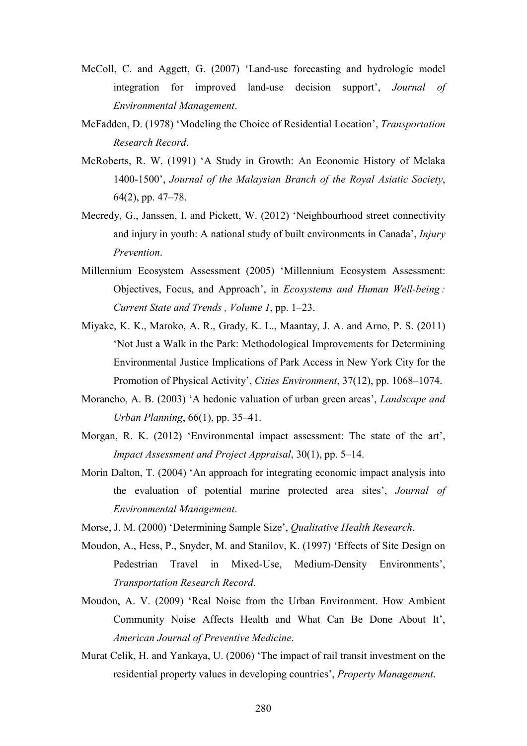- McColl, C. and Aggett, G. (2007) 'Land-use forecasting and hydrologic model integration for improved land-use decision support', *Journal of Environmental Management*.
- McFadden, D. (1978) 'Modeling the Choice of Residential Location', *Transportation Research Record*.
- McRoberts, R. W. (1991) 'A Study in Growth: An Economic History of Melaka 1400-1500', *Journal of the Malaysian Branch of the Royal Asiatic Society*, 64(2), pp. 47–78.
- Mecredy, G., Janssen, I. and Pickett, W. (2012) 'Neighbourhood street connectivity and injury in youth: A national study of built environments in Canada', *Injury Prevention*.
- Millennium Ecosystem Assessment (2005) 'Millennium Ecosystem Assessment: Objectives, Focus, and Approach', in *Ecosystems and Human Well-being : Current State and Trends , Volume 1*, pp. 1–23.
- Miyake, K. K., Maroko, A. R., Grady, K. L., Maantay, J. A. and Arno, P. S. (2011) 'Not Just a Walk in the Park: Methodological Improvements for Determining Environmental Justice Implications of Park Access in New York City for the Promotion of Physical Activity', *Cities Environment*, 37(12), pp. 1068–1074.
- Morancho, A. B. (2003) 'A hedonic valuation of urban green areas', *Landscape and Urban Planning*, 66(1), pp. 35–41.
- Morgan, R. K. (2012) 'Environmental impact assessment: The state of the art', *Impact Assessment and Project Appraisal*, 30(1), pp. 5–14.
- Morin Dalton, T. (2004) 'An approach for integrating economic impact analysis into the evaluation of potential marine protected area sites', *Journal of Environmental Management*.
- Morse, J. M. (2000) 'Determining Sample Size', *Qualitative Health Research*.
- Moudon, A., Hess, P., Snyder, M. and Stanilov, K. (1997) 'Effects of Site Design on Pedestrian Travel in Mixed-Use, Medium-Density Environments', *Transportation Research Record*.
- Moudon, A. V. (2009) 'Real Noise from the Urban Environment. How Ambient Community Noise Affects Health and What Can Be Done About It', *American Journal of Preventive Medicine*.
- Murat Celik, H. and Yankaya, U. (2006) 'The impact of rail transit investment on the residential property values in developing countries', *Property Management*.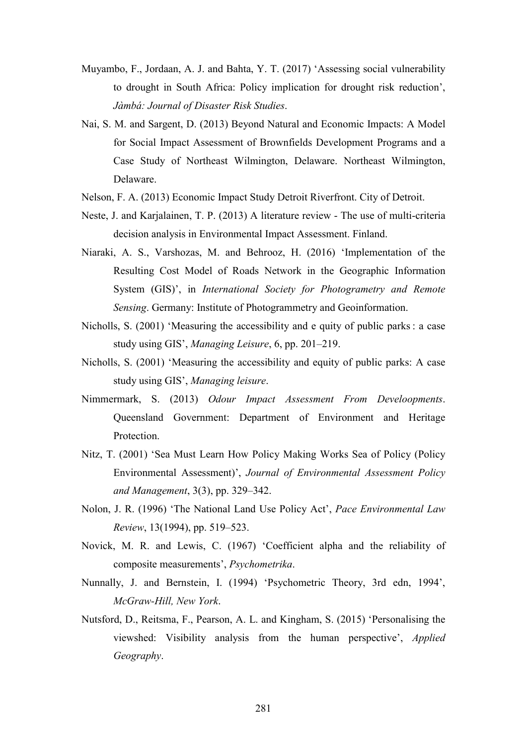- Muyambo, F., Jordaan, A. J. and Bahta, Y. T. (2017) 'Assessing social vulnerability to drought in South Africa: Policy implication for drought risk reduction', *Jàmbá: Journal of Disaster Risk Studies*.
- Nai, S. M. and Sargent, D. (2013) Beyond Natural and Economic Impacts: A Model for Social Impact Assessment of Brownfields Development Programs and a Case Study of Northeast Wilmington, Delaware. Northeast Wilmington, Delaware.
- Nelson, F. A. (2013) Economic Impact Study Detroit Riverfront. City of Detroit.
- Neste, J. and Karjalainen, T. P. (2013) A literature review The use of multi-criteria decision analysis in Environmental Impact Assessment. Finland.
- Niaraki, A. S., Varshozas, M. and Behrooz, H. (2016) 'Implementation of the Resulting Cost Model of Roads Network in the Geographic Information System (GIS)', in *International Society for Photogrametry and Remote Sensing*. Germany: Institute of Photogrammetry and Geoinformation.
- Nicholls, S. (2001) 'Measuring the accessibility and e quity of public parks : a case study using GIS', *Managing Leisure*, 6, pp. 201–219.
- Nicholls, S. (2001) 'Measuring the accessibility and equity of public parks: A case study using GIS', *Managing leisure*.
- Nimmermark, S. (2013) *Odour Impact Assessment From Develoopments*. Queensland Government: Department of Environment and Heritage **Protection**
- Nitz, T. (2001) 'Sea Must Learn How Policy Making Works Sea of Policy (Policy Environmental Assessment)', *Journal of Environmental Assessment Policy and Management*, 3(3), pp. 329–342.
- Nolon, J. R. (1996) 'The National Land Use Policy Act', *Pace Environmental Law Review*, 13(1994), pp. 519–523.
- Novick, M. R. and Lewis, C. (1967) 'Coefficient alpha and the reliability of composite measurements', *Psychometrika*.
- Nunnally, J. and Bernstein, I. (1994) 'Psychometric Theory, 3rd edn, 1994', *McGraw-Hill, New York*.
- Nutsford, D., Reitsma, F., Pearson, A. L. and Kingham, S. (2015) 'Personalising the viewshed: Visibility analysis from the human perspective', *Applied Geography*.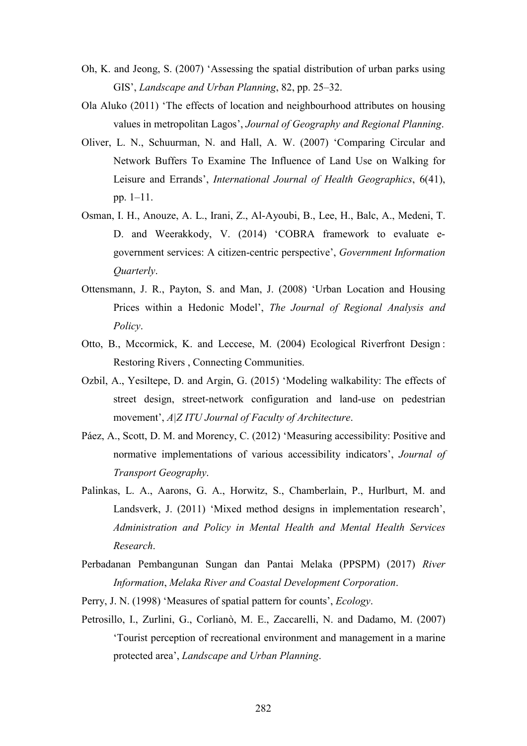- Oh, K. and Jeong, S. (2007) 'Assessing the spatial distribution of urban parks using GIS', *Landscape and Urban Planning*, 82, pp. 25–32.
- Ola Aluko (2011) 'The effects of location and neighbourhood attributes on housing values in metropolitan Lagos', *Journal of Geography and Regional Planning*.
- Oliver, L. N., Schuurman, N. and Hall, A. W. (2007) 'Comparing Circular and Network Buffers To Examine The Influence of Land Use on Walking for Leisure and Errands', *International Journal of Health Geographics*, 6(41), pp. 1–11.
- Osman, I. H., Anouze, A. L., Irani, Z., Al-Ayoubi, B., Lee, H., Balc, A., Medeni, T. D. and Weerakkody, V. (2014) 'COBRA framework to evaluate egovernment services: A citizen-centric perspective', *Government Information Quarterly*.
- Ottensmann, J. R., Payton, S. and Man, J. (2008) 'Urban Location and Housing Prices within a Hedonic Model', *The Journal of Regional Analysis and Policy*.
- Otto, B., Mccormick, K. and Leccese, M. (2004) Ecological Riverfront Design : Restoring Rivers , Connecting Communities.
- Ozbil, A., Yesiltepe, D. and Argin, G. (2015) 'Modeling walkability: The effects of street design, street-network configuration and land-use on pedestrian movement', *A|Z ITU Journal of Faculty of Architecture*.
- Páez, A., Scott, D. M. and Morency, C. (2012) 'Measuring accessibility: Positive and normative implementations of various accessibility indicators', *Journal of Transport Geography*.
- Palinkas, L. A., Aarons, G. A., Horwitz, S., Chamberlain, P., Hurlburt, M. and Landsverk, J. (2011) 'Mixed method designs in implementation research', *Administration and Policy in Mental Health and Mental Health Services Research*.
- Perbadanan Pembangunan Sungan dan Pantai Melaka (PPSPM) (2017) *River Information*, *Melaka River and Coastal Development Corporation*.
- Perry, J. N. (1998) 'Measures of spatial pattern for counts', *Ecology*.
- Petrosillo, I., Zurlini, G., Corlianò, M. E., Zaccarelli, N. and Dadamo, M. (2007) 'Tourist perception of recreational environment and management in a marine protected area', *Landscape and Urban Planning*.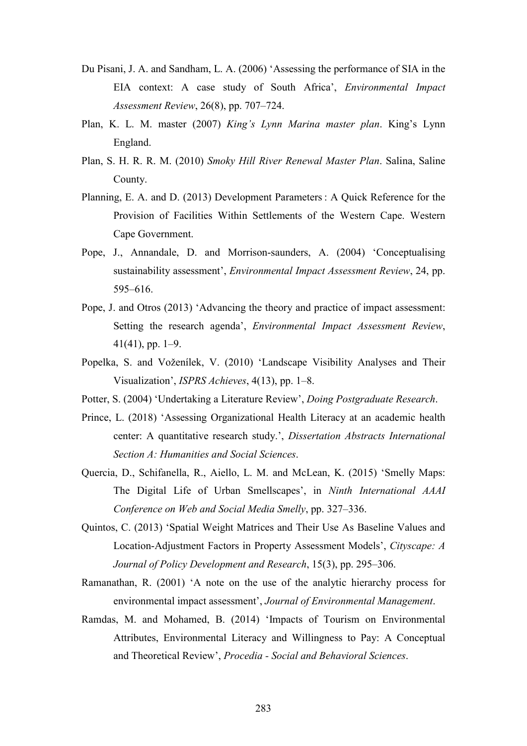- Du Pisani, J. A. and Sandham, L. A. (2006) 'Assessing the performance of SIA in the EIA context: A case study of South Africa', *Environmental Impact Assessment Review*, 26(8), pp. 707–724.
- Plan, K. L. M. master (2007) *King's Lynn Marina master plan*. King's Lynn England.
- Plan, S. H. R. R. M. (2010) *Smoky Hill River Renewal Master Plan*. Salina, Saline County.
- Planning, E. A. and D. (2013) Development Parameters : A Quick Reference for the Provision of Facilities Within Settlements of the Western Cape. Western Cape Government.
- Pope, J., Annandale, D. and Morrison-saunders, A. (2004) 'Conceptualising sustainability assessment', *Environmental Impact Assessment Review*, 24, pp. 595–616.
- Pope, J. and Otros (2013) 'Advancing the theory and practice of impact assessment: Setting the research agenda', *Environmental Impact Assessment Review*, 41(41), pp. 1–9.
- Popelka, S. and Voženílek, V. (2010) 'Landscape Visibility Analyses and Their Visualization', *ISPRS Achieves*, 4(13), pp. 1–8.
- Potter, S. (2004) 'Undertaking a Literature Review', *Doing Postgraduate Research*.
- Prince, L. (2018) 'Assessing Organizational Health Literacy at an academic health center: A quantitative research study.', *Dissertation Abstracts International Section A: Humanities and Social Sciences*.
- Quercia, D., Schifanella, R., Aiello, L. M. and McLean, K. (2015) 'Smelly Maps: The Digital Life of Urban Smellscapes', in *Ninth International AAAI Conference on Web and Social Media Smelly*, pp. 327–336.
- Quintos, C. (2013) 'Spatial Weight Matrices and Their Use As Baseline Values and Location-Adjustment Factors in Property Assessment Models', *Cityscape: A Journal of Policy Development and Research*, 15(3), pp. 295–306.
- Ramanathan, R. (2001) 'A note on the use of the analytic hierarchy process for environmental impact assessment', *Journal of Environmental Management*.
- Ramdas, M. and Mohamed, B. (2014) 'Impacts of Tourism on Environmental Attributes, Environmental Literacy and Willingness to Pay: A Conceptual and Theoretical Review', *Procedia - Social and Behavioral Sciences*.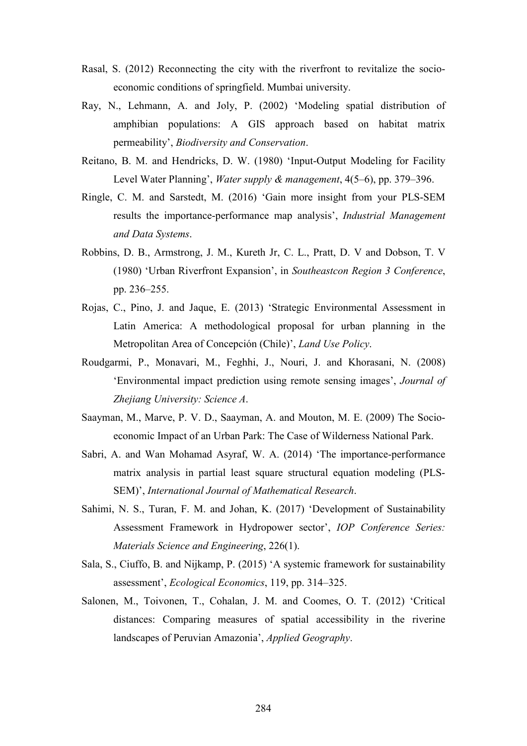- Rasal, S. (2012) Reconnecting the city with the riverfront to revitalize the socioeconomic conditions of springfield. Mumbai university.
- Ray, N., Lehmann, A. and Joly, P. (2002) 'Modeling spatial distribution of amphibian populations: A GIS approach based on habitat matrix permeability', *Biodiversity and Conservation*.
- Reitano, B. M. and Hendricks, D. W. (1980) 'Input-Output Modeling for Facility Level Water Planning', *Water supply & management*, 4(5–6), pp. 379–396.
- Ringle, C. M. and Sarstedt, M. (2016) 'Gain more insight from your PLS-SEM results the importance-performance map analysis', *Industrial Management and Data Systems*.
- Robbins, D. B., Armstrong, J. M., Kureth Jr, C. L., Pratt, D. V and Dobson, T. V (1980) 'Urban Riverfront Expansion', in *Southeastcon Region 3 Conference*, pp. 236–255.
- Rojas, C., Pino, J. and Jaque, E. (2013) 'Strategic Environmental Assessment in Latin America: A methodological proposal for urban planning in the Metropolitan Area of Concepción (Chile)', *Land Use Policy*.
- Roudgarmi, P., Monavari, M., Feghhi, J., Nouri, J. and Khorasani, N. (2008) 'Environmental impact prediction using remote sensing images', *Journal of Zhejiang University: Science A*.
- Saayman, M., Marve, P. V. D., Saayman, A. and Mouton, M. E. (2009) The Socioeconomic Impact of an Urban Park: The Case of Wilderness National Park.
- Sabri, A. and Wan Mohamad Asyraf, W. A. (2014) 'The importance-performance matrix analysis in partial least square structural equation modeling (PLS-SEM)', *International Journal of Mathematical Research*.
- Sahimi, N. S., Turan, F. M. and Johan, K. (2017) 'Development of Sustainability Assessment Framework in Hydropower sector', *IOP Conference Series: Materials Science and Engineering*, 226(1).
- Sala, S., Ciuffo, B. and Nijkamp, P. (2015) 'A systemic framework for sustainability assessment', *Ecological Economics*, 119, pp. 314–325.
- Salonen, M., Toivonen, T., Cohalan, J. M. and Coomes, O. T. (2012) 'Critical distances: Comparing measures of spatial accessibility in the riverine landscapes of Peruvian Amazonia', *Applied Geography*.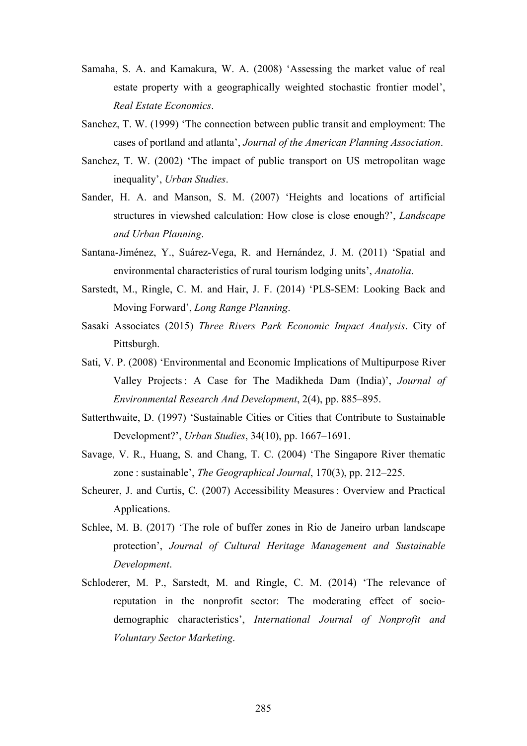- Samaha, S. A. and Kamakura, W. A. (2008) 'Assessing the market value of real estate property with a geographically weighted stochastic frontier model', *Real Estate Economics*.
- Sanchez, T. W. (1999) 'The connection between public transit and employment: The cases of portland and atlanta', *Journal of the American Planning Association*.
- Sanchez, T. W. (2002) 'The impact of public transport on US metropolitan wage inequality', *Urban Studies*.
- Sander, H. A. and Manson, S. M. (2007) 'Heights and locations of artificial structures in viewshed calculation: How close is close enough?', *Landscape and Urban Planning*.
- Santana-Jiménez, Y., Suárez-Vega, R. and Hernández, J. M. (2011) 'Spatial and environmental characteristics of rural tourism lodging units', *Anatolia*.
- Sarstedt, M., Ringle, C. M. and Hair, J. F. (2014) 'PLS-SEM: Looking Back and Moving Forward', *Long Range Planning*.
- Sasaki Associates (2015) *Three Rivers Park Economic Impact Analysis*. City of Pittsburgh.
- Sati, V. P. (2008) 'Environmental and Economic Implications of Multipurpose River Valley Projects : A Case for The Madikheda Dam (India)', *Journal of Environmental Research And Development*, 2(4), pp. 885–895.
- Satterthwaite, D. (1997) 'Sustainable Cities or Cities that Contribute to Sustainable Development?', *Urban Studies*, 34(10), pp. 1667–1691.
- Savage, V. R., Huang, S. and Chang, T. C. (2004) 'The Singapore River thematic zone : sustainable', *The Geographical Journal*, 170(3), pp. 212–225.
- Scheurer, J. and Curtis, C. (2007) Accessibility Measures : Overview and Practical Applications.
- Schlee, M. B. (2017) 'The role of buffer zones in Rio de Janeiro urban landscape protection', *Journal of Cultural Heritage Management and Sustainable Development*.
- Schloderer, M. P., Sarstedt, M. and Ringle, C. M. (2014) 'The relevance of reputation in the nonprofit sector: The moderating effect of sociodemographic characteristics', *International Journal of Nonprofit and Voluntary Sector Marketing*.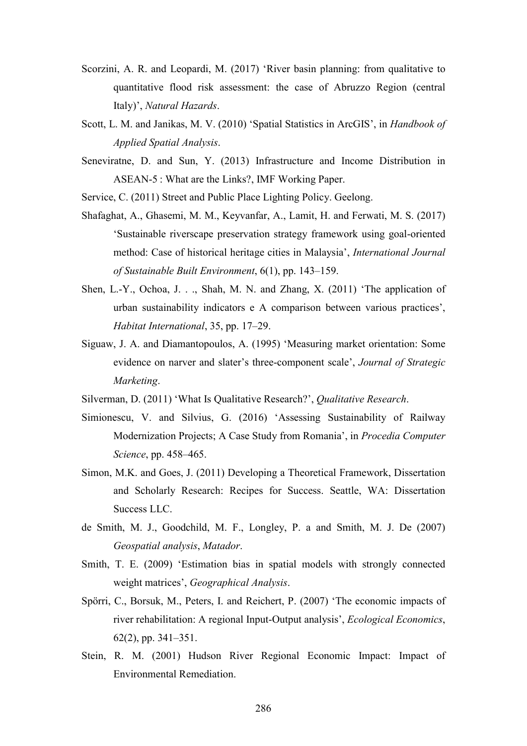- Scorzini, A. R. and Leopardi, M. (2017) 'River basin planning: from qualitative to quantitative flood risk assessment: the case of Abruzzo Region (central Italy)', *Natural Hazards*.
- Scott, L. M. and Janikas, M. V. (2010) 'Spatial Statistics in ArcGIS', in *Handbook of Applied Spatial Analysis*.
- Seneviratne, D. and Sun, Y. (2013) Infrastructure and Income Distribution in ASEAN-5 : What are the Links?, IMF Working Paper.
- Service, C. (2011) Street and Public Place Lighting Policy. Geelong.
- Shafaghat, A., Ghasemi, M. M., Keyvanfar, A., Lamit, H. and Ferwati, M. S. (2017) 'Sustainable riverscape preservation strategy framework using goal-oriented method: Case of historical heritage cities in Malaysia', *International Journal of Sustainable Built Environment*, 6(1), pp. 143–159.
- Shen, L.-Y., Ochoa, J. . ., Shah, M. N. and Zhang, X. (2011) 'The application of urban sustainability indicators e A comparison between various practices', *Habitat International*, 35, pp. 17–29.
- Siguaw, J. A. and Diamantopoulos, A. (1995) 'Measuring market orientation: Some evidence on narver and slater's three-component scale', *Journal of Strategic Marketing*.
- Silverman, D. (2011) 'What Is Qualitative Research?', *Qualitative Research*.
- Simionescu, V. and Silvius, G. (2016) 'Assessing Sustainability of Railway Modernization Projects; A Case Study from Romania', in *Procedia Computer Science*, pp. 458–465.
- Simon, M.K. and Goes, J. (2011) Developing a Theoretical Framework, Dissertation and Scholarly Research: Recipes for Success. Seattle, WA: Dissertation Success LLC.
- de Smith, M. J., Goodchild, M. F., Longley, P. a and Smith, M. J. De (2007) *Geospatial analysis*, *Matador*.
- Smith, T. E. (2009) 'Estimation bias in spatial models with strongly connected weight matrices', *Geographical Analysis*.
- Spörri, C., Borsuk, M., Peters, I. and Reichert, P. (2007) 'The economic impacts of river rehabilitation: A regional Input-Output analysis', *Ecological Economics*, 62(2), pp. 341–351.
- Stein, R. M. (2001) Hudson River Regional Economic Impact: Impact of Environmental Remediation.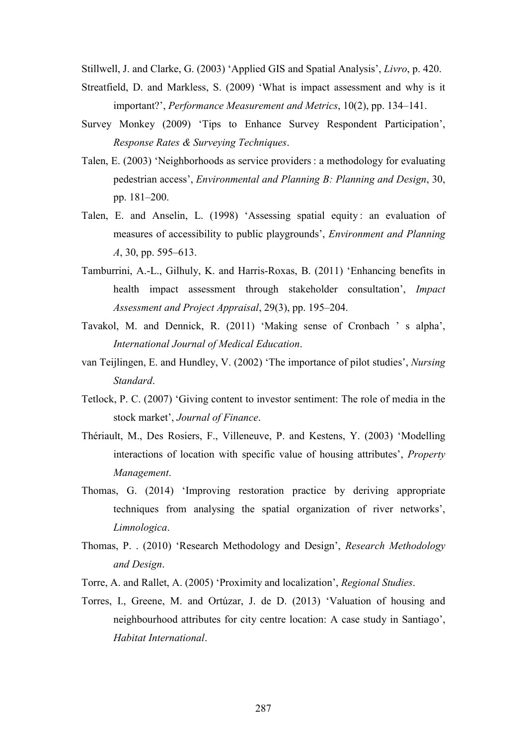Stillwell, J. and Clarke, G. (2003) 'Applied GIS and Spatial Analysis', *Livro*, p. 420.

- Streatfield, D. and Markless, S. (2009) 'What is impact assessment and why is it important?', *Performance Measurement and Metrics*, 10(2), pp. 134–141.
- Survey Monkey (2009) 'Tips to Enhance Survey Respondent Participation', *Response Rates & Surveying Techniques*.
- Talen, E. (2003) 'Neighborhoods as service providers : a methodology for evaluating pedestrian access', *Environmental and Planning B: Planning and Design*, 30, pp. 181–200.
- Talen, E. and Anselin, L. (1998) 'Assessing spatial equity: an evaluation of measures of accessibility to public playgrounds', *Environment and Planning A*, 30, pp. 595–613.
- Tamburrini, A.-L., Gilhuly, K. and Harris-Roxas, B. (2011) 'Enhancing benefits in health impact assessment through stakeholder consultation', *Impact Assessment and Project Appraisal*, 29(3), pp. 195–204.
- Tavakol, M. and Dennick, R. (2011) 'Making sense of Cronbach ' s alpha', *International Journal of Medical Education*.
- van Teijlingen, E. and Hundley, V. (2002) 'The importance of pilot studies', *Nursing Standard*.
- Tetlock, P. C. (2007) 'Giving content to investor sentiment: The role of media in the stock market', *Journal of Finance*.
- Thériault, M., Des Rosiers, F., Villeneuve, P. and Kestens, Y. (2003) 'Modelling interactions of location with specific value of housing attributes', *Property Management*.
- Thomas, G. (2014) 'Improving restoration practice by deriving appropriate techniques from analysing the spatial organization of river networks', *Limnologica*.
- Thomas, P. . (2010) 'Research Methodology and Design', *Research Methodology and Design*.
- Torre, A. and Rallet, A. (2005) 'Proximity and localization', *Regional Studies*.
- Torres, I., Greene, M. and Ortúzar, J. de D. (2013) 'Valuation of housing and neighbourhood attributes for city centre location: A case study in Santiago', *Habitat International*.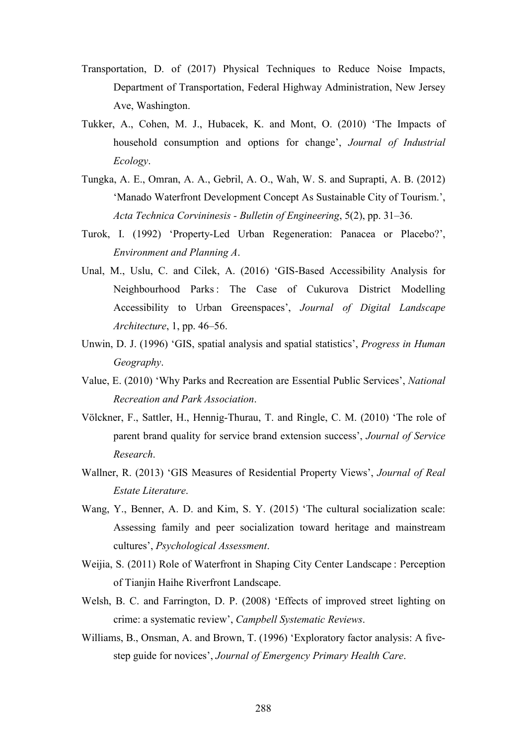- Transportation, D. of (2017) Physical Techniques to Reduce Noise Impacts, Department of Transportation, Federal Highway Administration, New Jersey Ave, Washington.
- Tukker, A., Cohen, M. J., Hubacek, K. and Mont, O. (2010) 'The Impacts of household consumption and options for change', *Journal of Industrial Ecology*.
- Tungka, A. E., Omran, A. A., Gebril, A. O., Wah, W. S. and Suprapti, A. B. (2012) 'Manado Waterfront Development Concept As Sustainable City of Tourism.', *Acta Technica Corvininesis - Bulletin of Engineering*, 5(2), pp. 31–36.
- Turok, I. (1992) 'Property-Led Urban Regeneration: Panacea or Placebo?', *Environment and Planning A*.
- Unal, M., Uslu, C. and Cilek, A. (2016) 'GIS-Based Accessibility Analysis for Neighbourhood Parks : The Case of Cukurova District Modelling Accessibility to Urban Greenspaces', *Journal of Digital Landscape Architecture*, 1, pp. 46–56.
- Unwin, D. J. (1996) 'GIS, spatial analysis and spatial statistics', *Progress in Human Geography*.
- Value, E. (2010) 'Why Parks and Recreation are Essential Public Services', *National Recreation and Park Association*.
- Völckner, F., Sattler, H., Hennig-Thurau, T. and Ringle, C. M. (2010) 'The role of parent brand quality for service brand extension success', *Journal of Service Research*.
- Wallner, R. (2013) 'GIS Measures of Residential Property Views', *Journal of Real Estate Literature*.
- Wang, Y., Benner, A. D. and Kim, S. Y. (2015) 'The cultural socialization scale: Assessing family and peer socialization toward heritage and mainstream cultures', *Psychological Assessment*.
- Weijia, S. (2011) Role of Waterfront in Shaping City Center Landscape : Perception of Tianjin Haihe Riverfront Landscape.
- Welsh, B. C. and Farrington, D. P. (2008) 'Effects of improved street lighting on crime: a systematic review', *Campbell Systematic Reviews*.
- Williams, B., Onsman, A. and Brown, T. (1996) 'Exploratory factor analysis: A fivestep guide for novices', *Journal of Emergency Primary Health Care*.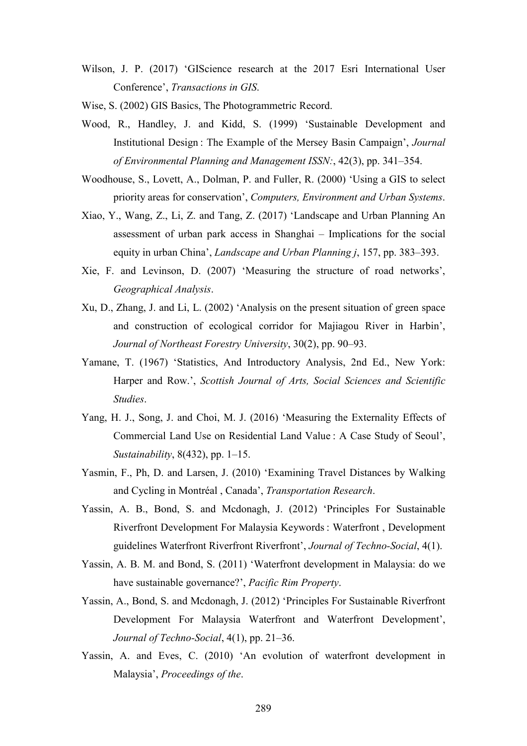Wilson, J. P. (2017) 'GIScience research at the 2017 Esri International User Conference', *Transactions in GIS*.

Wise, S. (2002) GIS Basics, The Photogrammetric Record.

- Wood, R., Handley, J. and Kidd, S. (1999) 'Sustainable Development and Institutional Design : The Example of the Mersey Basin Campaign', *Journal of Environmental Planning and Management ISSN:*, 42(3), pp. 341–354.
- Woodhouse, S., Lovett, A., Dolman, P. and Fuller, R. (2000) 'Using a GIS to select priority areas for conservation', *Computers, Environment and Urban Systems*.
- Xiao, Y., Wang, Z., Li, Z. and Tang, Z. (2017) 'Landscape and Urban Planning An assessment of urban park access in Shanghai – Implications for the social equity in urban China', *Landscape and Urban Planning j*, 157, pp. 383–393.
- Xie, F. and Levinson, D. (2007) 'Measuring the structure of road networks', *Geographical Analysis*.
- Xu, D., Zhang, J. and Li, L. (2002) 'Analysis on the present situation of green space and construction of ecological corridor for Majiagou River in Harbin', *Journal of Northeast Forestry University*, 30(2), pp. 90–93.
- Yamane, T. (1967) 'Statistics, And Introductory Analysis, 2nd Ed., New York: Harper and Row.', *Scottish Journal of Arts, Social Sciences and Scientific Studies*.
- Yang, H. J., Song, J. and Choi, M. J. (2016) 'Measuring the Externality Effects of Commercial Land Use on Residential Land Value : A Case Study of Seoul', *Sustainability*, 8(432), pp. 1–15.
- Yasmin, F., Ph, D. and Larsen, J. (2010) 'Examining Travel Distances by Walking and Cycling in Montréal , Canada', *Transportation Research*.
- Yassin, A. B., Bond, S. and Mcdonagh, J. (2012) 'Principles For Sustainable Riverfront Development For Malaysia Keywords : Waterfront , Development guidelines Waterfront Riverfront Riverfront', *Journal of Techno-Social*, 4(1).
- Yassin, A. B. M. and Bond, S. (2011) 'Waterfront development in Malaysia: do we have sustainable governance?', *Pacific Rim Property*.
- Yassin, A., Bond, S. and Mcdonagh, J. (2012) 'Principles For Sustainable Riverfront Development For Malaysia Waterfront and Waterfront Development', *Journal of Techno-Social*, 4(1), pp. 21–36.
- Yassin, A. and Eves, C. (2010) 'An evolution of waterfront development in Malaysia', *Proceedings of the*.